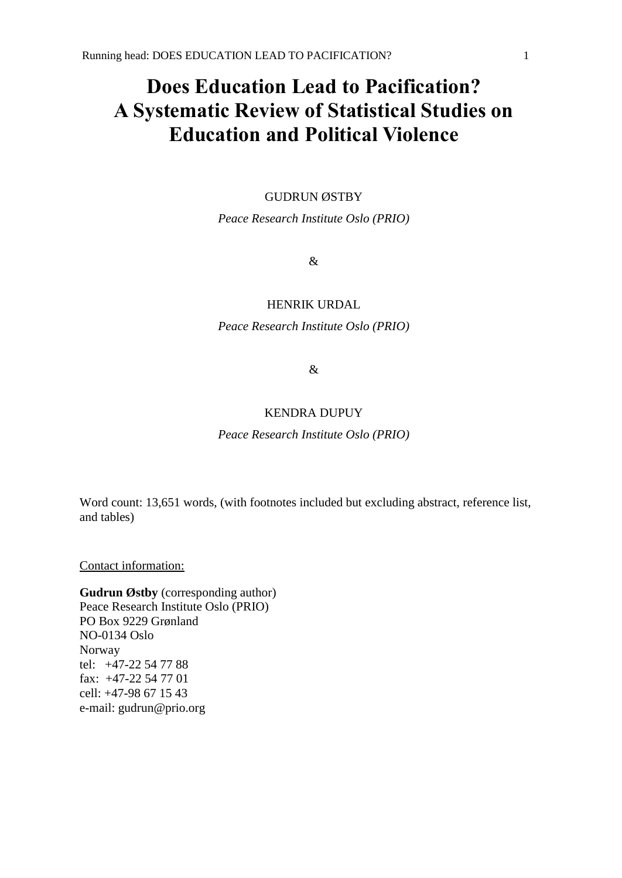# **Does Education Lead to Pacification? A Systematic Review of Statistical Studies on Education and Political Violence**

# GUDRUN ØSTBY

*Peace Research Institute Oslo (PRIO)*

&

# HENRIK URDAL

*Peace Research Institute Oslo (PRIO)*

&

# KENDRA DUPUY

*Peace Research Institute Oslo (PRIO)*

Word count: 13,651 words, (with footnotes included but excluding abstract, reference list, and tables)

Contact information:

**Gudrun Østby** (corresponding author) Peace Research Institute Oslo (PRIO) PO Box 9229 Grønland NO-0134 Oslo Norway tel: +47-22 54 77 88 fax: +47-22 54 77 01 cell: +47-98 67 15 43 e-mail: gudrun@prio.org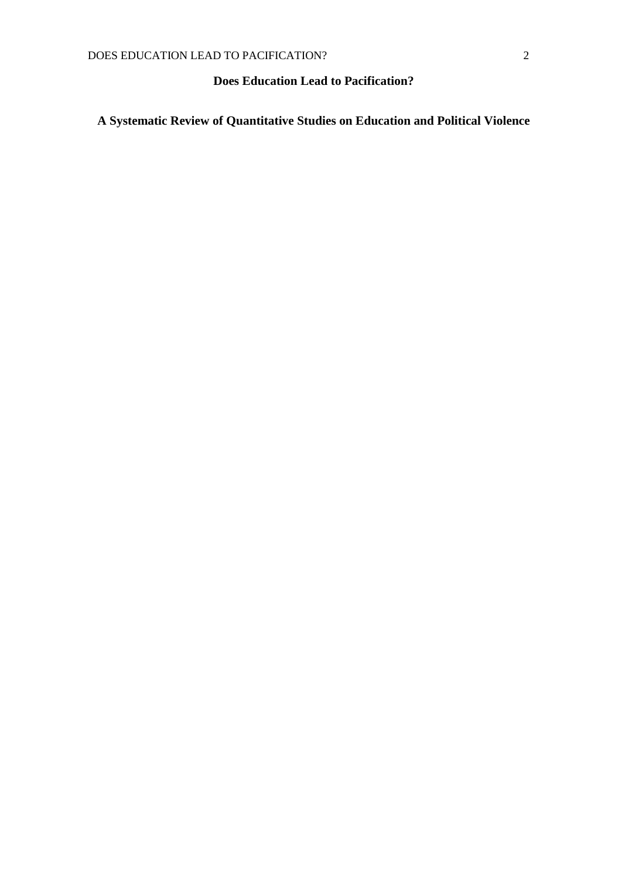# **Does Education Lead to Pacification?**

**A Systematic Review of Quantitative Studies on Education and Political Violence**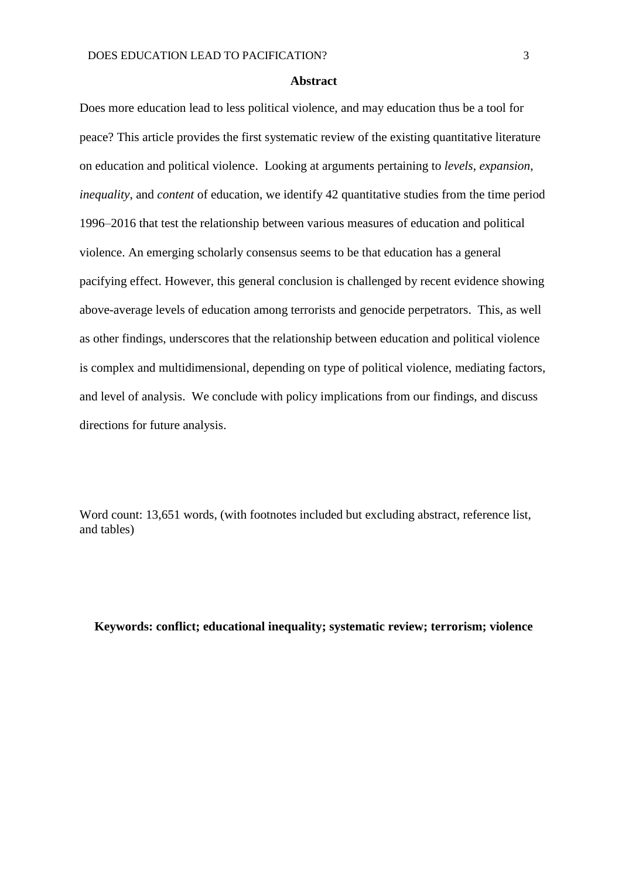#### **Abstract**

Does more education lead to less political violence, and may education thus be a tool for peace? This article provides the first systematic review of the existing quantitative literature on education and political violence. Looking at arguments pertaining to *levels*, *expansion*, *inequality*, and *content* of education, we identify 42 quantitative studies from the time period 1996–2016 that test the relationship between various measures of education and political violence. An emerging scholarly consensus seems to be that education has a general pacifying effect. However, this general conclusion is challenged by recent evidence showing above-average levels of education among terrorists and genocide perpetrators. This, as well as other findings, underscores that the relationship between education and political violence is complex and multidimensional, depending on type of political violence, mediating factors, and level of analysis. We conclude with policy implications from our findings, and discuss directions for future analysis.

Word count: 13,651 words, (with footnotes included but excluding abstract, reference list, and tables)

# **Keywords: conflict; educational inequality; systematic review; terrorism; violence**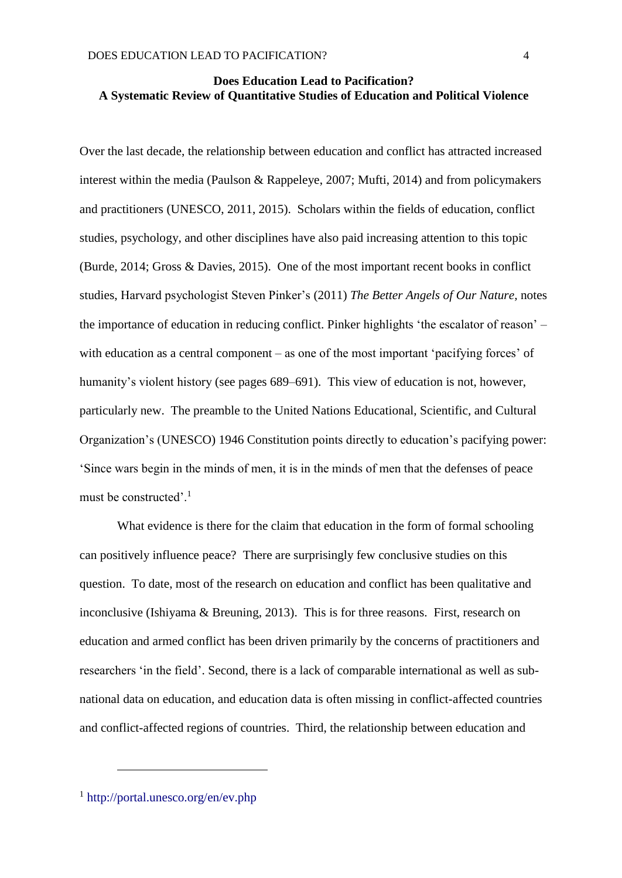# **Does Education Lead to Pacification? A Systematic Review of Quantitative Studies of Education and Political Violence**

Over the last decade, the relationship between education and conflict has attracted increased interest within the media (Paulson & Rappeleye, 2007; Mufti, 2014) and from policymakers and practitioners (UNESCO, 2011, 2015). Scholars within the fields of education, conflict studies, psychology, and other disciplines have also paid increasing attention to this topic (Burde, 2014; Gross & Davies, 2015). One of the most important recent books in conflict studies, Harvard psychologist Steven Pinker's (2011) *The Better Angels of Our Nature,* notes the importance of education in reducing conflict. Pinker highlights 'the escalator of reason' – with education as a central component – as one of the most important 'pacifying forces' of humanity's violent history (see pages 689–691). This view of education is not, however, particularly new. The preamble to the United Nations Educational, Scientific, and Cultural Organization's (UNESCO) 1946 Constitution points directly to education's pacifying power: 'Since wars begin in the minds of men, it is in the minds of men that the defenses of peace must be constructed'.<sup>1</sup>

What evidence is there for the claim that education in the form of formal schooling can positively influence peace? There are surprisingly few conclusive studies on this question. To date, most of the research on education and conflict has been qualitative and inconclusive (Ishiyama & Breuning, 2013). This is for three reasons. First, research on education and armed conflict has been driven primarily by the concerns of practitioners and researchers 'in the field'. Second, there is a lack of comparable international as well as subnational data on education, and education data is often missing in conflict-affected countries and conflict-affected regions of countries. Third, the relationship between education and

1

<sup>1</sup> <http://portal.unesco.org/en/ev.php>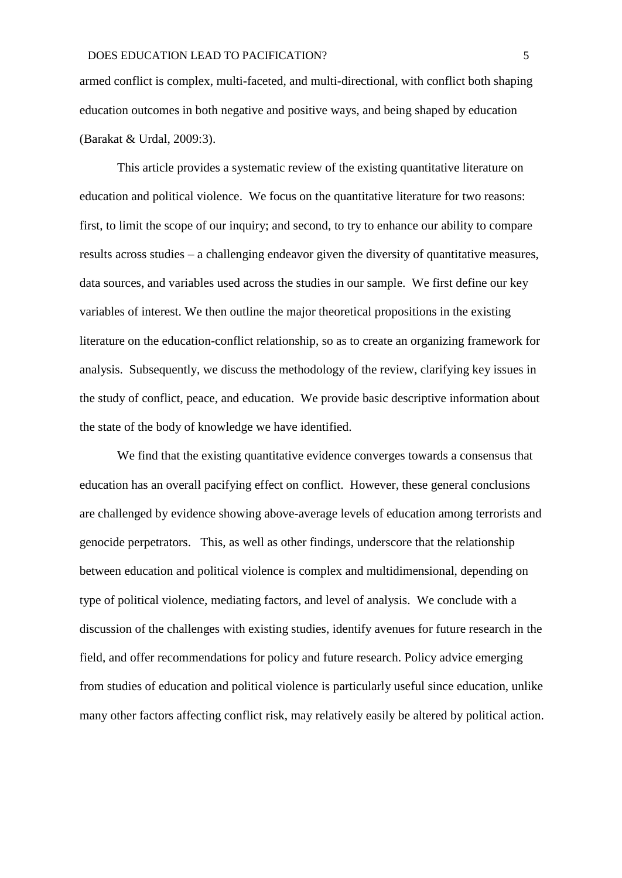armed conflict is complex, multi-faceted, and multi-directional, with conflict both shaping education outcomes in both negative and positive ways, and being shaped by education (Barakat & Urdal, 2009:3).

This article provides a systematic review of the existing quantitative literature on education and political violence. We focus on the quantitative literature for two reasons: first, to limit the scope of our inquiry; and second, to try to enhance our ability to compare results across studies – a challenging endeavor given the diversity of quantitative measures, data sources, and variables used across the studies in our sample. We first define our key variables of interest. We then outline the major theoretical propositions in the existing literature on the education-conflict relationship, so as to create an organizing framework for analysis. Subsequently, we discuss the methodology of the review, clarifying key issues in the study of conflict, peace, and education. We provide basic descriptive information about the state of the body of knowledge we have identified.

We find that the existing quantitative evidence converges towards a consensus that education has an overall pacifying effect on conflict. However, these general conclusions are challenged by evidence showing above-average levels of education among terrorists and genocide perpetrators. This, as well as other findings, underscore that the relationship between education and political violence is complex and multidimensional, depending on type of political violence, mediating factors, and level of analysis. We conclude with a discussion of the challenges with existing studies, identify avenues for future research in the field, and offer recommendations for policy and future research. Policy advice emerging from studies of education and political violence is particularly useful since education, unlike many other factors affecting conflict risk, may relatively easily be altered by political action.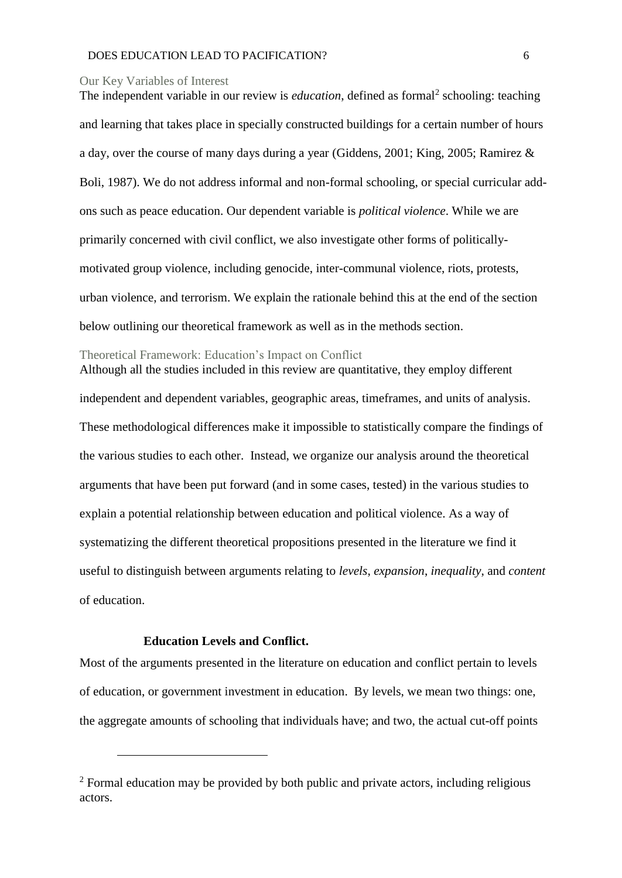#### Our Key Variables of Interest

The independent variable in our review is *education*, defined as formal<sup>2</sup> schooling: teaching and learning that takes place in specially constructed buildings for a certain number of hours a day, over the course of many days during a year (Giddens, 2001; King, 2005; Ramirez & Boli, 1987). We do not address informal and non-formal schooling, or special curricular addons such as peace education. Our dependent variable is *political violence*. While we are primarily concerned with civil conflict, we also investigate other forms of politicallymotivated group violence, including genocide, inter-communal violence, riots, protests, urban violence, and terrorism. We explain the rationale behind this at the end of the section below outlining our theoretical framework as well as in the methods section.

### Theoretical Framework: Education's Impact on Conflict

Although all the studies included in this review are quantitative, they employ different independent and dependent variables, geographic areas, timeframes, and units of analysis. These methodological differences make it impossible to statistically compare the findings of the various studies to each other. Instead, we organize our analysis around the theoretical arguments that have been put forward (and in some cases, tested) in the various studies to explain a potential relationship between education and political violence. As a way of systematizing the different theoretical propositions presented in the literature we find it useful to distinguish between arguments relating to *levels*, *expansion*, *inequality*, and *content*  of education.

# **Education Levels and Conflict.**

1

Most of the arguments presented in the literature on education and conflict pertain to levels of education, or government investment in education. By levels, we mean two things: one, the aggregate amounts of schooling that individuals have; and two, the actual cut-off points

<sup>&</sup>lt;sup>2</sup> Formal education may be provided by both public and private actors, including religious actors.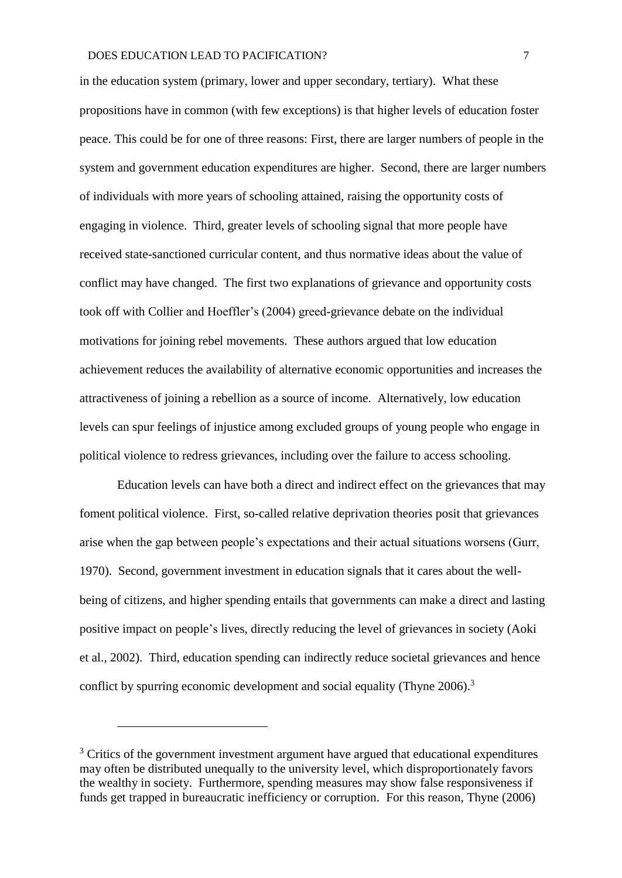in the education system (primary, lower and upper secondary, tertiary). What these propositions have in common (with few exceptions) is that higher levels of education foster peace. This could be for one of three reasons: First, there are larger numbers of people in the system and government education expenditures are higher. Second, there are larger numbers of individuals with more years of schooling attained, raising the opportunity costs of engaging in violence. Third, greater levels of schooling signal that more people have received state-sanctioned curricular content, and thus normative ideas about the value of conflict may have changed. The first two explanations of grievance and opportunity costs took off with Collier and Hoeffler's (2004) greed-grievance debate on the individual motivations for joining rebel movements. These authors argued that low education achievement reduces the availability of alternative economic opportunities and increases the attractiveness of joining a rebellion as a source of income. Alternatively, low education levels can spur feelings of injustice among excluded groups of young people who engage in political violence to redress grievances, including over the failure to access schooling.

Education levels can have both a direct and indirect effect on the grievances that may foment political violence. First, so-called relative deprivation theories posit that grievances arise when the gap between people's expectations and their actual situations worsens (Gurr, 1970). Second, government investment in education signals that it cares about the wellbeing of citizens, and higher spending entails that governments can make a direct and lasting positive impact on people's lives, directly reducing the level of grievances in society (Aoki et al., 2002). Third, education spending can indirectly reduce societal grievances and hence conflict by spurring economic development and social equality (Thyne 2006).<sup>3</sup>

<u>.</u>

 $3$  Critics of the government investment argument have argued that educational expenditures may often be distributed unequally to the university level, which disproportionately favors the wealthy in society. Furthermore, spending measures may show false responsiveness if funds get trapped in bureaucratic inefficiency or corruption. For this reason, Thyne (2006)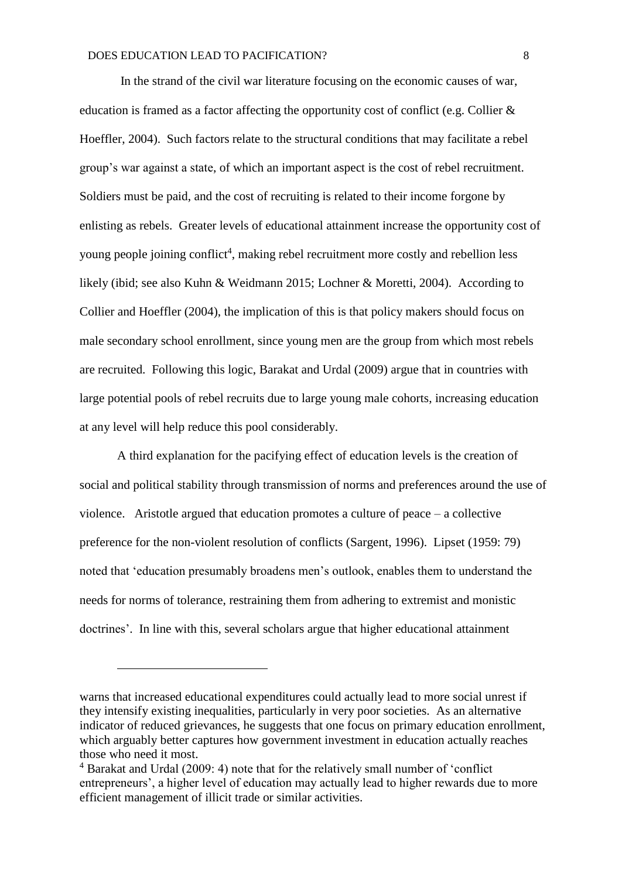In the strand of the civil war literature focusing on the economic causes of war, education is framed as a factor affecting the opportunity cost of conflict (e.g. Collier & Hoeffler, 2004). Such factors relate to the structural conditions that may facilitate a rebel group's war against a state, of which an important aspect is the cost of rebel recruitment. Soldiers must be paid, and the cost of recruiting is related to their income forgone by enlisting as rebels. Greater levels of educational attainment increase the opportunity cost of young people joining conflict<sup>4</sup>, making rebel recruitment more costly and rebellion less likely (ibid; see also Kuhn & Weidmann 2015; Lochner & Moretti, 2004). According to Collier and Hoeffler (2004), the implication of this is that policy makers should focus on male secondary school enrollment, since young men are the group from which most rebels are recruited. Following this logic, Barakat and Urdal (2009) argue that in countries with large potential pools of rebel recruits due to large young male cohorts, increasing education at any level will help reduce this pool considerably.

A third explanation for the pacifying effect of education levels is the creation of social and political stability through transmission of norms and preferences around the use of violence. Aristotle argued that education promotes a culture of peace – a collective preference for the non-violent resolution of conflicts (Sargent, 1996). Lipset (1959: 79) noted that 'education presumably broadens men's outlook, enables them to understand the needs for norms of tolerance, restraining them from adhering to extremist and monistic doctrines'. In line with this, several scholars argue that higher educational attainment

1

warns that increased educational expenditures could actually lead to more social unrest if they intensify existing inequalities, particularly in very poor societies. As an alternative indicator of reduced grievances, he suggests that one focus on primary education enrollment, which arguably better captures how government investment in education actually reaches those who need it most.

<sup>4</sup> Barakat and Urdal (2009: 4) note that for the relatively small number of 'conflict entrepreneurs', a higher level of education may actually lead to higher rewards due to more efficient management of illicit trade or similar activities.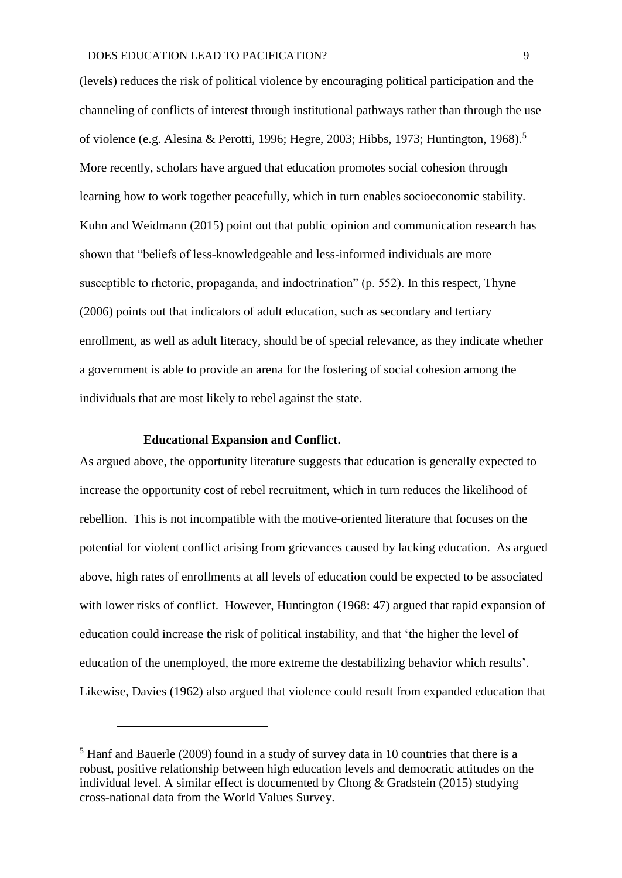(levels) reduces the risk of political violence by encouraging political participation and the channeling of conflicts of interest through institutional pathways rather than through the use of violence (e.g. Alesina & Perotti, 1996; Hegre, 2003; Hibbs, 1973; Huntington, 1968).<sup>5</sup> More recently, scholars have argued that education promotes social cohesion through learning how to work together peacefully, which in turn enables socioeconomic stability. Kuhn and Weidmann (2015) point out that public opinion and communication research has shown that "beliefs of less-knowledgeable and less-informed individuals are more susceptible to rhetoric, propaganda, and indoctrination" (p. 552). In this respect, Thyne (2006) points out that indicators of adult education, such as secondary and tertiary enrollment, as well as adult literacy, should be of special relevance, as they indicate whether a government is able to provide an arena for the fostering of social cohesion among the individuals that are most likely to rebel against the state.

#### **Educational Expansion and Conflict.**

<u>.</u>

As argued above, the opportunity literature suggests that education is generally expected to increase the opportunity cost of rebel recruitment, which in turn reduces the likelihood of rebellion. This is not incompatible with the motive-oriented literature that focuses on the potential for violent conflict arising from grievances caused by lacking education. As argued above, high rates of enrollments at all levels of education could be expected to be associated with lower risks of conflict. However, Huntington (1968: 47) argued that rapid expansion of education could increase the risk of political instability, and that 'the higher the level of education of the unemployed, the more extreme the destabilizing behavior which results'. Likewise, Davies (1962) also argued that violence could result from expanded education that

 $<sup>5</sup>$  Hanf and Bauerle (2009) found in a study of survey data in 10 countries that there is a</sup> robust, positive relationship between high education levels and democratic attitudes on the individual level. A similar effect is documented by Chong & Gradstein (2015) studying cross-national data from the World Values Survey.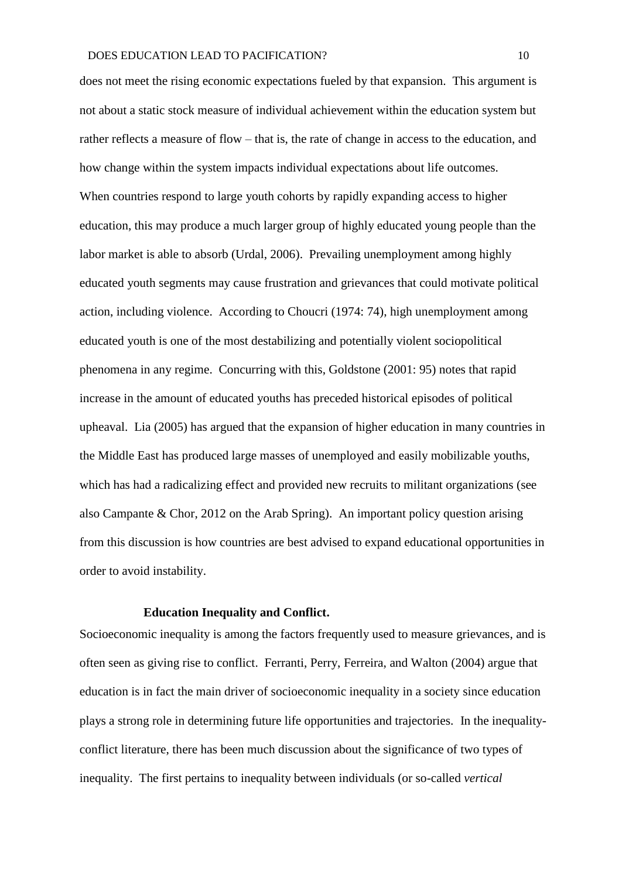does not meet the rising economic expectations fueled by that expansion. This argument is not about a static stock measure of individual achievement within the education system but rather reflects a measure of flow – that is, the rate of change in access to the education, and how change within the system impacts individual expectations about life outcomes. When countries respond to large youth cohorts by rapidly expanding access to higher education, this may produce a much larger group of highly educated young people than the labor market is able to absorb (Urdal, 2006). Prevailing unemployment among highly educated youth segments may cause frustration and grievances that could motivate political action, including violence. According to Choucri (1974: 74), high unemployment among educated youth is one of the most destabilizing and potentially violent sociopolitical phenomena in any regime. Concurring with this, Goldstone (2001: 95) notes that rapid increase in the amount of educated youths has preceded historical episodes of political upheaval. Lia (2005) has argued that the expansion of higher education in many countries in the Middle East has produced large masses of unemployed and easily mobilizable youths, which has had a radicalizing effect and provided new recruits to militant organizations (see also Campante & Chor, 2012 on the Arab Spring). An important policy question arising from this discussion is how countries are best advised to expand educational opportunities in order to avoid instability.

#### **Education Inequality and Conflict.**

Socioeconomic inequality is among the factors frequently used to measure grievances, and is often seen as giving rise to conflict. Ferranti, Perry, Ferreira, and Walton (2004) argue that education is in fact the main driver of socioeconomic inequality in a society since education plays a strong role in determining future life opportunities and trajectories. In the inequalityconflict literature, there has been much discussion about the significance of two types of inequality. The first pertains to inequality between individuals (or so-called *vertical*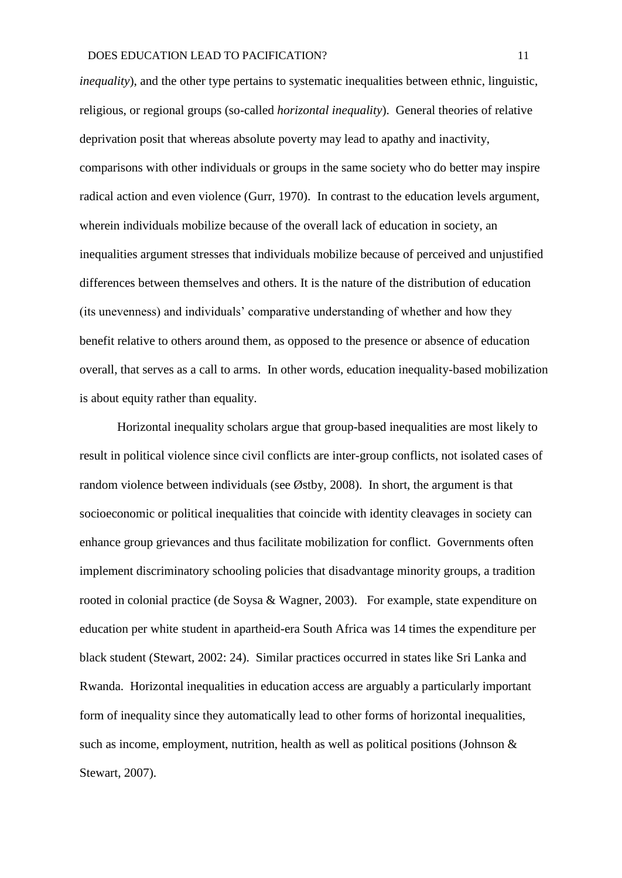*inequality*), and the other type pertains to systematic inequalities between ethnic, linguistic, religious, or regional groups (so-called *horizontal inequality*). General theories of relative deprivation posit that whereas absolute poverty may lead to apathy and inactivity, comparisons with other individuals or groups in the same society who do better may inspire radical action and even violence (Gurr, 1970). In contrast to the education levels argument, wherein individuals mobilize because of the overall lack of education in society, an inequalities argument stresses that individuals mobilize because of perceived and unjustified differences between themselves and others. It is the nature of the distribution of education (its unevenness) and individuals' comparative understanding of whether and how they benefit relative to others around them, as opposed to the presence or absence of education overall, that serves as a call to arms. In other words, education inequality-based mobilization is about equity rather than equality.

Horizontal inequality scholars argue that group-based inequalities are most likely to result in political violence since civil conflicts are inter-group conflicts, not isolated cases of random violence between individuals (see Østby, 2008). In short, the argument is that socioeconomic or political inequalities that coincide with identity cleavages in society can enhance group grievances and thus facilitate mobilization for conflict. Governments often implement discriminatory schooling policies that disadvantage minority groups, a tradition rooted in colonial practice (de Soysa & Wagner, 2003). For example, state expenditure on education per white student in apartheid-era South Africa was 14 times the expenditure per black student (Stewart, 2002: 24). Similar practices occurred in states like Sri Lanka and Rwanda. Horizontal inequalities in education access are arguably a particularly important form of inequality since they automatically lead to other forms of horizontal inequalities, such as income, employment, nutrition, health as well as political positions (Johnson & Stewart, 2007).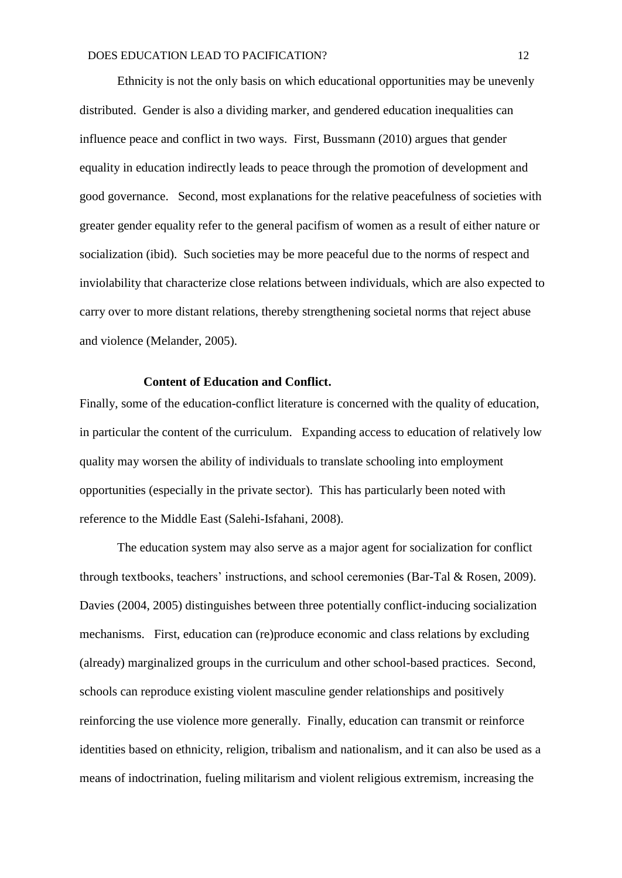Ethnicity is not the only basis on which educational opportunities may be unevenly distributed. Gender is also a dividing marker, and gendered education inequalities can influence peace and conflict in two ways. First, Bussmann (2010) argues that gender equality in education indirectly leads to peace through the promotion of development and good governance. Second, most explanations for the relative peacefulness of societies with greater gender equality refer to the general pacifism of women as a result of either nature or socialization (ibid). Such societies may be more peaceful due to the norms of respect and inviolability that characterize close relations between individuals, which are also expected to carry over to more distant relations, thereby strengthening societal norms that reject abuse and violence (Melander, 2005).

# **Content of Education and Conflict.**

Finally, some of the education-conflict literature is concerned with the quality of education, in particular the content of the curriculum. Expanding access to education of relatively low quality may worsen the ability of individuals to translate schooling into employment opportunities (especially in the private sector). This has particularly been noted with reference to the Middle East (Salehi-Isfahani, 2008).

The education system may also serve as a major agent for socialization for conflict through textbooks, teachers' instructions, and school ceremonies (Bar-Tal & Rosen, 2009). Davies (2004, 2005) distinguishes between three potentially conflict-inducing socialization mechanisms. First, education can (re)produce economic and class relations by excluding (already) marginalized groups in the curriculum and other school-based practices. Second, schools can reproduce existing violent masculine gender relationships and positively reinforcing the use violence more generally. Finally, education can transmit or reinforce identities based on ethnicity, religion, tribalism and nationalism, and it can also be used as a means of indoctrination, fueling militarism and violent religious extremism, increasing the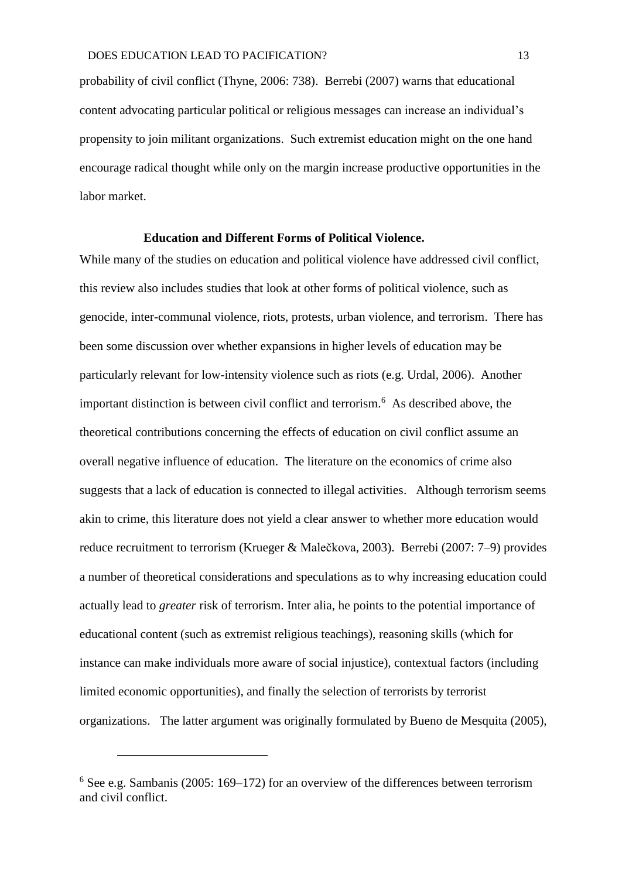probability of civil conflict (Thyne, 2006: 738). Berrebi (2007) warns that educational content advocating particular political or religious messages can increase an individual's propensity to join militant organizations. Such extremist education might on the one hand encourage radical thought while only on the margin increase productive opportunities in the labor market.

# **Education and Different Forms of Political Violence.**

While many of the studies on education and political violence have addressed civil conflict, this review also includes studies that look at other forms of political violence, such as genocide, inter-communal violence, riots, protests, urban violence, and terrorism. There has been some discussion over whether expansions in higher levels of education may be particularly relevant for low-intensity violence such as riots (e.g. Urdal, 2006). Another important distinction is between civil conflict and terrorism.<sup>6</sup> As described above, the theoretical contributions concerning the effects of education on civil conflict assume an overall negative influence of education. The literature on the economics of crime also suggests that a lack of education is connected to illegal activities. Although terrorism seems akin to crime, this literature does not yield a clear answer to whether more education would reduce recruitment to terrorism (Krueger & Malečkova, 2003). Berrebi (2007: 7–9) provides a number of theoretical considerations and speculations as to why increasing education could actually lead to *greater* risk of terrorism. Inter alia, he points to the potential importance of educational content (such as extremist religious teachings), reasoning skills (which for instance can make individuals more aware of social injustice), contextual factors (including limited economic opportunities), and finally the selection of terrorists by terrorist organizations. The latter argument was originally formulated by Bueno de Mesquita (2005),

1

 $6$  See e.g. Sambanis (2005: 169–172) for an overview of the differences between terrorism and civil conflict.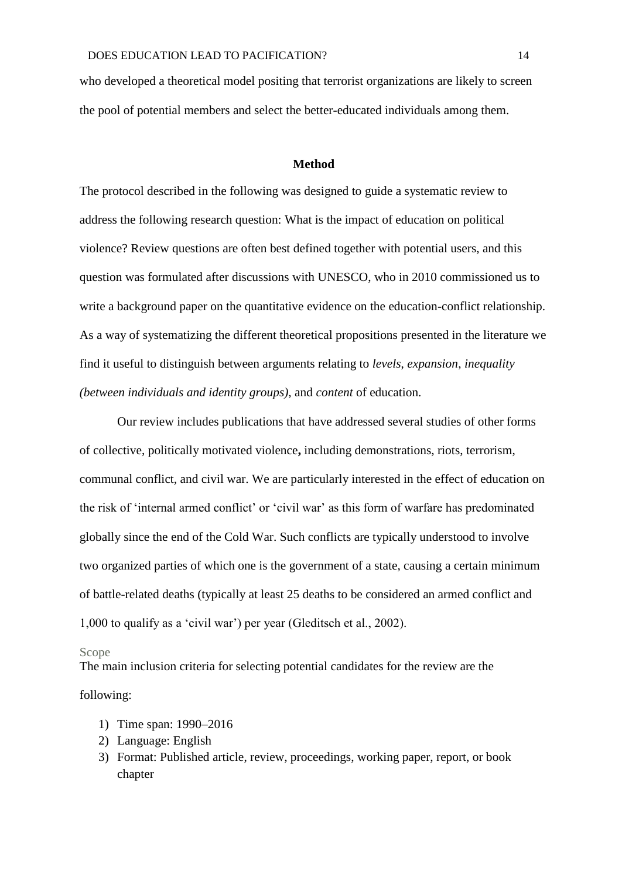who developed a theoretical model positing that terrorist organizations are likely to screen the pool of potential members and select the better-educated individuals among them.

#### **Method**

The protocol described in the following was designed to guide a systematic review to address the following research question: What is the impact of education on political violence? Review questions are often best defined together with potential users, and this question was formulated after discussions with UNESCO, who in 2010 commissioned us to write a background paper on the quantitative evidence on the education-conflict relationship. As a way of systematizing the different theoretical propositions presented in the literature we find it useful to distinguish between arguments relating to *levels*, *expansion*, *inequality (between individuals and identity groups)*, and *content* of education.

Our review includes publications that have addressed several studies of other forms of collective, politically motivated violence**,** including demonstrations, riots, terrorism, communal conflict, and civil war. We are particularly interested in the effect of education on the risk of 'internal armed conflict' or 'civil war' as this form of warfare has predominated globally since the end of the Cold War. Such conflicts are typically understood to involve two organized parties of which one is the government of a state, causing a certain minimum of battle-related deaths (typically at least 25 deaths to be considered an armed conflict and 1,000 to qualify as a 'civil war') per year (Gleditsch et al., 2002).

#### Scope

The main inclusion criteria for selecting potential candidates for the review are the following:

- 1) Time span: 1990–2016
- 2) Language: English
- 3) Format: Published article, review, proceedings, working paper, report, or book chapter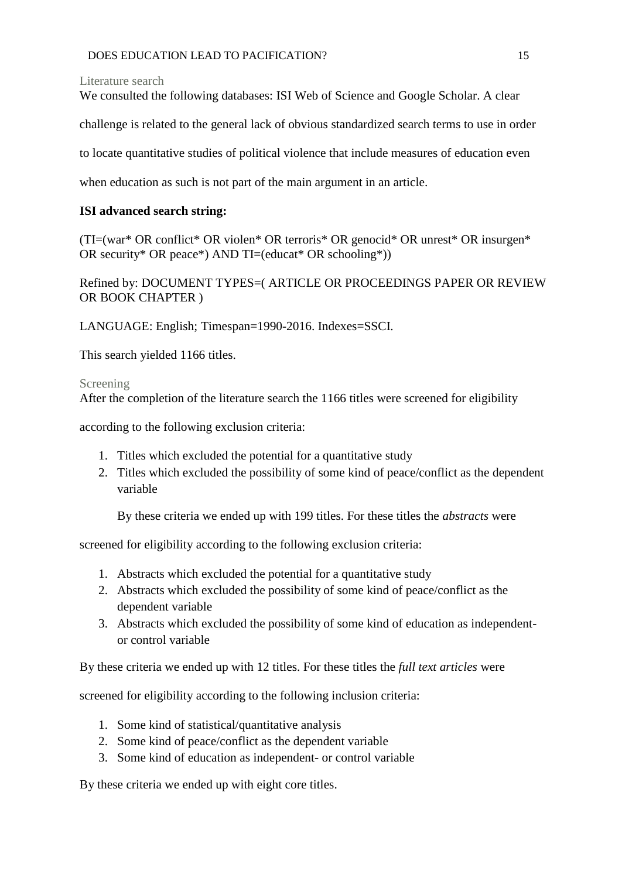Literature search

We consulted the following databases: ISI Web of Science and Google Scholar. A clear

challenge is related to the general lack of obvious standardized search terms to use in order

to locate quantitative studies of political violence that include measures of education even

when education as such is not part of the main argument in an article.

# **ISI advanced search string:**

(TI=(war\* OR conflict\* OR violen\* OR terroris\* OR genocid\* OR unrest\* OR insurgen\* OR security\* OR peace\*) AND  $TI = (educat* OR schooling*))$ 

Refined by: DOCUMENT TYPES=( ARTICLE OR PROCEEDINGS PAPER OR REVIEW OR BOOK CHAPTER )

LANGUAGE: English; Timespan=1990-2016. Indexes=SSCI.

This search yielded 1166 titles.

# Screening

After the completion of the literature search the 1166 titles were screened for eligibility

according to the following exclusion criteria:

- 1. Titles which excluded the potential for a quantitative study
- 2. Titles which excluded the possibility of some kind of peace/conflict as the dependent variable

By these criteria we ended up with 199 titles. For these titles the *abstracts* were

screened for eligibility according to the following exclusion criteria:

- 1. Abstracts which excluded the potential for a quantitative study
- 2. Abstracts which excluded the possibility of some kind of peace/conflict as the dependent variable
- 3. Abstracts which excluded the possibility of some kind of education as independentor control variable

By these criteria we ended up with 12 titles. For these titles the *full text articles* were

screened for eligibility according to the following inclusion criteria:

- 1. Some kind of statistical/quantitative analysis
- 2. Some kind of peace/conflict as the dependent variable
- 3. Some kind of education as independent- or control variable

By these criteria we ended up with eight core titles.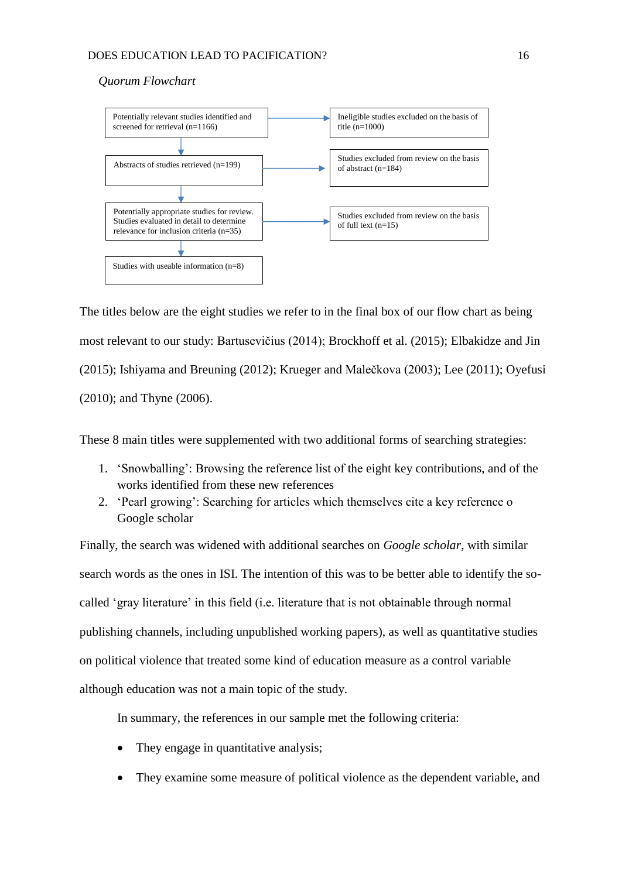### *Quorum Flowchart*



The titles below are the eight studies we refer to in the final box of our flow chart as being most relevant to our study: Bartusevičius (2014); Brockhoff et al. (2015); Elbakidze and Jin (2015); Ishiyama and Breuning (2012); Krueger and Malečkova (2003); Lee (2011); Oyefusi (2010); and Thyne (2006).

These 8 main titles were supplemented with two additional forms of searching strategies:

- 1. 'Snowballing': Browsing the reference list of the eight key contributions, and of the works identified from these new references
- 2. 'Pearl growing': Searching for articles which themselves cite a key reference o Google scholar

Finally, the search was widened with additional searches on *Google scholar*, with similar search words as the ones in ISI. The intention of this was to be better able to identify the socalled 'gray literature' in this field (i.e. literature that is not obtainable through normal publishing channels, including unpublished working papers), as well as quantitative studies on political violence that treated some kind of education measure as a control variable although education was not a main topic of the study.

In summary, the references in our sample met the following criteria:

- They engage in quantitative analysis;
- They examine some measure of political violence as the dependent variable, and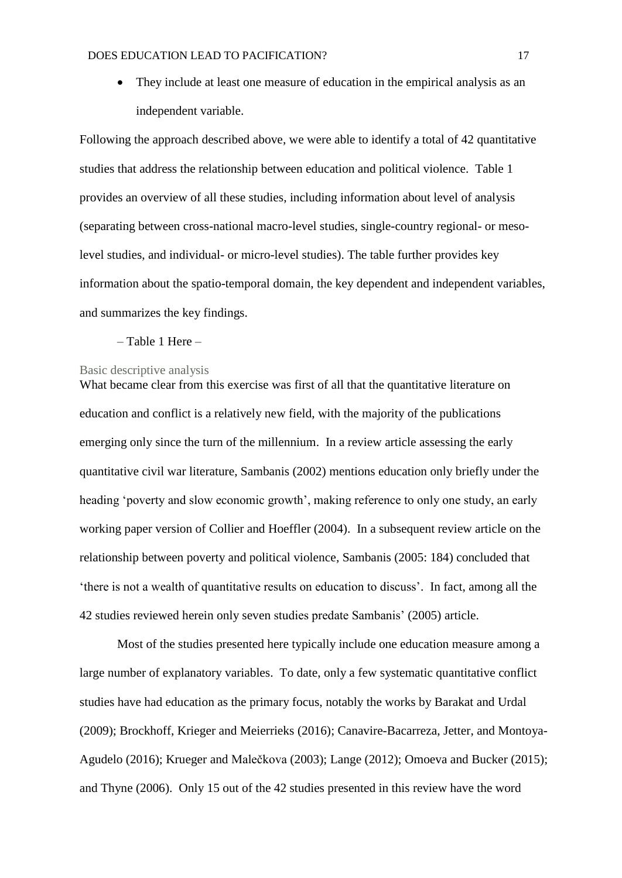• They include at least one measure of education in the empirical analysis as an independent variable.

Following the approach described above, we were able to identify a total of 42 quantitative studies that address the relationship between education and political violence. Table 1 provides an overview of all these studies, including information about level of analysis (separating between cross-national macro-level studies, single-country regional- or mesolevel studies, and individual- or micro-level studies). The table further provides key information about the spatio-temporal domain, the key dependent and independent variables, and summarizes the key findings.

– Table 1 Here –

#### Basic descriptive analysis

What became clear from this exercise was first of all that the quantitative literature on education and conflict is a relatively new field, with the majority of the publications emerging only since the turn of the millennium. In a review article assessing the early quantitative civil war literature, Sambanis (2002) mentions education only briefly under the heading 'poverty and slow economic growth', making reference to only one study, an early working paper version of Collier and Hoeffler (2004). In a subsequent review article on the relationship between poverty and political violence, Sambanis (2005: 184) concluded that 'there is not a wealth of quantitative results on education to discuss'. In fact, among all the 42 studies reviewed herein only seven studies predate Sambanis' (2005) article.

Most of the studies presented here typically include one education measure among a large number of explanatory variables. To date, only a few systematic quantitative conflict studies have had education as the primary focus, notably the works by Barakat and Urdal (2009); Brockhoff, Krieger and Meierrieks (2016); Canavire-Bacarreza, Jetter, and Montoya-Agudelo (2016); Krueger and Malečkova (2003); Lange (2012); Omoeva and Bucker (2015); and Thyne (2006). Only 15 out of the 42 studies presented in this review have the word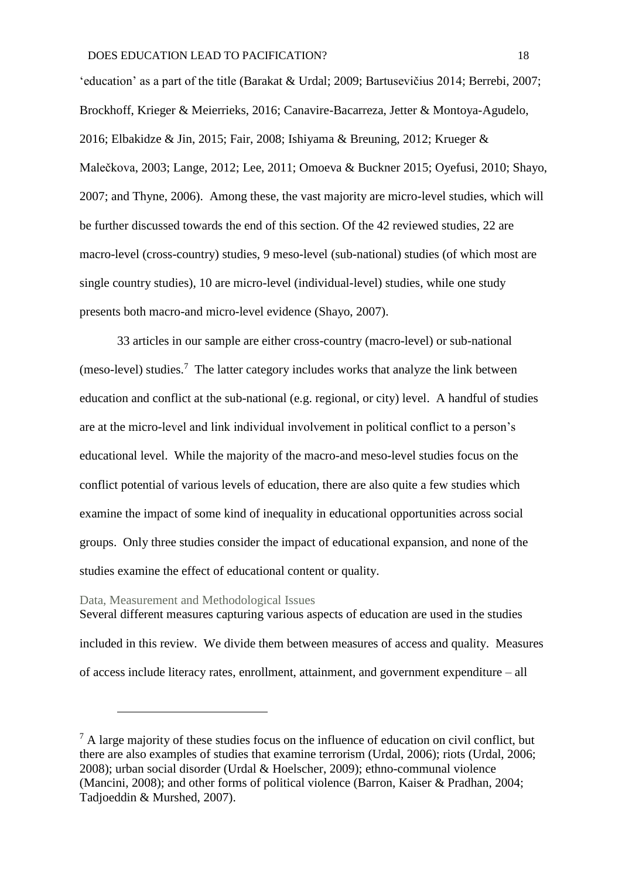'education' as a part of the title (Barakat & Urdal; 2009; Bartusevičius 2014; Berrebi, 2007; Brockhoff, Krieger & Meierrieks, 2016; Canavire-Bacarreza, Jetter & Montoya-Agudelo, 2016; Elbakidze & Jin, 2015; Fair, 2008; Ishiyama & Breuning, 2012; Krueger & Malečkova, 2003; Lange, 2012; Lee, 2011; Omoeva & Buckner 2015; Oyefusi, 2010; Shayo, 2007; and Thyne, 2006). Among these, the vast majority are micro-level studies, which will be further discussed towards the end of this section. Of the 42 reviewed studies, 22 are macro-level (cross-country) studies, 9 meso-level (sub-national) studies (of which most are single country studies), 10 are micro-level (individual-level) studies, while one study presents both macro-and micro-level evidence (Shayo, 2007).

33 articles in our sample are either cross-country (macro-level) or sub-national  $(meso-level)$  studies.<sup>7</sup> The latter category includes works that analyze the link between education and conflict at the sub-national (e.g. regional, or city) level. A handful of studies are at the micro-level and link individual involvement in political conflict to a person's educational level. While the majority of the macro-and meso-level studies focus on the conflict potential of various levels of education, there are also quite a few studies which examine the impact of some kind of inequality in educational opportunities across social groups. Only three studies consider the impact of educational expansion, and none of the studies examine the effect of educational content or quality.

#### Data, Measurement and Methodological Issues

1

Several different measures capturing various aspects of education are used in the studies included in this review. We divide them between measures of access and quality. Measures of access include literacy rates, enrollment, attainment, and government expenditure – all

 $<sup>7</sup>$  A large majority of these studies focus on the influence of education on civil conflict, but</sup> there are also examples of studies that examine terrorism (Urdal, 2006); riots (Urdal, 2006; 2008); urban social disorder (Urdal & Hoelscher, 2009); ethno-communal violence (Mancini, 2008); and other forms of political violence (Barron, Kaiser & Pradhan, 2004; Tadjoeddin & Murshed, 2007).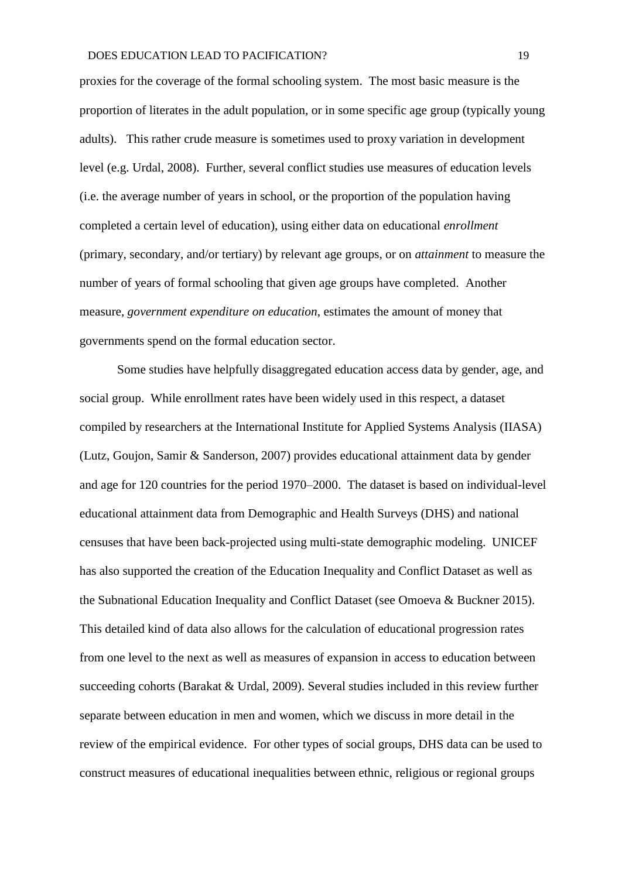proxies for the coverage of the formal schooling system. The most basic measure is the proportion of literates in the adult population, or in some specific age group (typically young adults). This rather crude measure is sometimes used to proxy variation in development level (e.g. Urdal, 2008). Further, several conflict studies use measures of education levels (i.e. the average number of years in school, or the proportion of the population having completed a certain level of education), using either data on educational *enrollment* (primary, secondary, and/or tertiary) by relevant age groups, or on *attainment* to measure the number of years of formal schooling that given age groups have completed. Another measure, *government expenditure on education*, estimates the amount of money that governments spend on the formal education sector.

Some studies have helpfully disaggregated education access data by gender, age, and social group. While enrollment rates have been widely used in this respect, a dataset compiled by researchers at the International Institute for Applied Systems Analysis (IIASA) (Lutz, Goujon, Samir & Sanderson, 2007) provides educational attainment data by gender and age for 120 countries for the period 1970–2000. The dataset is based on individual-level educational attainment data from Demographic and Health Surveys (DHS) and national censuses that have been back-projected using multi-state demographic modeling. UNICEF has also supported the creation of the Education Inequality and Conflict Dataset as well as the Subnational Education Inequality and Conflict Dataset (see Omoeva & Buckner 2015). This detailed kind of data also allows for the calculation of educational progression rates from one level to the next as well as measures of expansion in access to education between succeeding cohorts (Barakat & Urdal, 2009). Several studies included in this review further separate between education in men and women, which we discuss in more detail in the review of the empirical evidence. For other types of social groups, DHS data can be used to construct measures of educational inequalities between ethnic, religious or regional groups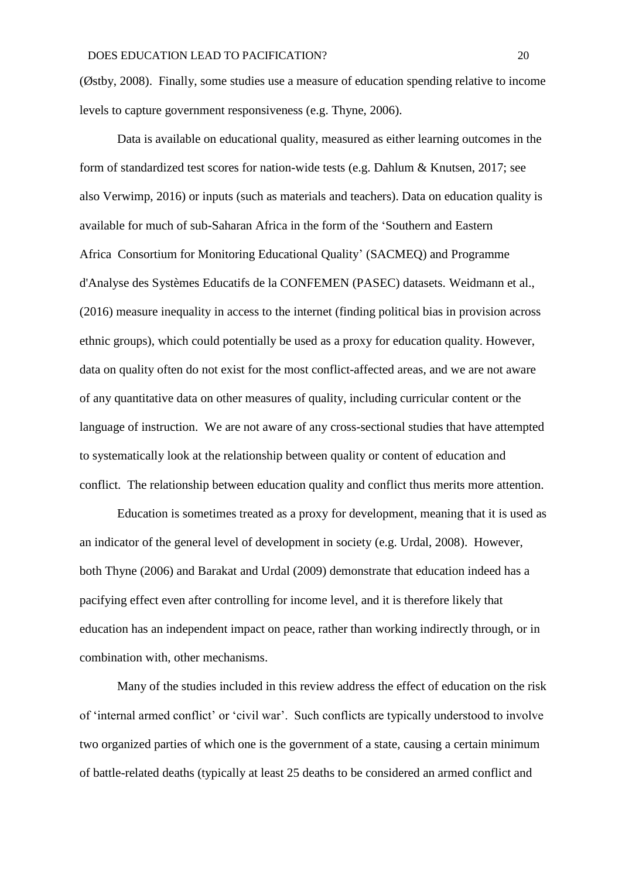(Østby, 2008). Finally, some studies use a measure of education spending relative to income levels to capture government responsiveness (e.g. Thyne, 2006).

Data is available on educational quality, measured as either learning outcomes in the form of standardized test scores for nation-wide tests (e.g. Dahlum & Knutsen, 2017; see also Verwimp, 2016) or inputs (such as materials and teachers). Data on education quality is available for much of sub-Saharan Africa in the form of the 'Southern and Eastern Africa Consortium for Monitoring Educational Quality' (SACMEQ) and Programme d'Analyse des Systèmes Educatifs de la CONFEMEN (PASEC) datasets. Weidmann et al., (2016) measure inequality in access to the internet (finding political bias in provision across ethnic groups), which could potentially be used as a proxy for education quality. However, data on quality often do not exist for the most conflict-affected areas, and we are not aware of any quantitative data on other measures of quality, including curricular content or the language of instruction. We are not aware of any cross-sectional studies that have attempted to systematically look at the relationship between quality or content of education and conflict. The relationship between education quality and conflict thus merits more attention.

Education is sometimes treated as a proxy for development, meaning that it is used as an indicator of the general level of development in society (e.g. Urdal, 2008). However, both Thyne (2006) and Barakat and Urdal (2009) demonstrate that education indeed has a pacifying effect even after controlling for income level, and it is therefore likely that education has an independent impact on peace, rather than working indirectly through, or in combination with, other mechanisms.

Many of the studies included in this review address the effect of education on the risk of 'internal armed conflict' or 'civil war'. Such conflicts are typically understood to involve two organized parties of which one is the government of a state, causing a certain minimum of battle-related deaths (typically at least 25 deaths to be considered an armed conflict and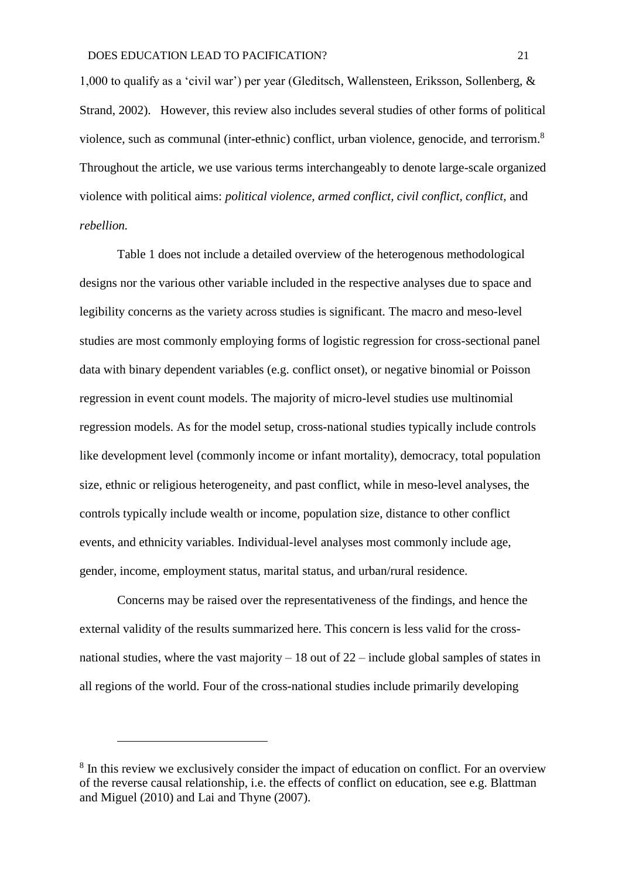1,000 to qualify as a 'civil war') per year (Gleditsch, Wallensteen, Eriksson, Sollenberg, & Strand, 2002). However, this review also includes several studies of other forms of political violence, such as communal (inter-ethnic) conflict, urban violence, genocide, and terrorism.<sup>8</sup> Throughout the article, we use various terms interchangeably to denote large-scale organized violence with political aims: *political violence, armed conflict, civil conflict, conflict,* and *rebellion.*

Table 1 does not include a detailed overview of the heterogenous methodological designs nor the various other variable included in the respective analyses due to space and legibility concerns as the variety across studies is significant. The macro and meso-level studies are most commonly employing forms of logistic regression for cross-sectional panel data with binary dependent variables (e.g. conflict onset), or negative binomial or Poisson regression in event count models. The majority of micro-level studies use multinomial regression models. As for the model setup, cross-national studies typically include controls like development level (commonly income or infant mortality), democracy, total population size, ethnic or religious heterogeneity, and past conflict, while in meso-level analyses, the controls typically include wealth or income, population size, distance to other conflict events, and ethnicity variables. Individual-level analyses most commonly include age, gender, income, employment status, marital status, and urban/rural residence.

Concerns may be raised over the representativeness of the findings, and hence the external validity of the results summarized here. This concern is less valid for the crossnational studies, where the vast majority  $-18$  out of  $22$  – include global samples of states in all regions of the world. Four of the cross-national studies include primarily developing

<u>.</u>

<sup>&</sup>lt;sup>8</sup> In this review we exclusively consider the impact of education on conflict. For an overview of the reverse causal relationship, i.e. the effects of conflict on education, see e.g. Blattman and Miguel (2010) and Lai and Thyne (2007).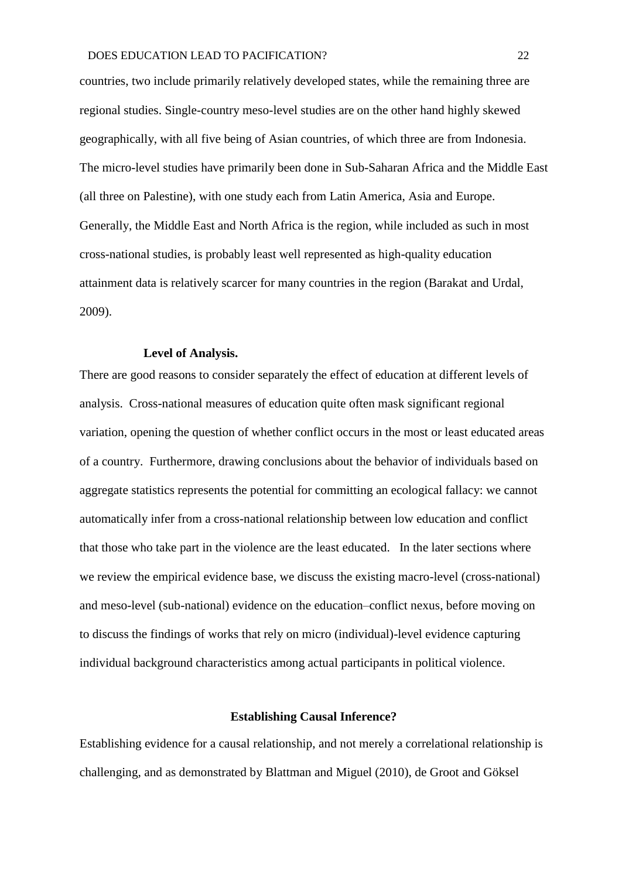countries, two include primarily relatively developed states, while the remaining three are regional studies. Single-country meso-level studies are on the other hand highly skewed geographically, with all five being of Asian countries, of which three are from Indonesia. The micro-level studies have primarily been done in Sub-Saharan Africa and the Middle East (all three on Palestine), with one study each from Latin America, Asia and Europe. Generally, the Middle East and North Africa is the region, while included as such in most cross-national studies, is probably least well represented as high-quality education attainment data is relatively scarcer for many countries in the region (Barakat and Urdal, 2009).

#### **Level of Analysis.**

There are good reasons to consider separately the effect of education at different levels of analysis. Cross-national measures of education quite often mask significant regional variation, opening the question of whether conflict occurs in the most or least educated areas of a country. Furthermore, drawing conclusions about the behavior of individuals based on aggregate statistics represents the potential for committing an ecological fallacy: we cannot automatically infer from a cross-national relationship between low education and conflict that those who take part in the violence are the least educated. In the later sections where we review the empirical evidence base, we discuss the existing macro-level (cross-national) and meso-level (sub-national) evidence on the education–conflict nexus, before moving on to discuss the findings of works that rely on micro (individual)-level evidence capturing individual background characteristics among actual participants in political violence.

# **Establishing Causal Inference?**

Establishing evidence for a causal relationship, and not merely a correlational relationship is challenging, and as demonstrated by Blattman and Miguel (2010), de Groot and Göksel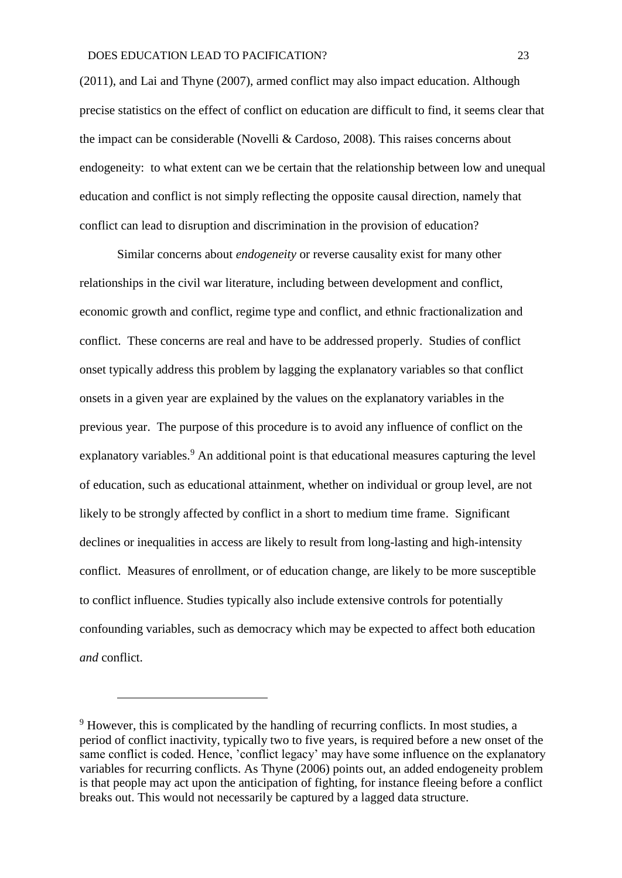(2011), and Lai and Thyne (2007), armed conflict may also impact education. Although precise statistics on the effect of conflict on education are difficult to find, it seems clear that the impact can be considerable (Novelli & Cardoso, 2008). This raises concerns about endogeneity: to what extent can we be certain that the relationship between low and unequal education and conflict is not simply reflecting the opposite causal direction, namely that conflict can lead to disruption and discrimination in the provision of education?

Similar concerns about *endogeneity* or reverse causality exist for many other relationships in the civil war literature, including between development and conflict, economic growth and conflict, regime type and conflict, and ethnic fractionalization and conflict. These concerns are real and have to be addressed properly. Studies of conflict onset typically address this problem by lagging the explanatory variables so that conflict onsets in a given year are explained by the values on the explanatory variables in the previous year. The purpose of this procedure is to avoid any influence of conflict on the explanatory variables.<sup>9</sup> An additional point is that educational measures capturing the level of education, such as educational attainment, whether on individual or group level, are not likely to be strongly affected by conflict in a short to medium time frame. Significant declines or inequalities in access are likely to result from long-lasting and high-intensity conflict. Measures of enrollment, or of education change, are likely to be more susceptible to conflict influence. Studies typically also include extensive controls for potentially confounding variables, such as democracy which may be expected to affect both education *and* conflict.

1

<sup>&</sup>lt;sup>9</sup> However, this is complicated by the handling of recurring conflicts. In most studies, a period of conflict inactivity, typically two to five years, is required before a new onset of the same conflict is coded. Hence, 'conflict legacy' may have some influence on the explanatory variables for recurring conflicts. As Thyne (2006) points out, an added endogeneity problem is that people may act upon the anticipation of fighting, for instance fleeing before a conflict breaks out. This would not necessarily be captured by a lagged data structure.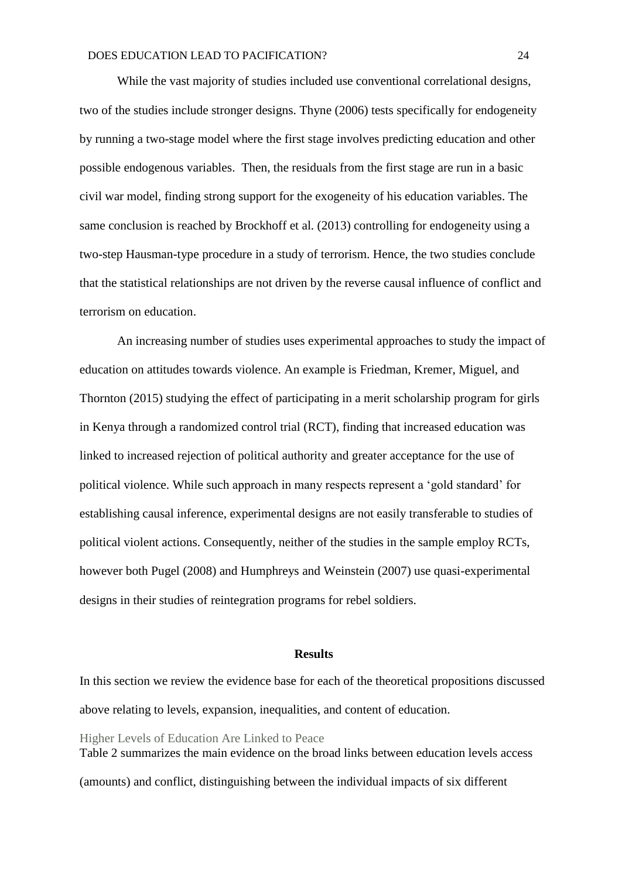While the vast majority of studies included use conventional correlational designs, two of the studies include stronger designs. Thyne (2006) tests specifically for endogeneity by running a two-stage model where the first stage involves predicting education and other possible endogenous variables. Then, the residuals from the first stage are run in a basic civil war model, finding strong support for the exogeneity of his education variables. The same conclusion is reached by Brockhoff et al. (2013) controlling for endogeneity using a two-step Hausman-type procedure in a study of terrorism. Hence, the two studies conclude that the statistical relationships are not driven by the reverse causal influence of conflict and terrorism on education.

An increasing number of studies uses experimental approaches to study the impact of education on attitudes towards violence. An example is Friedman, Kremer, Miguel, and Thornton (2015) studying the effect of participating in a merit scholarship program for girls in Kenya through a randomized control trial (RCT), finding that increased education was linked to increased rejection of political authority and greater acceptance for the use of political violence. While such approach in many respects represent a 'gold standard' for establishing causal inference, experimental designs are not easily transferable to studies of political violent actions. Consequently, neither of the studies in the sample employ RCTs, however both Pugel (2008) and Humphreys and Weinstein (2007) use quasi-experimental designs in their studies of reintegration programs for rebel soldiers.

### **Results**

In this section we review the evidence base for each of the theoretical propositions discussed above relating to levels, expansion, inequalities, and content of education.

Higher Levels of Education Are Linked to Peace Table 2 summarizes the main evidence on the broad links between education levels access (amounts) and conflict, distinguishing between the individual impacts of six different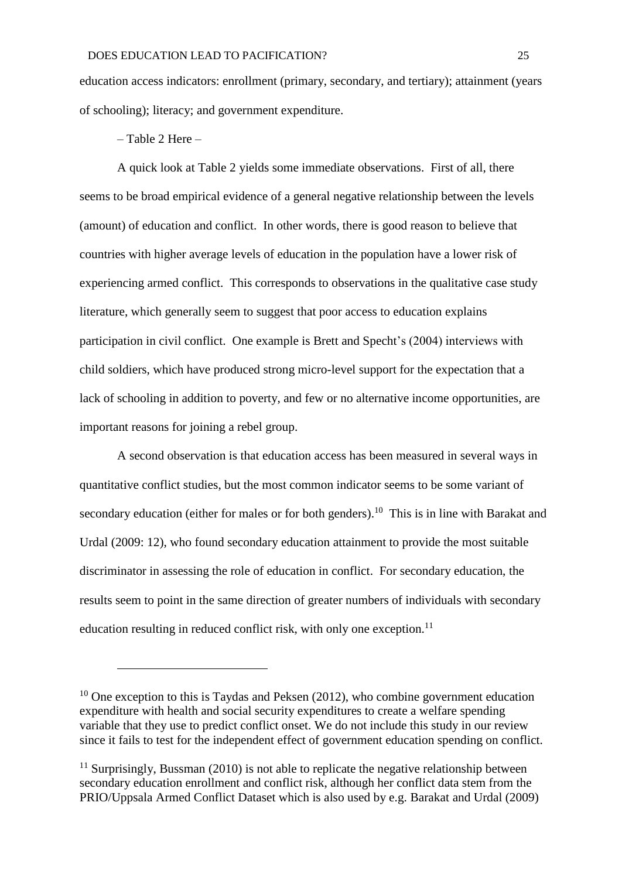education access indicators: enrollment (primary, secondary, and tertiary); attainment (years of schooling); literacy; and government expenditure.

– Table 2 Here –

1

A quick look at Table 2 yields some immediate observations. First of all, there seems to be broad empirical evidence of a general negative relationship between the levels (amount) of education and conflict. In other words, there is good reason to believe that countries with higher average levels of education in the population have a lower risk of experiencing armed conflict. This corresponds to observations in the qualitative case study literature, which generally seem to suggest that poor access to education explains participation in civil conflict. One example is Brett and Specht's (2004) interviews with child soldiers, which have produced strong micro-level support for the expectation that a lack of schooling in addition to poverty, and few or no alternative income opportunities, are important reasons for joining a rebel group.

A second observation is that education access has been measured in several ways in quantitative conflict studies, but the most common indicator seems to be some variant of secondary education (either for males or for both genders).<sup>10</sup> This is in line with Barakat and Urdal (2009: 12), who found secondary education attainment to provide the most suitable discriminator in assessing the role of education in conflict. For secondary education, the results seem to point in the same direction of greater numbers of individuals with secondary education resulting in reduced conflict risk, with only one exception.<sup>11</sup>

 $10$  One exception to this is Taydas and Peksen (2012), who combine government education expenditure with health and social security expenditures to create a welfare spending variable that they use to predict conflict onset. We do not include this study in our review since it fails to test for the independent effect of government education spending on conflict.

<sup>&</sup>lt;sup>11</sup> Surprisingly, Bussman (2010) is not able to replicate the negative relationship between secondary education enrollment and conflict risk, although her conflict data stem from the PRIO/Uppsala Armed Conflict Dataset which is also used by e.g. Barakat and Urdal (2009)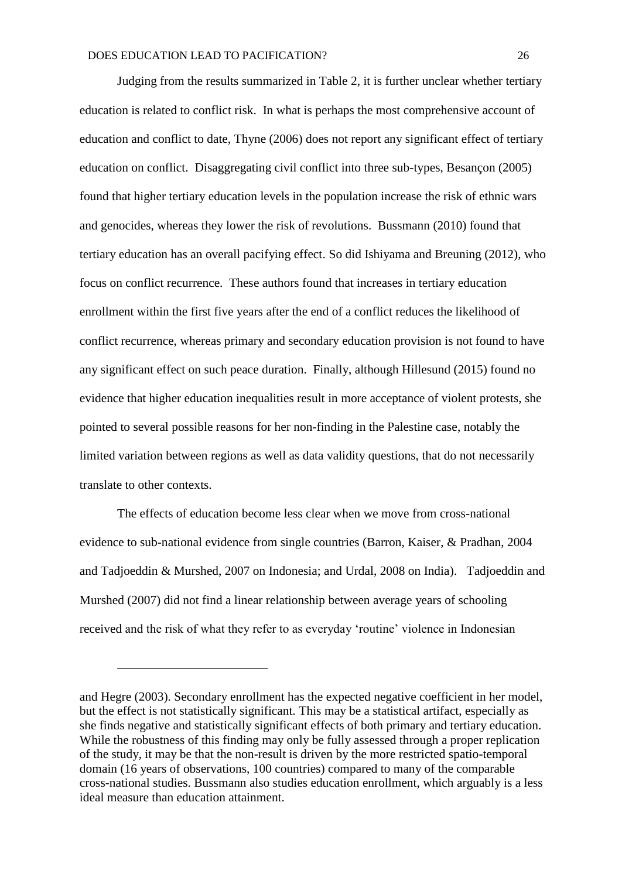Judging from the results summarized in Table 2, it is further unclear whether tertiary education is related to conflict risk. In what is perhaps the most comprehensive account of education and conflict to date, Thyne (2006) does not report any significant effect of tertiary education on conflict. Disaggregating civil conflict into three sub-types, Besançon (2005) found that higher tertiary education levels in the population increase the risk of ethnic wars and genocides, whereas they lower the risk of revolutions. Bussmann (2010) found that tertiary education has an overall pacifying effect. So did Ishiyama and Breuning (2012), who focus on conflict recurrence. These authors found that increases in tertiary education enrollment within the first five years after the end of a conflict reduces the likelihood of conflict recurrence, whereas primary and secondary education provision is not found to have any significant effect on such peace duration. Finally, although Hillesund (2015) found no evidence that higher education inequalities result in more acceptance of violent protests, she pointed to several possible reasons for her non-finding in the Palestine case, notably the limited variation between regions as well as data validity questions, that do not necessarily translate to other contexts.

The effects of education become less clear when we move from cross-national evidence to sub-national evidence from single countries (Barron, Kaiser, & Pradhan, 2004 and Tadjoeddin & Murshed, 2007 on Indonesia; and Urdal, 2008 on India). Tadjoeddin and Murshed (2007) did not find a linear relationship between average years of schooling received and the risk of what they refer to as everyday 'routine' violence in Indonesian

1

and Hegre (2003). Secondary enrollment has the expected negative coefficient in her model, but the effect is not statistically significant. This may be a statistical artifact, especially as she finds negative and statistically significant effects of both primary and tertiary education. While the robustness of this finding may only be fully assessed through a proper replication of the study, it may be that the non-result is driven by the more restricted spatio-temporal domain (16 years of observations, 100 countries) compared to many of the comparable cross-national studies. Bussmann also studies education enrollment, which arguably is a less ideal measure than education attainment.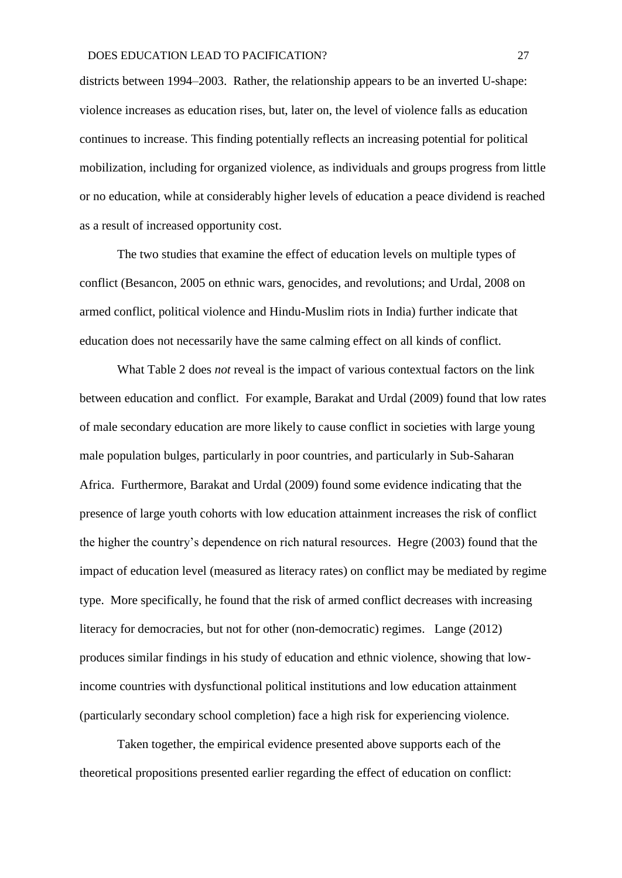districts between 1994–2003. Rather, the relationship appears to be an inverted U-shape: violence increases as education rises, but, later on, the level of violence falls as education continues to increase. This finding potentially reflects an increasing potential for political mobilization, including for organized violence, as individuals and groups progress from little or no education, while at considerably higher levels of education a peace dividend is reached as a result of increased opportunity cost.

The two studies that examine the effect of education levels on multiple types of conflict (Besancon, 2005 on ethnic wars, genocides, and revolutions; and Urdal, 2008 on armed conflict, political violence and Hindu-Muslim riots in India) further indicate that education does not necessarily have the same calming effect on all kinds of conflict.

What Table 2 does *not* reveal is the impact of various contextual factors on the link between education and conflict. For example, Barakat and Urdal (2009) found that low rates of male secondary education are more likely to cause conflict in societies with large young male population bulges, particularly in poor countries, and particularly in Sub-Saharan Africa. Furthermore, Barakat and Urdal (2009) found some evidence indicating that the presence of large youth cohorts with low education attainment increases the risk of conflict the higher the country's dependence on rich natural resources. Hegre (2003) found that the impact of education level (measured as literacy rates) on conflict may be mediated by regime type. More specifically, he found that the risk of armed conflict decreases with increasing literacy for democracies, but not for other (non-democratic) regimes. Lange (2012) produces similar findings in his study of education and ethnic violence, showing that lowincome countries with dysfunctional political institutions and low education attainment (particularly secondary school completion) face a high risk for experiencing violence.

Taken together, the empirical evidence presented above supports each of the theoretical propositions presented earlier regarding the effect of education on conflict: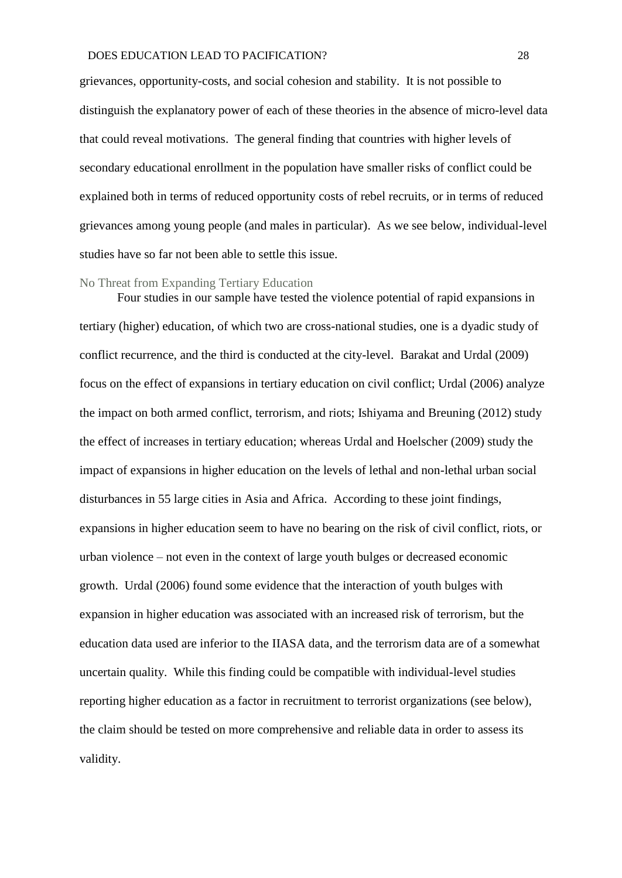grievances, opportunity-costs, and social cohesion and stability. It is not possible to distinguish the explanatory power of each of these theories in the absence of micro-level data that could reveal motivations. The general finding that countries with higher levels of secondary educational enrollment in the population have smaller risks of conflict could be explained both in terms of reduced opportunity costs of rebel recruits, or in terms of reduced grievances among young people (and males in particular). As we see below, individual-level studies have so far not been able to settle this issue.

#### No Threat from Expanding Tertiary Education

Four studies in our sample have tested the violence potential of rapid expansions in tertiary (higher) education, of which two are cross-national studies, one is a dyadic study of conflict recurrence, and the third is conducted at the city-level. Barakat and Urdal (2009) focus on the effect of expansions in tertiary education on civil conflict; Urdal (2006) analyze the impact on both armed conflict, terrorism, and riots; Ishiyama and Breuning (2012) study the effect of increases in tertiary education; whereas Urdal and Hoelscher (2009) study the impact of expansions in higher education on the levels of lethal and non-lethal urban social disturbances in 55 large cities in Asia and Africa. According to these joint findings, expansions in higher education seem to have no bearing on the risk of civil conflict, riots, or urban violence – not even in the context of large youth bulges or decreased economic growth. Urdal (2006) found some evidence that the interaction of youth bulges with expansion in higher education was associated with an increased risk of terrorism, but the education data used are inferior to the IIASA data, and the terrorism data are of a somewhat uncertain quality. While this finding could be compatible with individual-level studies reporting higher education as a factor in recruitment to terrorist organizations (see below), the claim should be tested on more comprehensive and reliable data in order to assess its validity.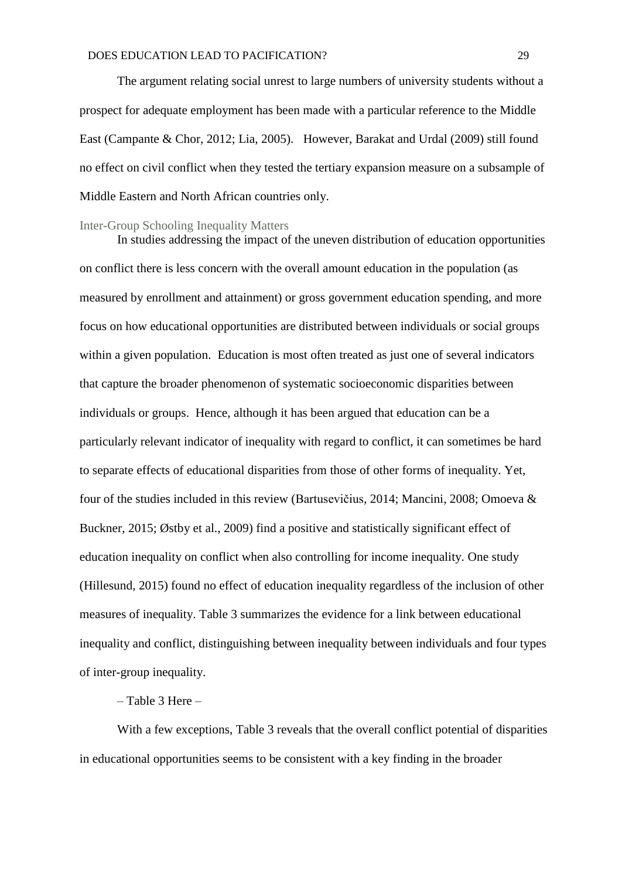The argument relating social unrest to large numbers of university students without a prospect for adequate employment has been made with a particular reference to the Middle East (Campante & Chor, 2012; Lia, 2005). However, Barakat and Urdal (2009) still found no effect on civil conflict when they tested the tertiary expansion measure on a subsample of Middle Eastern and North African countries only.

#### Inter-Group Schooling Inequality Matters

In studies addressing the impact of the uneven distribution of education opportunities on conflict there is less concern with the overall amount education in the population (as measured by enrollment and attainment) or gross government education spending, and more focus on how educational opportunities are distributed between individuals or social groups within a given population. Education is most often treated as just one of several indicators that capture the broader phenomenon of systematic socioeconomic disparities between individuals or groups. Hence, although it has been argued that education can be a particularly relevant indicator of inequality with regard to conflict, it can sometimes be hard to separate effects of educational disparities from those of other forms of inequality. Yet, four of the studies included in this review (Bartusevičius, 2014; Mancini, 2008; Omoeva & Buckner, 2015; Østby et al., 2009) find a positive and statistically significant effect of education inequality on conflict when also controlling for income inequality. One study (Hillesund, 2015) found no effect of education inequality regardless of the inclusion of other measures of inequality. Table 3 summarizes the evidence for a link between educational inequality and conflict, distinguishing between inequality between individuals and four types of inter-group inequality.

### – Table 3 Here –

With a few exceptions, Table 3 reveals that the overall conflict potential of disparities in educational opportunities seems to be consistent with a key finding in the broader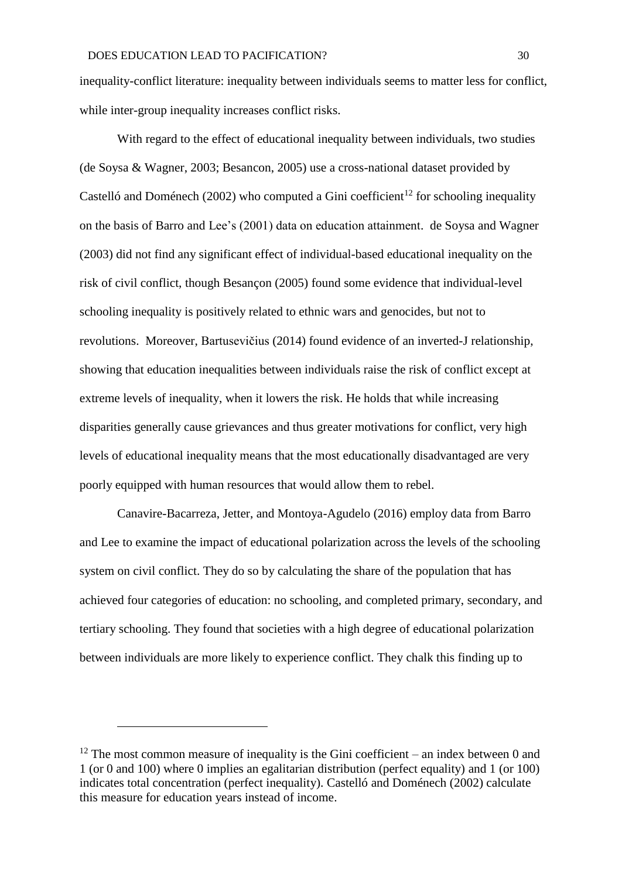inequality-conflict literature: inequality between individuals seems to matter less for conflict, while inter-group inequality increases conflict risks.

With regard to the effect of educational inequality between individuals, two studies (de Soysa & Wagner, 2003; Besancon, 2005) use a cross-national dataset provided by Castelló and Doménech (2002) who computed a Gini coefficient<sup>12</sup> for schooling inequality on the basis of Barro and Lee's (2001) data on education attainment. de Soysa and Wagner (2003) did not find any significant effect of individual-based educational inequality on the risk of civil conflict, though Besançon (2005) found some evidence that individual-level schooling inequality is positively related to ethnic wars and genocides, but not to revolutions. Moreover, Bartusevičius (2014) found evidence of an inverted-J relationship, showing that education inequalities between individuals raise the risk of conflict except at extreme levels of inequality, when it lowers the risk. He holds that while increasing disparities generally cause grievances and thus greater motivations for conflict, very high levels of educational inequality means that the most educationally disadvantaged are very poorly equipped with human resources that would allow them to rebel.

Canavire-Bacarreza, Jetter, and Montoya-Agudelo (2016) employ data from Barro and Lee to examine the impact of educational polarization across the levels of the schooling system on civil conflict. They do so by calculating the share of the population that has achieved four categories of education: no schooling, and completed primary, secondary, and tertiary schooling. They found that societies with a high degree of educational polarization between individuals are more likely to experience conflict. They chalk this finding up to

<u>.</u>

<sup>&</sup>lt;sup>12</sup> The most common measure of inequality is the Gini coefficient – an index between 0 and 1 (or 0 and 100) where 0 implies an egalitarian distribution (perfect equality) and 1 (or 100) indicates total concentration (perfect inequality). Castelló and Doménech (2002) calculate this measure for education years instead of income.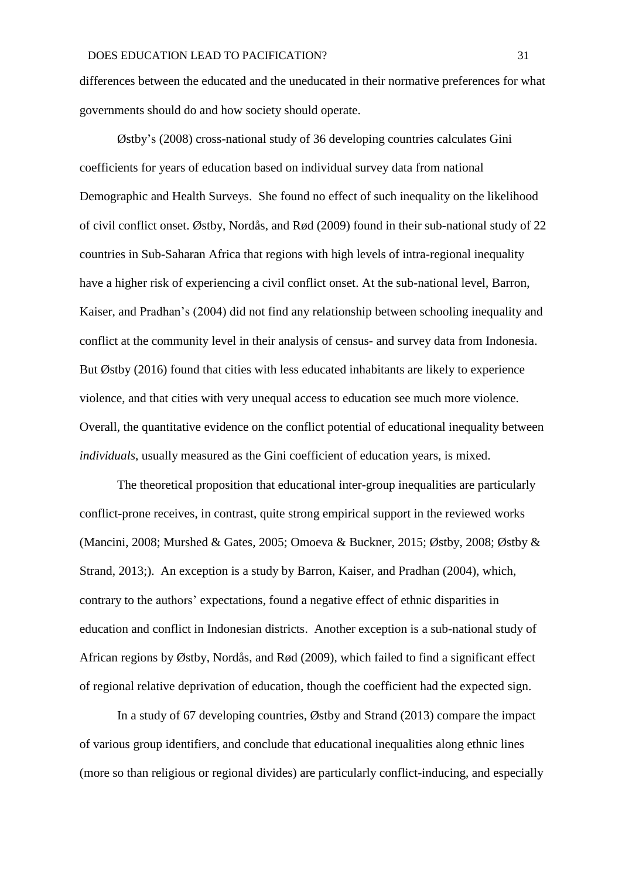differences between the educated and the uneducated in their normative preferences for what governments should do and how society should operate.

Østby's (2008) cross-national study of 36 developing countries calculates Gini coefficients for years of education based on individual survey data from national Demographic and Health Surveys. She found no effect of such inequality on the likelihood of civil conflict onset. Østby, Nordås, and Rød (2009) found in their sub-national study of 22 countries in Sub-Saharan Africa that regions with high levels of intra-regional inequality have a higher risk of experiencing a civil conflict onset. At the sub-national level, Barron, Kaiser, and Pradhan's (2004) did not find any relationship between schooling inequality and conflict at the community level in their analysis of census- and survey data from Indonesia. But Østby (2016) found that cities with less educated inhabitants are likely to experience violence, and that cities with very unequal access to education see much more violence. Overall, the quantitative evidence on the conflict potential of educational inequality between *individuals*, usually measured as the Gini coefficient of education years, is mixed.

The theoretical proposition that educational inter-group inequalities are particularly conflict-prone receives, in contrast, quite strong empirical support in the reviewed works (Mancini, 2008; Murshed & Gates, 2005; Omoeva & Buckner, 2015; Østby, 2008; Østby & Strand, 2013;). An exception is a study by Barron, Kaiser, and Pradhan (2004), which, contrary to the authors' expectations, found a negative effect of ethnic disparities in education and conflict in Indonesian districts. Another exception is a sub-national study of African regions by Østby, Nordås, and Rød (2009), which failed to find a significant effect of regional relative deprivation of education, though the coefficient had the expected sign.

In a study of 67 developing countries, Østby and Strand (2013) compare the impact of various group identifiers, and conclude that educational inequalities along ethnic lines (more so than religious or regional divides) are particularly conflict-inducing, and especially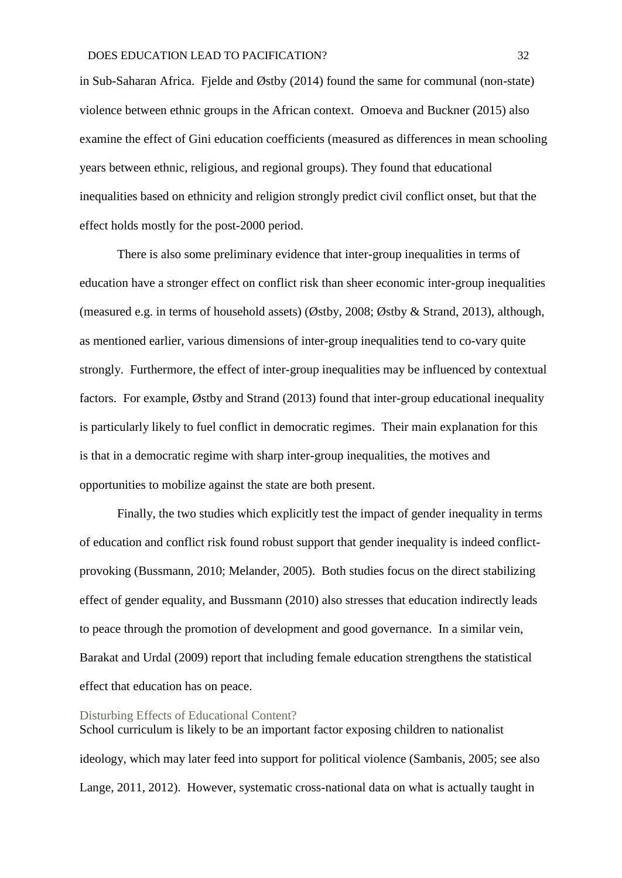in Sub-Saharan Africa. Fjelde and Østby (2014) found the same for communal (non-state) violence between ethnic groups in the African context. Omoeva and Buckner (2015) also examine the effect of Gini education coefficients (measured as differences in mean schooling years between ethnic, religious, and regional groups). They found that educational inequalities based on ethnicity and religion strongly predict civil conflict onset, but that the effect holds mostly for the post-2000 period.

There is also some preliminary evidence that inter-group inequalities in terms of education have a stronger effect on conflict risk than sheer economic inter-group inequalities (measured e.g. in terms of household assets) (Østby, 2008; Østby & Strand, 2013), although, as mentioned earlier, various dimensions of inter-group inequalities tend to co-vary quite strongly. Furthermore, the effect of inter-group inequalities may be influenced by contextual factors. For example, Østby and Strand (2013) found that inter-group educational inequality is particularly likely to fuel conflict in democratic regimes. Their main explanation for this is that in a democratic regime with sharp inter-group inequalities, the motives and opportunities to mobilize against the state are both present.

Finally, the two studies which explicitly test the impact of gender inequality in terms of education and conflict risk found robust support that gender inequality is indeed conflictprovoking (Bussmann, 2010; Melander, 2005). Both studies focus on the direct stabilizing effect of gender equality, and Bussmann (2010) also stresses that education indirectly leads to peace through the promotion of development and good governance. In a similar vein, Barakat and Urdal (2009) report that including female education strengthens the statistical effect that education has on peace.

### Disturbing Effects of Educational Content?

School curriculum is likely to be an important factor exposing children to nationalist ideology, which may later feed into support for political violence (Sambanis, 2005; see also Lange, 2011, 2012). However, systematic cross-national data on what is actually taught in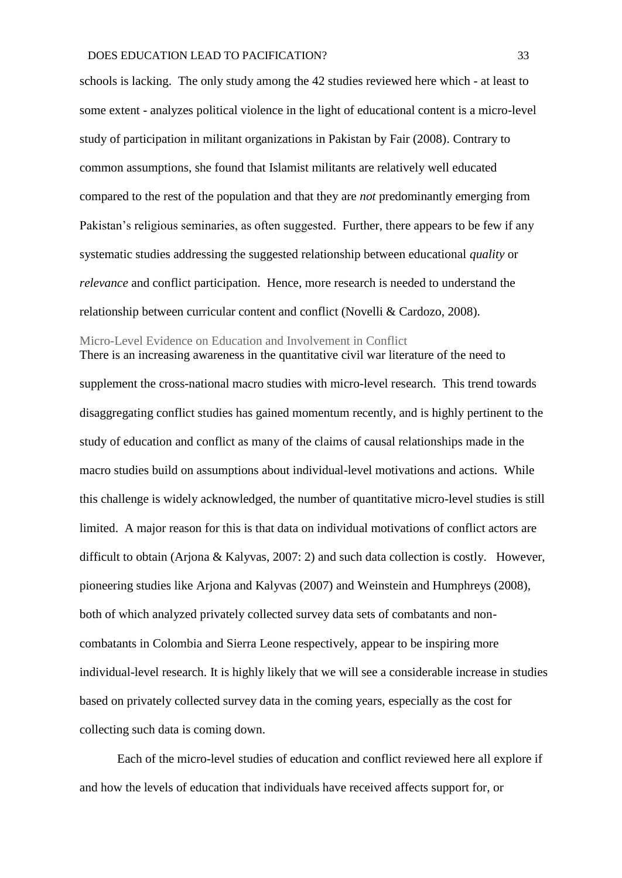schools is lacking. The only study among the 42 studies reviewed here which - at least to some extent - analyzes political violence in the light of educational content is a micro-level study of participation in militant organizations in Pakistan by Fair (2008). Contrary to common assumptions, she found that Islamist militants are relatively well educated compared to the rest of the population and that they are *not* predominantly emerging from Pakistan's religious seminaries, as often suggested. Further, there appears to be few if any systematic studies addressing the suggested relationship between educational *quality* or *relevance* and conflict participation. Hence, more research is needed to understand the relationship between curricular content and conflict (Novelli & Cardozo, 2008).

#### Micro-Level Evidence on Education and Involvement in Conflict

There is an increasing awareness in the quantitative civil war literature of the need to supplement the cross-national macro studies with micro-level research. This trend towards disaggregating conflict studies has gained momentum recently, and is highly pertinent to the study of education and conflict as many of the claims of causal relationships made in the macro studies build on assumptions about individual-level motivations and actions. While this challenge is widely acknowledged, the number of quantitative micro-level studies is still limited. A major reason for this is that data on individual motivations of conflict actors are difficult to obtain (Arjona & Kalyvas, 2007: 2) and such data collection is costly. However, pioneering studies like Arjona and Kalyvas (2007) and Weinstein and Humphreys (2008), both of which analyzed privately collected survey data sets of combatants and noncombatants in Colombia and Sierra Leone respectively, appear to be inspiring more individual-level research. It is highly likely that we will see a considerable increase in studies based on privately collected survey data in the coming years, especially as the cost for collecting such data is coming down.

Each of the micro-level studies of education and conflict reviewed here all explore if and how the levels of education that individuals have received affects support for, or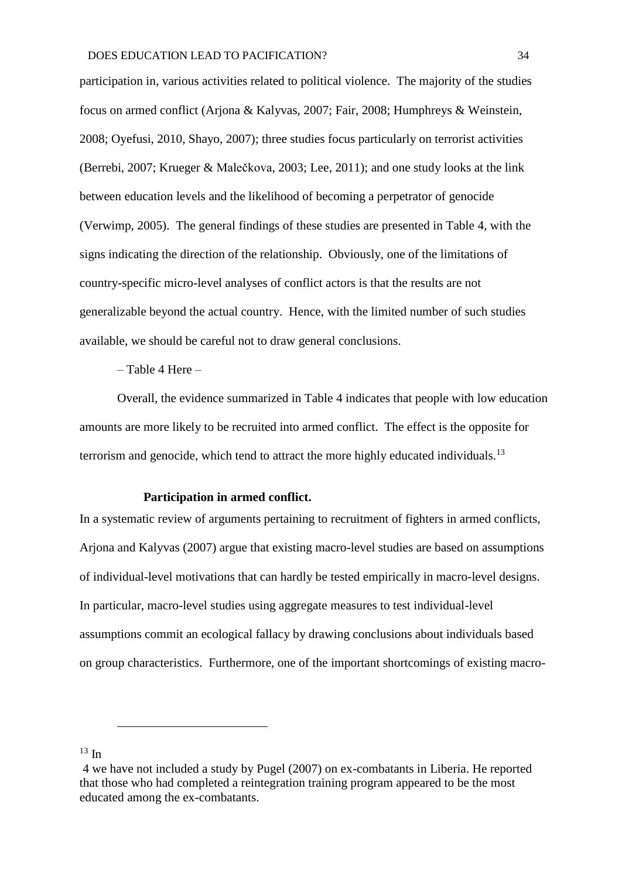participation in, various activities related to political violence. The majority of the studies focus on armed conflict (Arjona & Kalyvas, 2007; Fair, 2008; Humphreys & Weinstein, 2008; Oyefusi, 2010, Shayo, 2007); three studies focus particularly on terrorist activities (Berrebi, 2007; Krueger & Malečkova, 2003; Lee, 2011); and one study looks at the link between education levels and the likelihood of becoming a perpetrator of genocide (Verwimp, 2005). The general findings of these studies are presented in Table 4, with the signs indicating the direction of the relationship. Obviously, one of the limitations of country-specific micro-level analyses of conflict actors is that the results are not generalizable beyond the actual country. Hence, with the limited number of such studies available, we should be careful not to draw general conclusions.

– Table 4 Here –

Overall, the evidence summarized in Table 4 indicates that people with low education amounts are more likely to be recruited into armed conflict. The effect is the opposite for terrorism and genocide, which tend to attract the more highly educated individuals.<sup>13</sup>

#### **Participation in armed conflict.**

In a systematic review of arguments pertaining to recruitment of fighters in armed conflicts, Arjona and Kalyvas (2007) argue that existing macro-level studies are based on assumptions of individual-level motivations that can hardly be tested empirically in macro-level designs. In particular, macro-level studies using aggregate measures to test individual-level assumptions commit an ecological fallacy by drawing conclusions about individuals based on group characteristics. Furthermore, one of the important shortcomings of existing macro-

<u>.</u>

 $13 \text{ In}$ 

<sup>4</sup> we have not included a study by Pugel (2007) on ex-combatants in Liberia. He reported that those who had completed a reintegration training program appeared to be the most educated among the ex-combatants.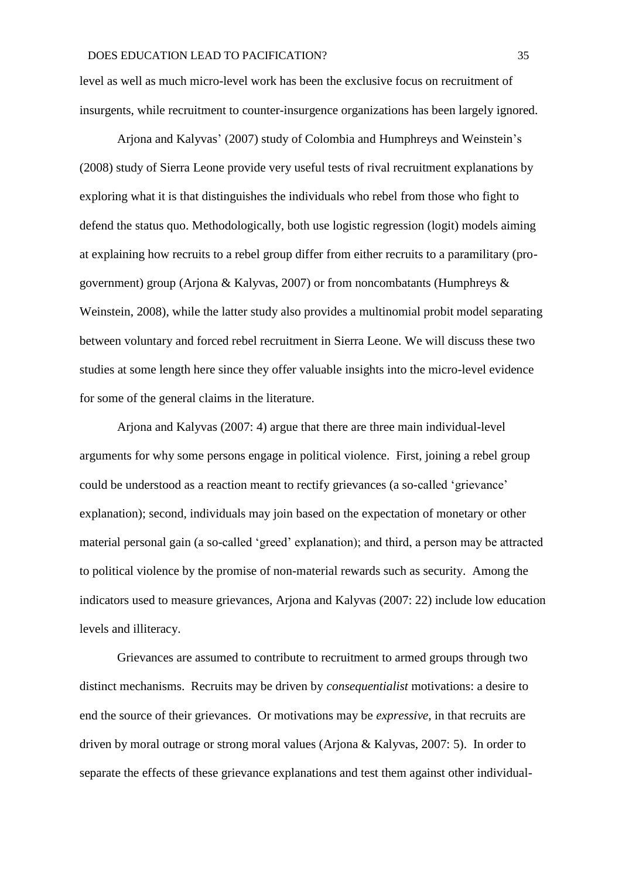level as well as much micro-level work has been the exclusive focus on recruitment of insurgents, while recruitment to counter-insurgence organizations has been largely ignored.

Arjona and Kalyvas' (2007) study of Colombia and Humphreys and Weinstein's (2008) study of Sierra Leone provide very useful tests of rival recruitment explanations by exploring what it is that distinguishes the individuals who rebel from those who fight to defend the status quo. Methodologically, both use logistic regression (logit) models aiming at explaining how recruits to a rebel group differ from either recruits to a paramilitary (progovernment) group (Arjona & Kalyvas, 2007) or from noncombatants (Humphreys  $\&$ Weinstein, 2008), while the latter study also provides a multinomial probit model separating between voluntary and forced rebel recruitment in Sierra Leone. We will discuss these two studies at some length here since they offer valuable insights into the micro-level evidence for some of the general claims in the literature.

Arjona and Kalyvas (2007: 4) argue that there are three main individual-level arguments for why some persons engage in political violence. First, joining a rebel group could be understood as a reaction meant to rectify grievances (a so-called 'grievance' explanation); second, individuals may join based on the expectation of monetary or other material personal gain (a so-called 'greed' explanation); and third, a person may be attracted to political violence by the promise of non-material rewards such as security. Among the indicators used to measure grievances, Arjona and Kalyvas (2007: 22) include low education levels and illiteracy.

Grievances are assumed to contribute to recruitment to armed groups through two distinct mechanisms. Recruits may be driven by *consequentialist* motivations: a desire to end the source of their grievances. Or motivations may be *expressive*, in that recruits are driven by moral outrage or strong moral values (Arjona & Kalyvas, 2007: 5). In order to separate the effects of these grievance explanations and test them against other individual-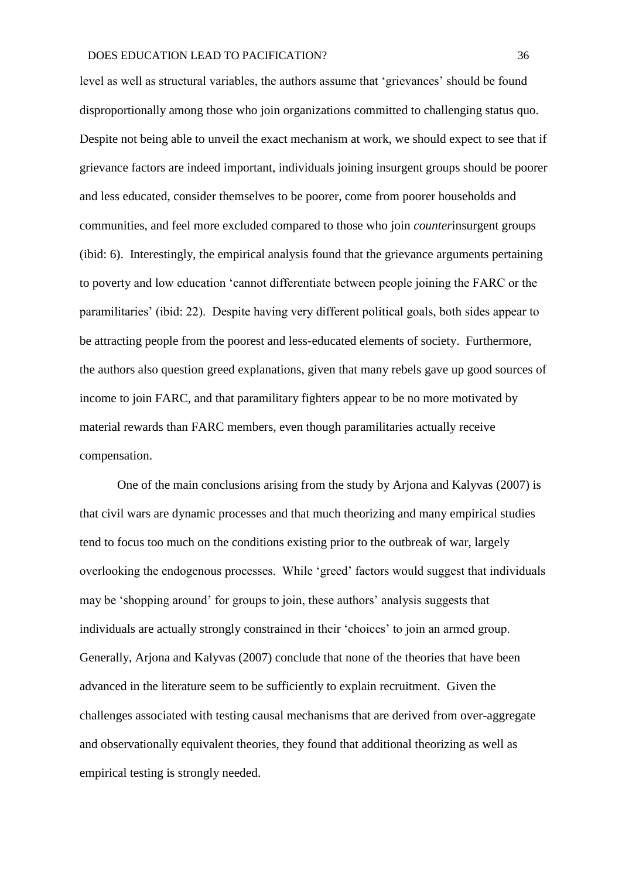level as well as structural variables, the authors assume that 'grievances' should be found disproportionally among those who join organizations committed to challenging status quo. Despite not being able to unveil the exact mechanism at work, we should expect to see that if grievance factors are indeed important, individuals joining insurgent groups should be poorer and less educated, consider themselves to be poorer, come from poorer households and communities, and feel more excluded compared to those who join *counter*insurgent groups (ibid: 6). Interestingly, the empirical analysis found that the grievance arguments pertaining to poverty and low education 'cannot differentiate between people joining the FARC or the paramilitaries' (ibid: 22). Despite having very different political goals, both sides appear to be attracting people from the poorest and less-educated elements of society. Furthermore, the authors also question greed explanations, given that many rebels gave up good sources of income to join FARC, and that paramilitary fighters appear to be no more motivated by material rewards than FARC members, even though paramilitaries actually receive compensation.

One of the main conclusions arising from the study by Arjona and Kalyvas (2007) is that civil wars are dynamic processes and that much theorizing and many empirical studies tend to focus too much on the conditions existing prior to the outbreak of war, largely overlooking the endogenous processes. While 'greed' factors would suggest that individuals may be 'shopping around' for groups to join, these authors' analysis suggests that individuals are actually strongly constrained in their 'choices' to join an armed group. Generally, Arjona and Kalyvas (2007) conclude that none of the theories that have been advanced in the literature seem to be sufficiently to explain recruitment. Given the challenges associated with testing causal mechanisms that are derived from over-aggregate and observationally equivalent theories, they found that additional theorizing as well as empirical testing is strongly needed.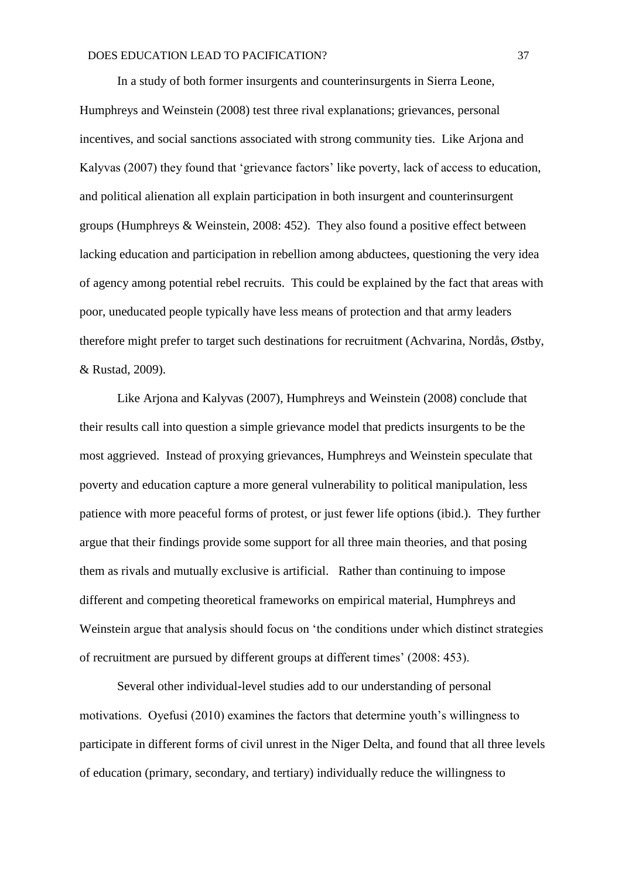In a study of both former insurgents and counterinsurgents in Sierra Leone, Humphreys and Weinstein (2008) test three rival explanations; grievances, personal incentives, and social sanctions associated with strong community ties. Like Arjona and Kalyvas (2007) they found that 'grievance factors' like poverty, lack of access to education, and political alienation all explain participation in both insurgent and counterinsurgent groups (Humphreys & Weinstein, 2008: 452). They also found a positive effect between lacking education and participation in rebellion among abductees, questioning the very idea of agency among potential rebel recruits. This could be explained by the fact that areas with poor, uneducated people typically have less means of protection and that army leaders therefore might prefer to target such destinations for recruitment (Achvarina, Nordås, Østby, & Rustad, 2009).

Like Arjona and Kalyvas (2007), Humphreys and Weinstein (2008) conclude that their results call into question a simple grievance model that predicts insurgents to be the most aggrieved. Instead of proxying grievances, Humphreys and Weinstein speculate that poverty and education capture a more general vulnerability to political manipulation, less patience with more peaceful forms of protest, or just fewer life options (ibid.). They further argue that their findings provide some support for all three main theories, and that posing them as rivals and mutually exclusive is artificial. Rather than continuing to impose different and competing theoretical frameworks on empirical material, Humphreys and Weinstein argue that analysis should focus on 'the conditions under which distinct strategies of recruitment are pursued by different groups at different times' (2008: 453).

Several other individual-level studies add to our understanding of personal motivations. Oyefusi (2010) examines the factors that determine youth's willingness to participate in different forms of civil unrest in the Niger Delta, and found that all three levels of education (primary, secondary, and tertiary) individually reduce the willingness to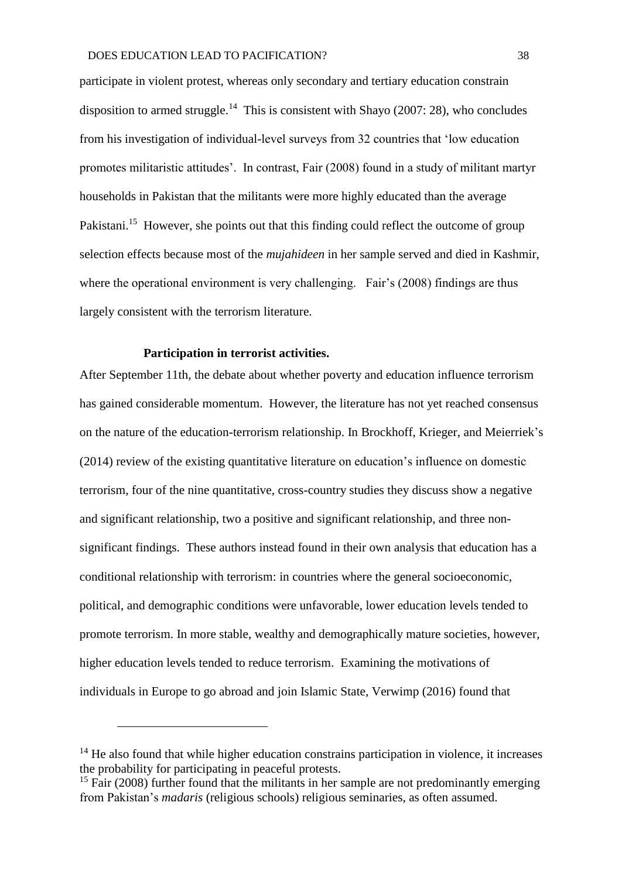participate in violent protest, whereas only secondary and tertiary education constrain disposition to armed struggle.<sup>14</sup> This is consistent with Shayo (2007: 28), who concludes from his investigation of individual-level surveys from 32 countries that 'low education promotes militaristic attitudes'. In contrast, Fair (2008) found in a study of militant martyr households in Pakistan that the militants were more highly educated than the average Pakistani.<sup>15</sup> However, she points out that this finding could reflect the outcome of group selection effects because most of the *mujahideen* in her sample served and died in Kashmir, where the operational environment is very challenging. Fair's (2008) findings are thus largely consistent with the terrorism literature.

### **Participation in terrorist activities.**

<u>.</u>

After September 11th, the debate about whether poverty and education influence terrorism has gained considerable momentum. However, the literature has not yet reached consensus on the nature of the education-terrorism relationship. In Brockhoff, Krieger, and Meierriek's (2014) review of the existing quantitative literature on education's influence on domestic terrorism, four of the nine quantitative, cross-country studies they discuss show a negative and significant relationship, two a positive and significant relationship, and three nonsignificant findings. These authors instead found in their own analysis that education has a conditional relationship with terrorism: in countries where the general socioeconomic, political, and demographic conditions were unfavorable, lower education levels tended to promote terrorism. In more stable, wealthy and demographically mature societies, however, higher education levels tended to reduce terrorism. Examining the motivations of individuals in Europe to go abroad and join Islamic State, Verwimp (2016) found that

<sup>&</sup>lt;sup>14</sup> He also found that while higher education constrains participation in violence, it increases the probability for participating in peaceful protests.

<sup>&</sup>lt;sup>15</sup> Fair (2008) further found that the militants in her sample are not predominantly emerging from Pakistan's *madaris* (religious schools) religious seminaries, as often assumed.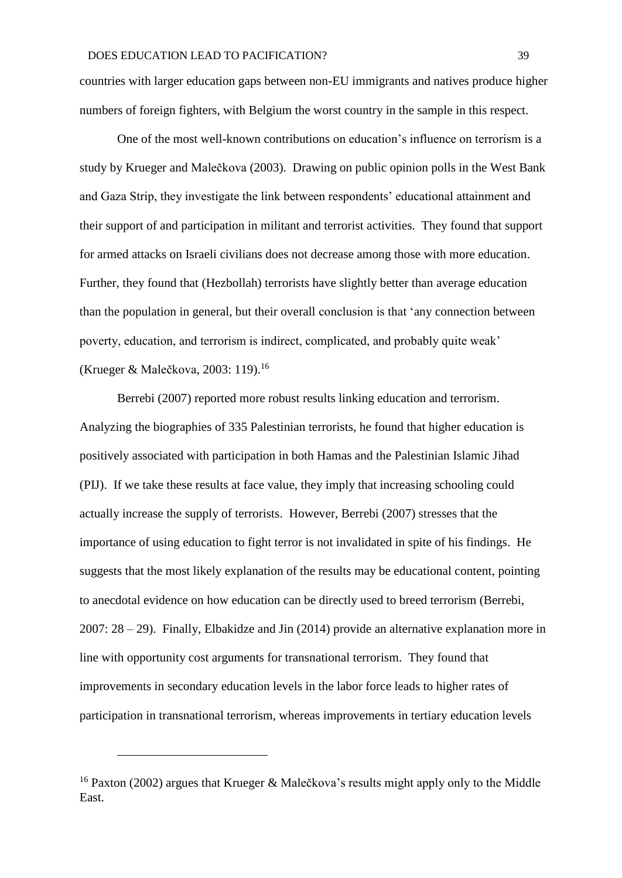countries with larger education gaps between non-EU immigrants and natives produce higher numbers of foreign fighters, with Belgium the worst country in the sample in this respect.

One of the most well-known contributions on education's influence on terrorism is a study by Krueger and Malečkova (2003). Drawing on public opinion polls in the West Bank and Gaza Strip, they investigate the link between respondents' educational attainment and their support of and participation in militant and terrorist activities. They found that support for armed attacks on Israeli civilians does not decrease among those with more education. Further, they found that (Hezbollah) terrorists have slightly better than average education than the population in general, but their overall conclusion is that 'any connection between poverty, education, and terrorism is indirect, complicated, and probably quite weak' (Krueger & Malečkova, 2003: 119).<sup>16</sup>

Berrebi (2007) reported more robust results linking education and terrorism. Analyzing the biographies of 335 Palestinian terrorists, he found that higher education is positively associated with participation in both Hamas and the Palestinian Islamic Jihad (PIJ). If we take these results at face value, they imply that increasing schooling could actually increase the supply of terrorists. However, Berrebi (2007) stresses that the importance of using education to fight terror is not invalidated in spite of his findings. He suggests that the most likely explanation of the results may be educational content, pointing to anecdotal evidence on how education can be directly used to breed terrorism (Berrebi, 2007: 28 – 29). Finally, Elbakidze and Jin (2014) provide an alternative explanation more in line with opportunity cost arguments for transnational terrorism. They found that improvements in secondary education levels in the labor force leads to higher rates of participation in transnational terrorism, whereas improvements in tertiary education levels

1

<sup>&</sup>lt;sup>16</sup> Paxton (2002) argues that Krueger & Malečkova's results might apply only to the Middle East.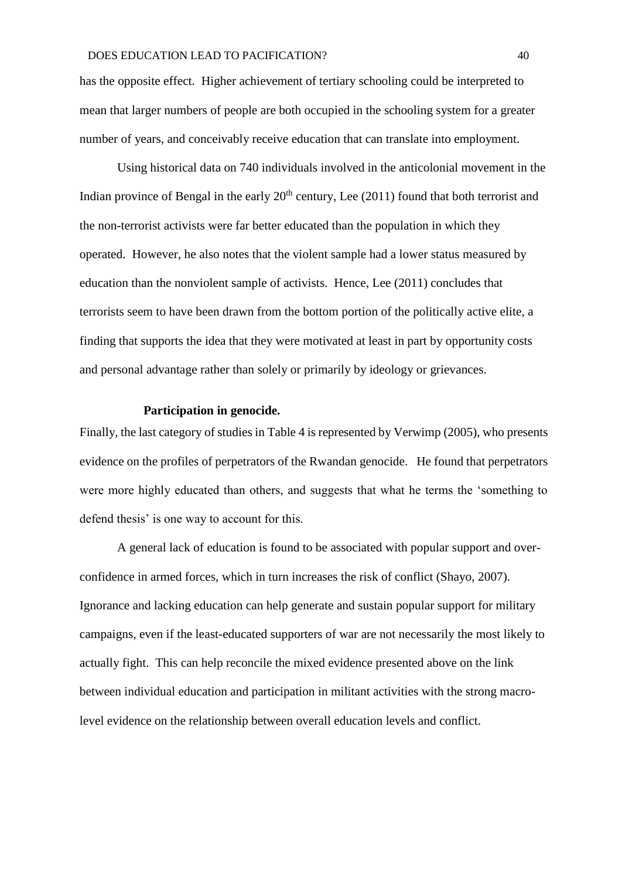has the opposite effect. Higher achievement of tertiary schooling could be interpreted to mean that larger numbers of people are both occupied in the schooling system for a greater number of years, and conceivably receive education that can translate into employment.

Using historical data on 740 individuals involved in the anticolonial movement in the Indian province of Bengal in the early  $20<sup>th</sup>$  century, Lee (2011) found that both terrorist and the non-terrorist activists were far better educated than the population in which they operated. However, he also notes that the violent sample had a lower status measured by education than the nonviolent sample of activists. Hence, Lee (2011) concludes that terrorists seem to have been drawn from the bottom portion of the politically active elite, a finding that supports the idea that they were motivated at least in part by opportunity costs and personal advantage rather than solely or primarily by ideology or grievances.

### **Participation in genocide.**

Finally, the last category of studies in Table 4 is represented by Verwimp (2005), who presents evidence on the profiles of perpetrators of the Rwandan genocide. He found that perpetrators were more highly educated than others, and suggests that what he terms the 'something to defend thesis' is one way to account for this.

A general lack of education is found to be associated with popular support and overconfidence in armed forces, which in turn increases the risk of conflict (Shayo, 2007). Ignorance and lacking education can help generate and sustain popular support for military campaigns, even if the least-educated supporters of war are not necessarily the most likely to actually fight. This can help reconcile the mixed evidence presented above on the link between individual education and participation in militant activities with the strong macrolevel evidence on the relationship between overall education levels and conflict.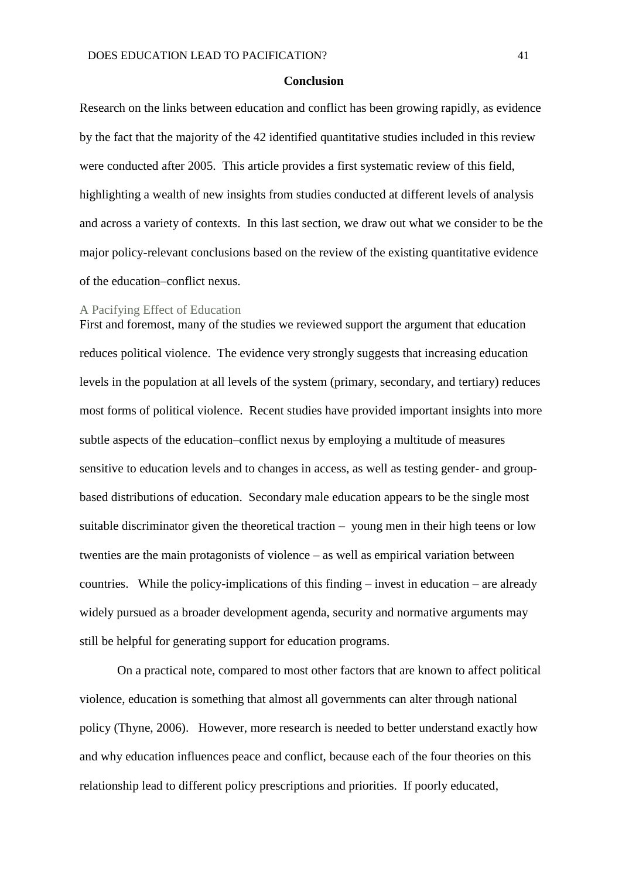#### **Conclusion**

Research on the links between education and conflict has been growing rapidly, as evidence by the fact that the majority of the 42 identified quantitative studies included in this review were conducted after 2005. This article provides a first systematic review of this field, highlighting a wealth of new insights from studies conducted at different levels of analysis and across a variety of contexts. In this last section, we draw out what we consider to be the major policy-relevant conclusions based on the review of the existing quantitative evidence of the education–conflict nexus.

### A Pacifying Effect of Education

First and foremost, many of the studies we reviewed support the argument that education reduces political violence. The evidence very strongly suggests that increasing education levels in the population at all levels of the system (primary, secondary, and tertiary) reduces most forms of political violence. Recent studies have provided important insights into more subtle aspects of the education–conflict nexus by employing a multitude of measures sensitive to education levels and to changes in access, as well as testing gender- and groupbased distributions of education. Secondary male education appears to be the single most suitable discriminator given the theoretical traction – young men in their high teens or low twenties are the main protagonists of violence – as well as empirical variation between countries. While the policy-implications of this finding – invest in education – are already widely pursued as a broader development agenda, security and normative arguments may still be helpful for generating support for education programs.

On a practical note, compared to most other factors that are known to affect political violence, education is something that almost all governments can alter through national policy (Thyne, 2006). However, more research is needed to better understand exactly how and why education influences peace and conflict, because each of the four theories on this relationship lead to different policy prescriptions and priorities. If poorly educated,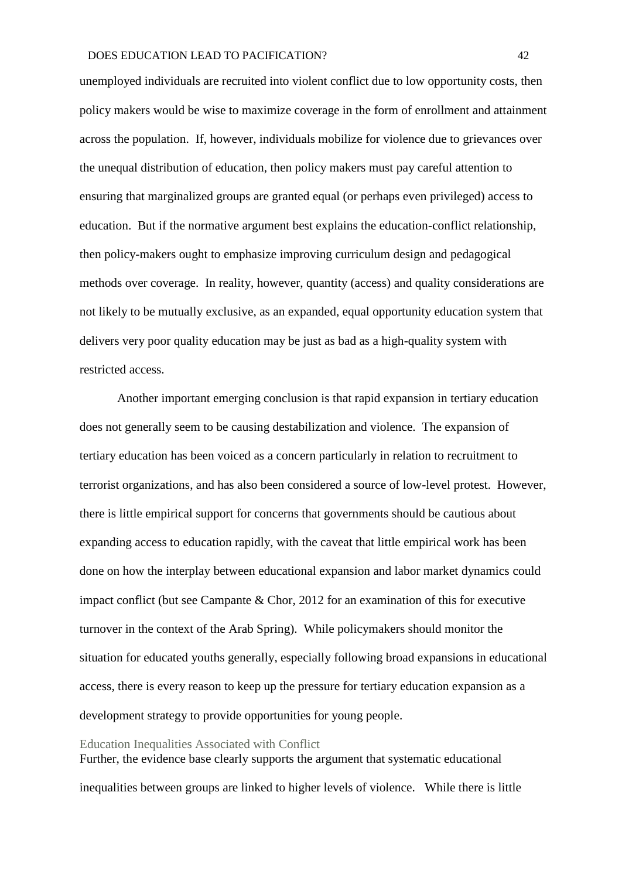unemployed individuals are recruited into violent conflict due to low opportunity costs, then policy makers would be wise to maximize coverage in the form of enrollment and attainment across the population. If, however, individuals mobilize for violence due to grievances over the unequal distribution of education, then policy makers must pay careful attention to ensuring that marginalized groups are granted equal (or perhaps even privileged) access to education. But if the normative argument best explains the education-conflict relationship, then policy-makers ought to emphasize improving curriculum design and pedagogical methods over coverage. In reality, however, quantity (access) and quality considerations are not likely to be mutually exclusive, as an expanded, equal opportunity education system that delivers very poor quality education may be just as bad as a high-quality system with restricted access.

Another important emerging conclusion is that rapid expansion in tertiary education does not generally seem to be causing destabilization and violence. The expansion of tertiary education has been voiced as a concern particularly in relation to recruitment to terrorist organizations, and has also been considered a source of low-level protest. However, there is little empirical support for concerns that governments should be cautious about expanding access to education rapidly, with the caveat that little empirical work has been done on how the interplay between educational expansion and labor market dynamics could impact conflict (but see Campante & Chor, 2012 for an examination of this for executive turnover in the context of the Arab Spring). While policymakers should monitor the situation for educated youths generally, especially following broad expansions in educational access, there is every reason to keep up the pressure for tertiary education expansion as a development strategy to provide opportunities for young people.

#### Education Inequalities Associated with Conflict

Further, the evidence base clearly supports the argument that systematic educational inequalities between groups are linked to higher levels of violence. While there is little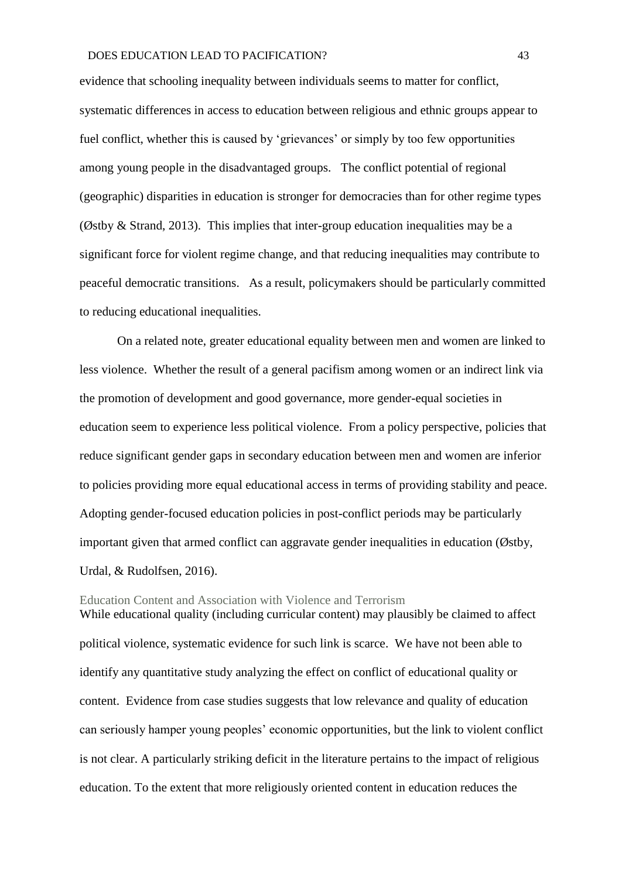evidence that schooling inequality between individuals seems to matter for conflict, systematic differences in access to education between religious and ethnic groups appear to fuel conflict, whether this is caused by 'grievances' or simply by too few opportunities among young people in the disadvantaged groups. The conflict potential of regional (geographic) disparities in education is stronger for democracies than for other regime types (Østby & Strand, 2013). This implies that inter-group education inequalities may be a significant force for violent regime change, and that reducing inequalities may contribute to peaceful democratic transitions. As a result, policymakers should be particularly committed to reducing educational inequalities.

On a related note, greater educational equality between men and women are linked to less violence. Whether the result of a general pacifism among women or an indirect link via the promotion of development and good governance, more gender-equal societies in education seem to experience less political violence. From a policy perspective, policies that reduce significant gender gaps in secondary education between men and women are inferior to policies providing more equal educational access in terms of providing stability and peace. Adopting gender-focused education policies in post-conflict periods may be particularly important given that armed conflict can aggravate gender inequalities in education (Østby, Urdal, & Rudolfsen, 2016).

Education Content and Association with Violence and Terrorism While educational quality (including curricular content) may plausibly be claimed to affect political violence, systematic evidence for such link is scarce. We have not been able to identify any quantitative study analyzing the effect on conflict of educational quality or content. Evidence from case studies suggests that low relevance and quality of education can seriously hamper young peoples' economic opportunities, but the link to violent conflict is not clear. A particularly striking deficit in the literature pertains to the impact of religious education. To the extent that more religiously oriented content in education reduces the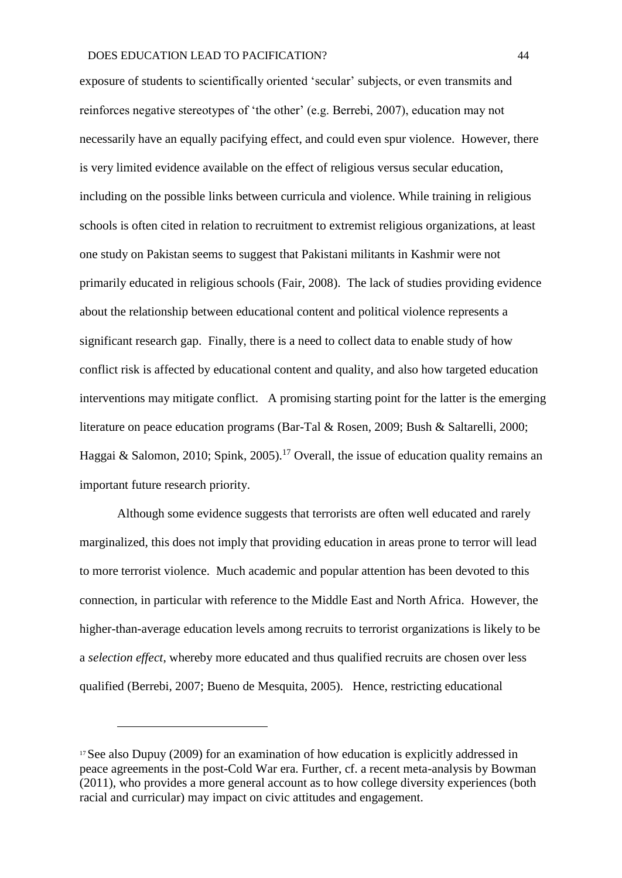exposure of students to scientifically oriented 'secular' subjects, or even transmits and reinforces negative stereotypes of 'the other' (e.g. Berrebi, 2007), education may not necessarily have an equally pacifying effect, and could even spur violence. However, there is very limited evidence available on the effect of religious versus secular education, including on the possible links between curricula and violence. While training in religious schools is often cited in relation to recruitment to extremist religious organizations, at least one study on Pakistan seems to suggest that Pakistani militants in Kashmir were not primarily educated in religious schools (Fair, 2008). The lack of studies providing evidence about the relationship between educational content and political violence represents a significant research gap. Finally, there is a need to collect data to enable study of how conflict risk is affected by educational content and quality, and also how targeted education interventions may mitigate conflict. A promising starting point for the latter is the emerging literature on peace education programs (Bar-Tal & Rosen, 2009; Bush & Saltarelli, 2000; Haggai & Salomon, 2010; Spink, 2005).<sup>17</sup> Overall, the issue of education quality remains an important future research priority.

Although some evidence suggests that terrorists are often well educated and rarely marginalized, this does not imply that providing education in areas prone to terror will lead to more terrorist violence. Much academic and popular attention has been devoted to this connection, in particular with reference to the Middle East and North Africa. However, the higher-than-average education levels among recruits to terrorist organizations is likely to be a *selection effect*, whereby more educated and thus qualified recruits are chosen over less qualified (Berrebi, 2007; Bueno de Mesquita, 2005). Hence, restricting educational

<u>.</u>

<sup>&</sup>lt;sup>17</sup>See also Dupuy (2009) for an examination of how education is explicitly addressed in peace agreements in the post-Cold War era. Further, cf. a recent meta-analysis by Bowman (2011), who provides a more general account as to how college diversity experiences (both racial and curricular) may impact on civic attitudes and engagement.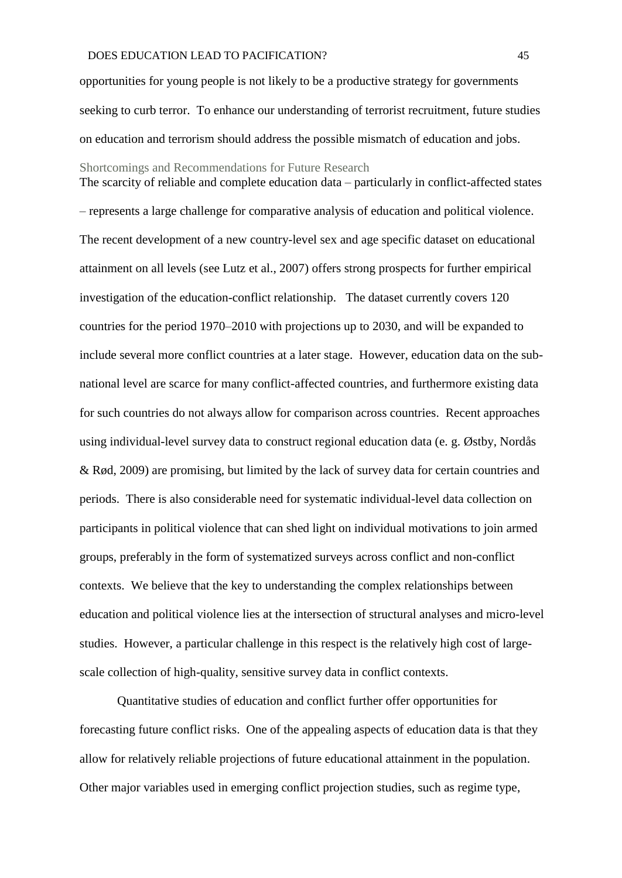opportunities for young people is not likely to be a productive strategy for governments seeking to curb terror. To enhance our understanding of terrorist recruitment, future studies on education and terrorism should address the possible mismatch of education and jobs.

The scarcity of reliable and complete education data – particularly in conflict-affected states

Shortcomings and Recommendations for Future Research

– represents a large challenge for comparative analysis of education and political violence. The recent development of a new country-level sex and age specific dataset on educational attainment on all levels (see Lutz et al., 2007) offers strong prospects for further empirical investigation of the education-conflict relationship. The dataset currently covers 120 countries for the period 1970–2010 with projections up to 2030, and will be expanded to include several more conflict countries at a later stage. However, education data on the subnational level are scarce for many conflict-affected countries, and furthermore existing data for such countries do not always allow for comparison across countries. Recent approaches using individual-level survey data to construct regional education data (e. g. Østby, Nordås & Rød, 2009) are promising, but limited by the lack of survey data for certain countries and periods. There is also considerable need for systematic individual-level data collection on participants in political violence that can shed light on individual motivations to join armed groups, preferably in the form of systematized surveys across conflict and non-conflict contexts. We believe that the key to understanding the complex relationships between education and political violence lies at the intersection of structural analyses and micro-level studies. However, a particular challenge in this respect is the relatively high cost of largescale collection of high-quality, sensitive survey data in conflict contexts.

Quantitative studies of education and conflict further offer opportunities for forecasting future conflict risks. One of the appealing aspects of education data is that they allow for relatively reliable projections of future educational attainment in the population. Other major variables used in emerging conflict projection studies, such as regime type,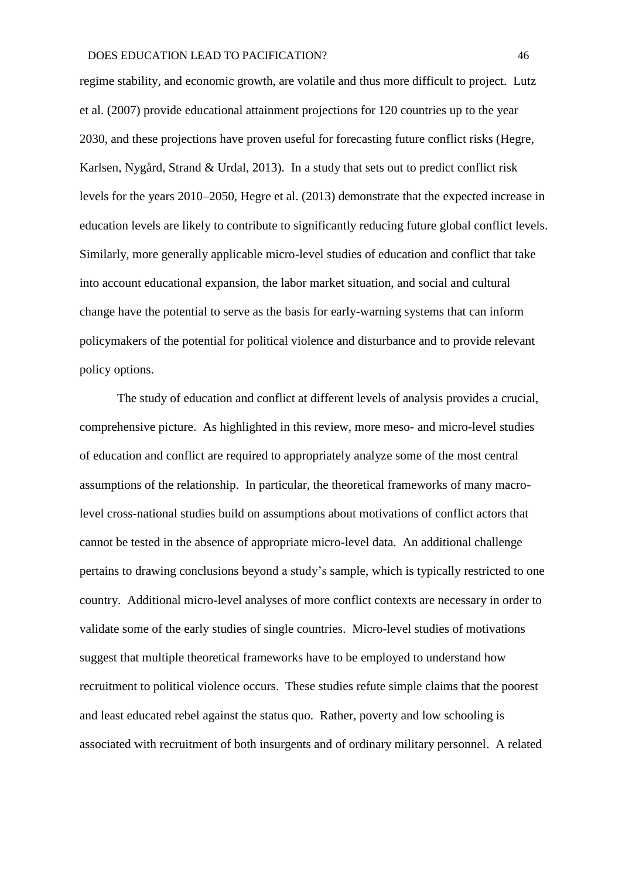regime stability, and economic growth, are volatile and thus more difficult to project. Lutz et al. (2007) provide educational attainment projections for 120 countries up to the year 2030, and these projections have proven useful for forecasting future conflict risks (Hegre, Karlsen, Nygård, Strand & Urdal, 2013). In a study that sets out to predict conflict risk levels for the years 2010–2050, Hegre et al. (2013) demonstrate that the expected increase in education levels are likely to contribute to significantly reducing future global conflict levels. Similarly, more generally applicable micro-level studies of education and conflict that take into account educational expansion, the labor market situation, and social and cultural change have the potential to serve as the basis for early-warning systems that can inform policymakers of the potential for political violence and disturbance and to provide relevant policy options.

The study of education and conflict at different levels of analysis provides a crucial, comprehensive picture. As highlighted in this review, more meso- and micro-level studies of education and conflict are required to appropriately analyze some of the most central assumptions of the relationship. In particular, the theoretical frameworks of many macrolevel cross-national studies build on assumptions about motivations of conflict actors that cannot be tested in the absence of appropriate micro-level data. An additional challenge pertains to drawing conclusions beyond a study's sample, which is typically restricted to one country. Additional micro-level analyses of more conflict contexts are necessary in order to validate some of the early studies of single countries. Micro-level studies of motivations suggest that multiple theoretical frameworks have to be employed to understand how recruitment to political violence occurs. These studies refute simple claims that the poorest and least educated rebel against the status quo. Rather, poverty and low schooling is associated with recruitment of both insurgents and of ordinary military personnel. A related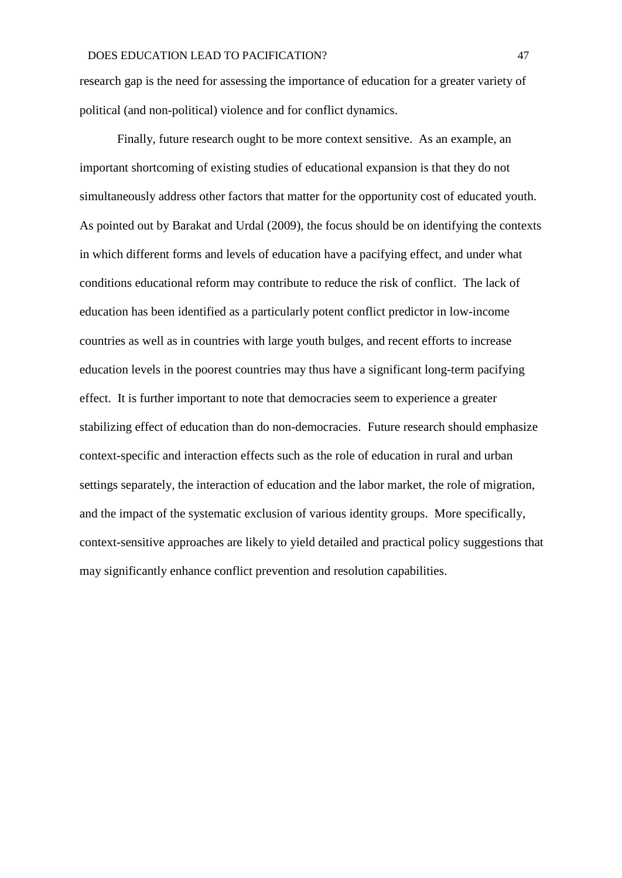research gap is the need for assessing the importance of education for a greater variety of political (and non-political) violence and for conflict dynamics.

Finally, future research ought to be more context sensitive. As an example, an important shortcoming of existing studies of educational expansion is that they do not simultaneously address other factors that matter for the opportunity cost of educated youth. As pointed out by Barakat and Urdal (2009), the focus should be on identifying the contexts in which different forms and levels of education have a pacifying effect, and under what conditions educational reform may contribute to reduce the risk of conflict. The lack of education has been identified as a particularly potent conflict predictor in low-income countries as well as in countries with large youth bulges, and recent efforts to increase education levels in the poorest countries may thus have a significant long-term pacifying effect. It is further important to note that democracies seem to experience a greater stabilizing effect of education than do non-democracies. Future research should emphasize context-specific and interaction effects such as the role of education in rural and urban settings separately, the interaction of education and the labor market, the role of migration, and the impact of the systematic exclusion of various identity groups. More specifically, context-sensitive approaches are likely to yield detailed and practical policy suggestions that may significantly enhance conflict prevention and resolution capabilities.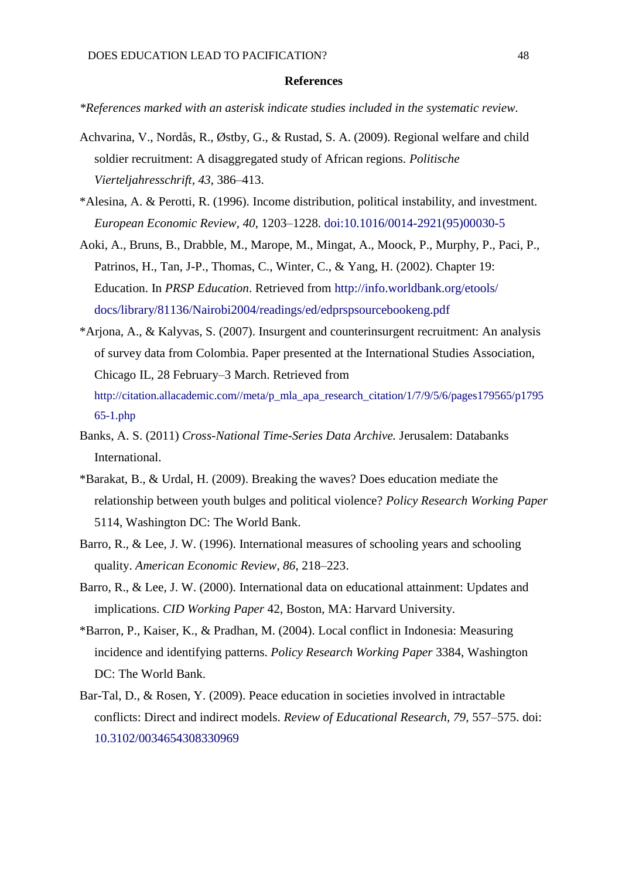#### **References**

*\*References marked with an asterisk indicate studies included in the systematic review.*

- Achvarina, V., Nordås, R., Østby, G., & Rustad, S. A. (2009). Regional welfare and child soldier recruitment: A disaggregated study of African regions. *Politische Vierteljahresschrift, 43*, 386–413.
- \*Alesina, A. & Perotti, R. (1996). Income distribution, political instability, and investment. *European Economic Review, 40*, 1203–1228. [doi:10.1016/0014-2921\(95\)00030-5](https://doi.org/10.1016/0014-2921%2895%2900030-5)
- Aoki, A., Bruns, B., Drabble, M., Marope, M., Mingat, A., Moock, P., Murphy, P., Paci, P., Patrinos, H., Tan, J-P., Thomas, C., Winter, C., & Yang, H. (2002). Chapter 19: Education. In *PRSP Education*. Retrieved from [http://info.worldbank.org/etools/](http://info.worldbank.org/etools/%20docs/library/81136/Nairobi2004/readings/ed/edprspsourcebookeng.pdf) [docs/library/81136/Nairobi2004/readings/ed/edprspsourcebookeng.pdf](http://info.worldbank.org/etools/%20docs/library/81136/Nairobi2004/readings/ed/edprspsourcebookeng.pdf)
- \*Arjona, A., & Kalyvas, S. (2007). Insurgent and counterinsurgent recruitment: An analysis of survey data from Colombia. Paper presented at the International Studies Association, Chicago IL, 28 February–3 March. Retrieved from http://citation.allacademic.com//meta/p\_mla\_apa\_research\_citation/1/7/9/5/6/pages179565/p1795 65-1.php
- Banks, A. S. (2011) *Cross-National Time-Series Data Archive.* Jerusalem: Databanks International.
- \*Barakat, B., & Urdal, H. (2009). Breaking the waves? Does education mediate the relationship between youth bulges and political violence? *Policy Research Working Paper* 5114, Washington DC: The World Bank.
- Barro, R., & Lee, J. W. (1996). International measures of schooling years and schooling quality. *American Economic Review, 86*, 218–223.
- Barro, R., & Lee, J. W. (2000). International data on educational attainment: Updates and implications. *CID Working Paper* 42, Boston, MA: Harvard University.
- \*Barron, P., Kaiser, K., & Pradhan, M. (2004). Local conflict in Indonesia: Measuring incidence and identifying patterns. *Policy Research Working Paper* 3384, Washington DC: The World Bank.
- Bar-Tal, D., & Rosen, Y. (2009). Peace education in societies involved in intractable conflicts: Direct and indirect models. *Review of Educational Research, 79,* 557–575. doi: [10.3102/0034654308330969](https://doi.org/10.3102/0034654308330969)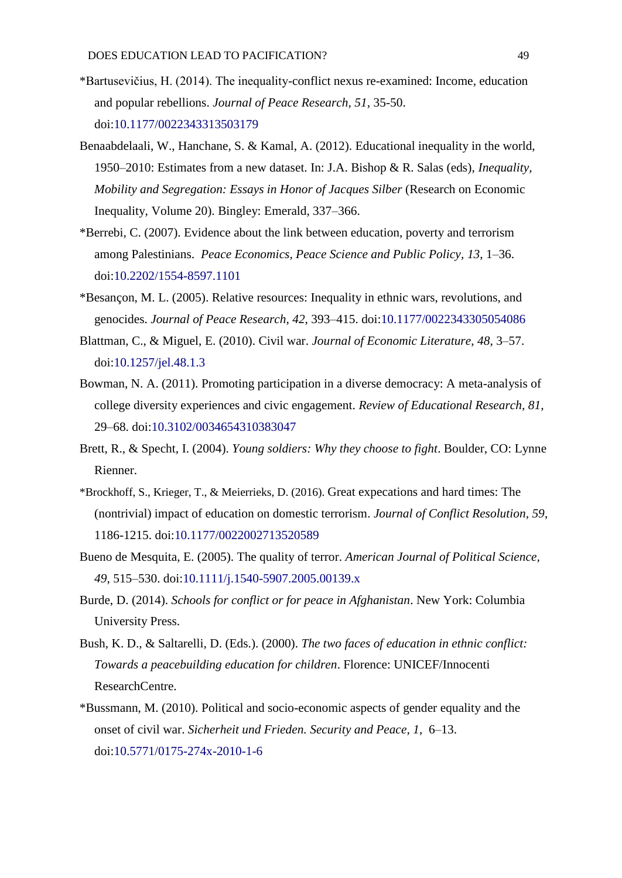- \*Bartusevičius, H. (2014). The inequality-conflict nexus re-examined: Income, education and popular rebellions. *Journal of Peace Research, 51,* 35-50. doi[:10.1177/0022343313503179](https://doi.org/10.1177/0022343313503179)
- Benaabdelaali, W., Hanchane, S. & Kamal, A. (2012). Educational inequality in the world, 1950–2010: Estimates from a new dataset. In: J.A. Bishop & R. Salas (eds), *Inequality, Mobility and Segregation: Essays in Honor of Jacques Silber* (Research on Economic Inequality, Volume 20). Bingley: Emerald, 337–366.
- \*Berrebi, C. (2007). Evidence about the link between education, poverty and terrorism among Palestinians. *Peace Economics, Peace Science and Public Policy, 13*, 1–36. doi[:10.2202/1554-8597.1101](https://doi.org/10.2202/1554-8597.1101)
- \*Besançon, M. L. (2005). Relative resources: Inequality in ethnic wars, revolutions, and genocides. *Journal of Peace Research, 42*, 393–415. doi[:10.1177/0022343305054086](https://doi.org/10.1177/0022343305054086)
- Blattman, C., & Miguel, E. (2010). Civil war. *Journal of Economic Literature*, *48*, 3–57. doi[:10.1257/jel.48.1.3](https://doi.org/10.1257/jel.48.1.3)
- Bowman, N. A. (2011). Promoting participation in a diverse democracy: A meta-analysis of college diversity experiences and civic engagement. *Review of Educational Research, 81,* 29–68. doi[:10.3102/0034654310383047](https://doi.org/10.3102/0034654310383047)
- Brett, R., & Specht, I. (2004). *Young soldiers: Why they choose to fight*. Boulder, CO: Lynne Rienner.
- \*Brockhoff, S., Krieger, T., & Meierrieks, D. (2016). Great expecations and hard times: The (nontrivial) impact of education on domestic terrorism. *Journal of Conflict Resolution, 59*, 1186-1215. doi[:10.1177/0022002713520589](https://doi.org/10.1177/0022002713520589)
- Bueno de Mesquita, E. (2005). The quality of terror. *American Journal of Political Science, 49*, 515–530. doi[:10.1111/j.1540-5907.2005.00139.x](https://doi.org/10.1111/j.1540-5907.2005.00139.x)
- Burde, D. (2014). *Schools for conflict or for peace in Afghanistan*. New York: Columbia University Press.
- Bush, K. D., & Saltarelli, D. (Eds.). (2000). *The two faces of education in ethnic conflict: Towards a peacebuilding education for children*. Florence: UNICEF/Innocenti ResearchCentre.
- \*Bussmann, M. (2010). Political and socio-economic aspects of gender equality and the onset of civil war. *Sicherheit und Frieden. Security and Peace, 1*, 6–13. doi[:10.5771/0175-274x-2010-1-6](https://doi.org/10.5771/0175-274x-2010-1-6)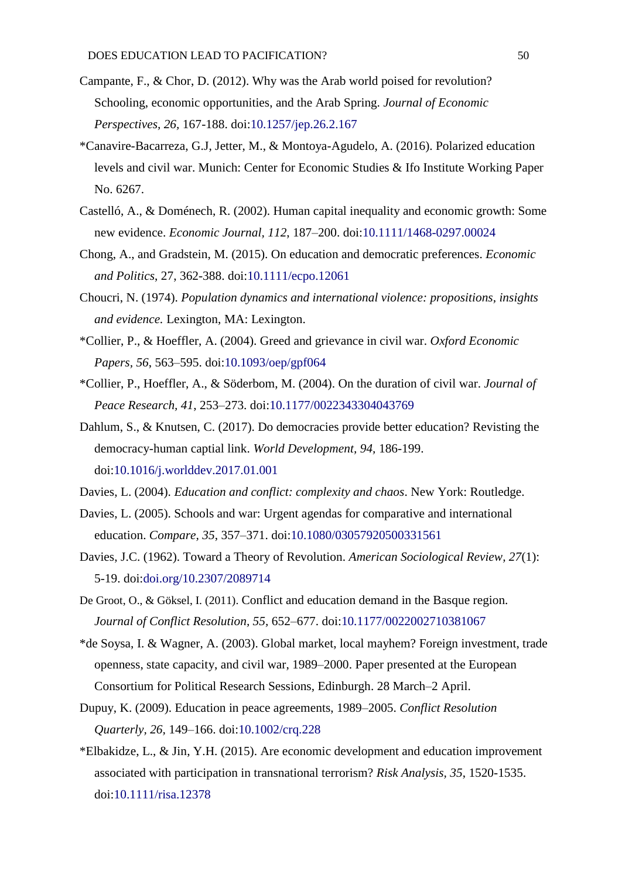- Campante, F., & Chor, D. (2012). Why was the Arab world poised for revolution? Schooling, economic opportunities, and the Arab Spring. *Journal of Economic Perspectives, 26,* 167-188. doi[:10.1257/jep.26.2.167](https://doi.org/10.1257/jep.26.2.167)
- \*Canavire-Bacarreza, G.J, Jetter, M., & Montoya-Agudelo, A. (2016). Polarized education levels and civil war. Munich: Center for Economic Studies & Ifo Institute Working Paper No. 6267.
- Castelló, A., & Doménech, R. (2002). Human capital inequality and economic growth: Some new evidence. *Economic Journal, 112*, 187–200. doi[:10.1111/1468-0297.00024](https://doi.org/10.1111/1468-0297.00024)
- Chong, A., and Gradstein, M. (2015). On education and democratic preferences. *Economic and Politics*, 27, 362-388. doi[:10.1111/ecpo.12061](https://doi.org/10.1111/ecpo.12061)
- Choucri, N. (1974). *Population dynamics and international violence: propositions, insights and evidence.* Lexington, MA: Lexington.
- \*Collier, P., & Hoeffler, A. (2004). Greed and grievance in civil war. *Oxford Economic Papers, 56*, 563–595. doi[:10.1093/oep/gpf064](https://doi.org/10.1093/oep/gpf064)
- \*Collier, P., Hoeffler, A., & Söderbom, M. (2004). On the duration of civil war. *Journal of Peace Research, 41*, 253–273. doi[:10.1177/0022343304043769](https://doi.org/10.1177/0022343304043769)
- Dahlum, S., & Knutsen, C. (2017). Do democracies provide better education? Revisting the democracy-human captial link. *World Development, 94,* 186-199. doi[:10.1016/j.worlddev.2017.01.001](https://doi.org/10.1016/j.worlddev.2017.01.001)
- Davies, L. (2004). *Education and conflict: complexity and chaos*. New York: Routledge.
- Davies, L. (2005). Schools and war: Urgent agendas for comparative and international education. *Compare, 35*, 357–371. doi[:10.1080/03057920500331561](https://doi.org/10.1080/03057920500331561)
- Davies, J.C. (1962). Toward a Theory of Revolution. *American Sociological Review, 27*(1): 5-19. doi[:doi.org/10.2307/2089714](https://doi.org/10.2307/2089714)
- De Groot, O., & Göksel, I. (2011). Conflict and education demand in the Basque region. *Journal of Conflict Resolution, 55,* 652–677. doi[:10.1177/0022002710381067](https://doi.org/10.1177/0022002710381067)
- \*de Soysa, I. & Wagner, A. (2003). Global market, local mayhem? Foreign investment, trade openness, state capacity, and civil war, 1989–2000. Paper presented at the European Consortium for Political Research Sessions, Edinburgh. 28 March–2 April.
- Dupuy, K. (2009). Education in peace agreements, 1989–2005. *Conflict Resolution Quarterly, 26,* 149–166. doi[:10.1002/crq.228](https://doi.org/10.1002/crq.228)
- \*Elbakidze, L., & Jin, Y.H. (2015). Are economic development and education improvement associated with participation in transnational terrorism? *Risk Analysis, 35*, 1520-1535. doi[:10.1111/risa.12378](https://doi.org/10.1111/risa.12378)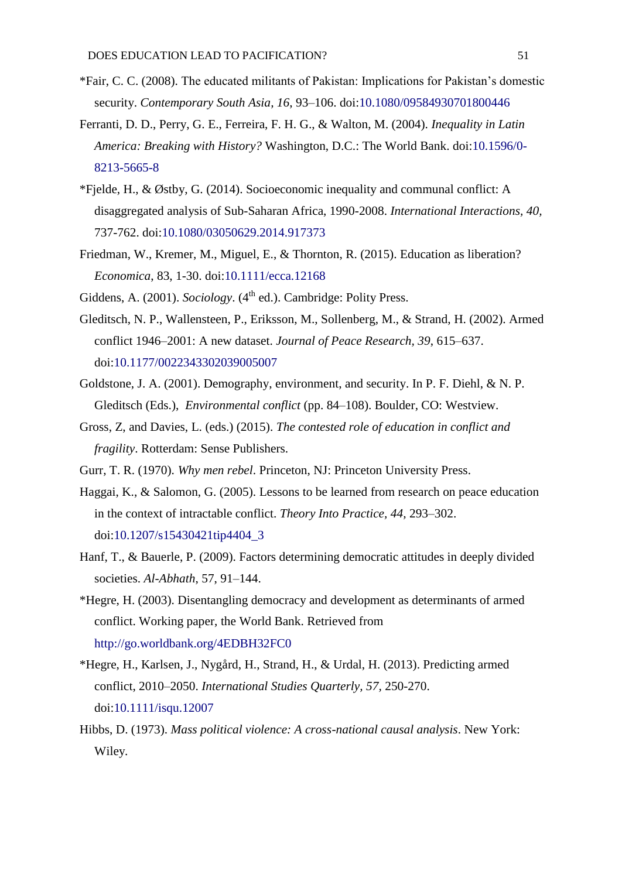- \*Fair, C. C. (2008). The educated militants of Pakistan: Implications for Pakistan's domestic security. *Contemporary South Asia, 16*, 93–106. doi[:10.1080/09584930701800446](https://doi.org/10.1080/09584930701800446)
- Ferranti, D. D., Perry, G. E., Ferreira, F. H. G., & Walton, M. (2004). *Inequality in Latin America: Breaking with History?* Washington, D.C.: The World Bank. doi[:10.1596/0-](https://doi.org/10.1596/0-8213-5665-8) [8213-5665-8](https://doi.org/10.1596/0-8213-5665-8)
- \*Fjelde, H., & Østby, G. (2014). Socioeconomic inequality and communal conflict: A disaggregated analysis of Sub-Saharan Africa, 1990-2008. *International Interactions, 40,*  737-762. doi[:10.1080/03050629.2014.917373](https://doi.org/10.1080/03050629.2014.917373)
- Friedman, W., Kremer, M., Miguel, E., & Thornton, R. (2015). Education as liberation? *Economica*, 83, 1-30. doi[:10.1111/ecca.12168](https://doi.org/10.1111/ecca.12168)
- Giddens, A. (2001). *Sociology*. (4<sup>th</sup> ed.). Cambridge: Polity Press.
- Gleditsch, N. P., Wallensteen, P., Eriksson, M., Sollenberg, M., & Strand, H. (2002). Armed conflict 1946–2001: A new dataset. *Journal of Peace Research, 39*, 615–637. doi[:10.1177/0022343302039005007](https://doi.org/10.1177/0022343302039005007)
- Goldstone, J. A. (2001). Demography, environment, and security. In P. F. Diehl, & N. P. Gleditsch (Eds.), *Environmental conflict* (pp. 84–108). Boulder, CO: Westview.
- Gross, Z, and Davies, L. (eds.) (2015). *The contested role of education in conflict and fragility*. Rotterdam: Sense Publishers.
- Gurr, T. R. (1970). *Why men rebel*. Princeton, NJ: Princeton University Press.
- Haggai, K., & Salomon, G. (2005). Lessons to be learned from research on peace education in the context of intractable conflict. *Theory Into Practice, 44,* 293–302. doi[:10.1207/s15430421tip4404\\_3](https://doi.org/10.1207/s15430421tip4404_3)
- Hanf, T., & Bauerle, P. (2009). Factors determining democratic attitudes in deeply divided societies. *Al-Abhath*, 57, 91–144.
- \*Hegre, H. (2003). Disentangling democracy and development as determinants of armed conflict. Working paper, the World Bank. Retrieved from <http://go.worldbank.org/4EDBH32FC0>
- \*Hegre, H., Karlsen, J., Nygård, H., Strand, H., & Urdal, H. (2013). Predicting armed conflict, 2010–2050. *International Studies Quarterly, 57,* 250-270. doi[:10.1111/isqu.12007](https://doi.org/10.1111/isqu.12007)
- Hibbs, D. (1973). *Mass political violence: A cross-national causal analysis*. New York: Wiley.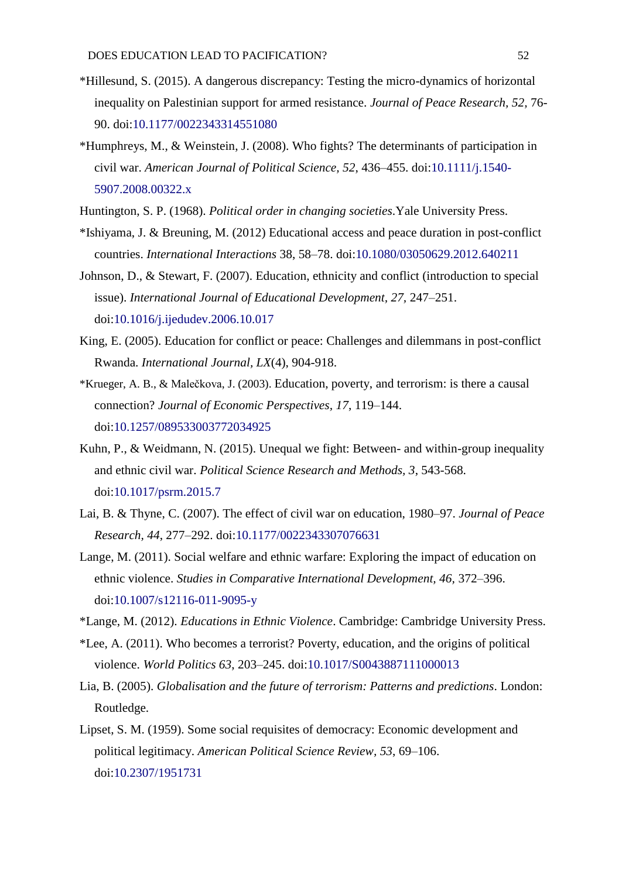- \*Hillesund, S. (2015). A dangerous discrepancy: Testing the micro-dynamics of horizontal inequality on Palestinian support for armed resistance. *Journal of Peace Research, 52,* 76- 90. doi[:10.1177/0022343314551080](https://doi.org/10.1177/0022343314551080)
- \*Humphreys, M., & Weinstein, J. (2008). Who fights? The determinants of participation in civil war. *American Journal of Political Science, 52*, 436–455. doi[:10.1111/j.1540-](https://doi.org/10.1111/j.1540-5907.2008.00322.x) [5907.2008.00322.x](https://doi.org/10.1111/j.1540-5907.2008.00322.x)
- Huntington, S. P. (1968). *Political order in changing societies*.Yale University Press.
- \*Ishiyama, J. & Breuning, M. (2012) Educational access and peace duration in post-conflict countries. *International Interactions* 38, 58–78. doi[:10.1080/03050629.2012.640211](https://doi.org/10.1080/03050629.2012.640211)
- Johnson, D., & Stewart, F. (2007). Education, ethnicity and conflict (introduction to special issue). *International Journal of Educational Development, 27,* 247–251. doi[:10.1016/j.ijedudev.2006.10.017](https://doi.org/10.1016/j.ijedudev.2006.10.017)
- King, E. (2005). Education for conflict or peace: Challenges and dilemmans in post-conflict Rwanda. *International Journal, LX*(4), 904-918.
- \*Krueger, A. B., & Malečkova, J. (2003). Education, poverty, and terrorism: is there a causal connection? *Journal of Economic Perspectives, 17*, 119–144. doi[:10.1257/089533003772034925](https://doi.org/10.1257/089533003772034925)
- Kuhn, P., & Weidmann, N. (2015). Unequal we fight: Between- and within-group inequality and ethnic civil war. *Political Science Research and Methods, 3*, 543-568. doi[:10.1017/psrm.2015.7](https://doi.org/10.1017/psrm.2015.7)
- Lai, B. & Thyne, C. (2007). The effect of civil war on education, 1980–97. *Journal of Peace Research, 44*, 277–292. doi[:10.1177/0022343307076631](https://doi.org/10.1177/0022343307076631)
- Lange, M. (2011). Social welfare and ethnic warfare: Exploring the impact of education on ethnic violence. *Studies in Comparative International Development, 46,* 372–396. doi[:10.1007/s12116-011-9095-y](https://doi.org/10.1007/s12116-011-9095-y)
- \*Lange, M. (2012). *Educations in Ethnic Violence*. Cambridge: Cambridge University Press.
- \*Lee, A. (2011). Who becomes a terrorist? Poverty, education, and the origins of political violence. *World Politics 63*, 203–245. doi[:10.1017/S0043887111000013](https://doi.org/10.1017/S0043887111000013)
- Lia, B. (2005). *Globalisation and the future of terrorism: Patterns and predictions*. London: Routledge.
- Lipset, S. M. (1959). Some social requisites of democracy: Economic development and political legitimacy. *American Political Science Review, 53*, 69–106. doi[:10.2307/1951731](https://doi.org/10.2307/1951731)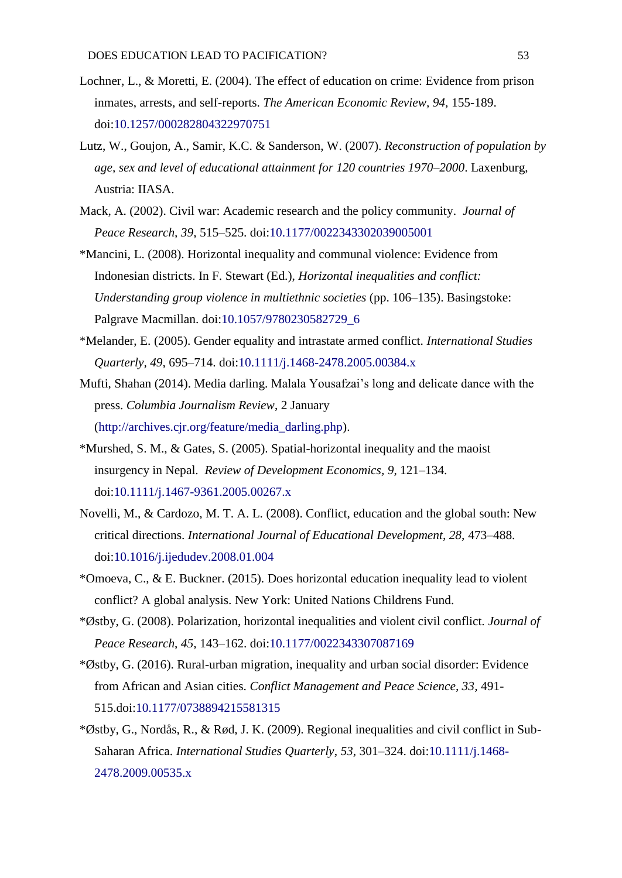- Lochner, L., & Moretti, E. (2004). The effect of education on crime: Evidence from prison inmates, arrests, and self-reports. *The American Economic Review, 94,* 155-189. doi[:10.1257/000282804322970751](https://doi.org/10.1257/000282804322970751)
- Lutz, W., Goujon, A., Samir, K.C. & Sanderson, W. (2007). *Reconstruction of population by age, sex and level of educational attainment for 120 countries 1970–2000*. Laxenburg, Austria: IIASA.
- Mack, A. (2002). Civil war: Academic research and the policy community. *Journal of Peace Research, 39*, 515–525. doi[:10.1177/0022343302039005001](https://doi.org/10.1177/0022343302039005001)
- \*Mancini, L. (2008). Horizontal inequality and communal violence: Evidence from Indonesian districts. In F. Stewart (Ed.), *Horizontal inequalities and conflict: Understanding group violence in multiethnic societies* (pp. 106–135). Basingstoke: Palgrave Macmillan. doi[:10.1057/9780230582729\\_6](https://doi.org/10.1057/9780230582729_6)
- \*Melander, E. (2005). Gender equality and intrastate armed conflict. *International Studies Quarterly, 49*, 695–714. doi[:10.1111/j.1468-2478.2005.00384.x](https://doi.org/10.1111/j.1468-2478.2005.00384.x)
- Mufti, Shahan (2014). Media darling. Malala Yousafzai's long and delicate dance with the press. *Columbia Journalism Review*, 2 January [\(http://archives.cjr.org/feature/media\\_darling.php\)](http://archives.cjr.org/feature/media_darling.php).
- \*Murshed, S. M., & Gates, S. (2005). Spatial-horizontal inequality and the maoist insurgency in Nepal. *Review of Development Economics, 9*, 121–134. doi[:10.1111/j.1467-9361.2005.00267.x](https://doi.org/10.1111/j.1467-9361.2005.00267.x)
- Novelli, M., & Cardozo, M. T. A. L. (2008). Conflict, education and the global south: New critical directions. *International Journal of Educational Development, 28,* 473–488. doi[:10.1016/j.ijedudev.2008.01.004](https://doi.org/10.1016/j.ijedudev.2008.01.004)
- \*Omoeva, C., & E. Buckner. (2015). Does horizontal education inequality lead to violent conflict? A global analysis. New York: United Nations Childrens Fund.
- \*Østby, G. (2008). Polarization, horizontal inequalities and violent civil conflict. *Journal of Peace Research*, *45*, 143–162. doi[:10.1177/0022343307087169](https://doi.org/10.1177/0022343307087169)
- \*Østby, G. (2016). Rural-urban migration, inequality and urban social disorder: Evidence from African and Asian cities. *Conflict Management and Peace Science, 33,* 491- 515.doi[:10.1177/0738894215581315](https://doi.org/10.1177/0738894215581315)
- \*Østby, G., Nordås, R., & Rød, J. K. (2009). Regional inequalities and civil conflict in Sub-Saharan Africa. *International Studies Quarterly*, *53*, 301–324. doi[:10.1111/j.1468-](https://doi.org/10.1111/j.1468-2478.2009.00535.x) [2478.2009.00535.x](https://doi.org/10.1111/j.1468-2478.2009.00535.x)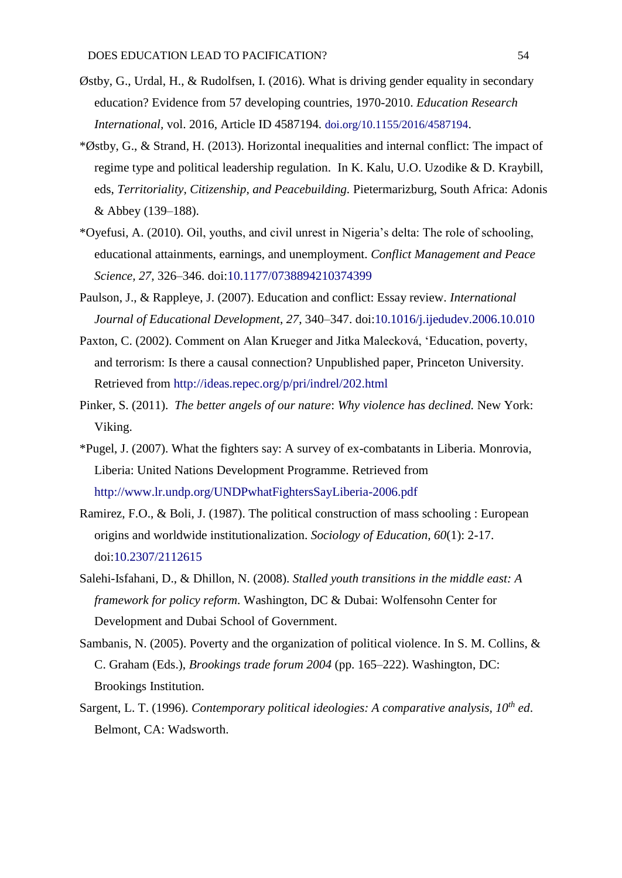- Østby, G., Urdal, H., & Rudolfsen, I. (2016). What is driving gender equality in secondary education? Evidence from 57 developing countries, 1970-2010. *Education Research International,* vol. 2016, Article ID 4587194. doi.org/10.1155/2016/4587194.
- \*Østby, G., & Strand, H. (2013). Horizontal inequalities and internal conflict: The impact of regime type and political leadership regulation. In K. Kalu, U.O. Uzodike & D. Kraybill, eds, *Territoriality, Citizenship, and Peacebuilding.* Pietermarizburg, South Africa: Adonis & Abbey (139–188).
- \*Oyefusi, A. (2010). Oil, youths, and civil unrest in Nigeria's delta: The role of schooling, educational attainments, earnings, and unemployment. *Conflict Management and Peace Science, 27,* 326–346. doi[:10.1177/0738894210374399](https://doi.org/10.1177/0738894210374399)
- Paulson, J., & Rappleye, J. (2007). Education and conflict: Essay review. *International Journal of Educational Development*, *27*, 340–347. doi[:10.1016/j.ijedudev.2006.10.010](https://doi.org/10.1016/j.ijedudev.2006.10.010)
- Paxton, C. (2002). Comment on Alan Krueger and Jitka Malecková, 'Education, poverty, and terrorism: Is there a causal connection? Unpublished paper, Princeton University. Retrieved from <http://ideas.repec.org/p/pri/indrel/202.html>
- Pinker, S. (2011). *The better angels of our nature*: *Why violence has declined.* New York: Viking.
- \*Pugel, J. (2007). What the fighters say: A survey of ex-combatants in Liberia. Monrovia, Liberia: United Nations Development Programme. Retrieved from <http://www.lr.undp.org/UNDPwhatFightersSayLiberia-2006.pdf>
- Ramirez, F.O., & Boli, J. (1987). The political construction of mass schooling : European origins and worldwide institutionalization. *Sociology of Education, 60*(1): 2-17. doi[:10.2307/2112615](https://doi.org/10.2307/2112615)
- Salehi-Isfahani, D., & Dhillon, N. (2008). *Stalled youth transitions in the middle east: A framework for policy reform.* Washington, DC & Dubai: Wolfensohn Center for Development and Dubai School of Government.
- Sambanis, N. (2005). Poverty and the organization of political violence. In S. M. Collins, & C. Graham (Eds.), *Brookings trade forum 2004* (pp. 165–222). Washington, DC: Brookings Institution.
- Sargent, L. T. (1996). *Contemporary political ideologies: A comparative analysis, 10th ed*. Belmont, CA: Wadsworth.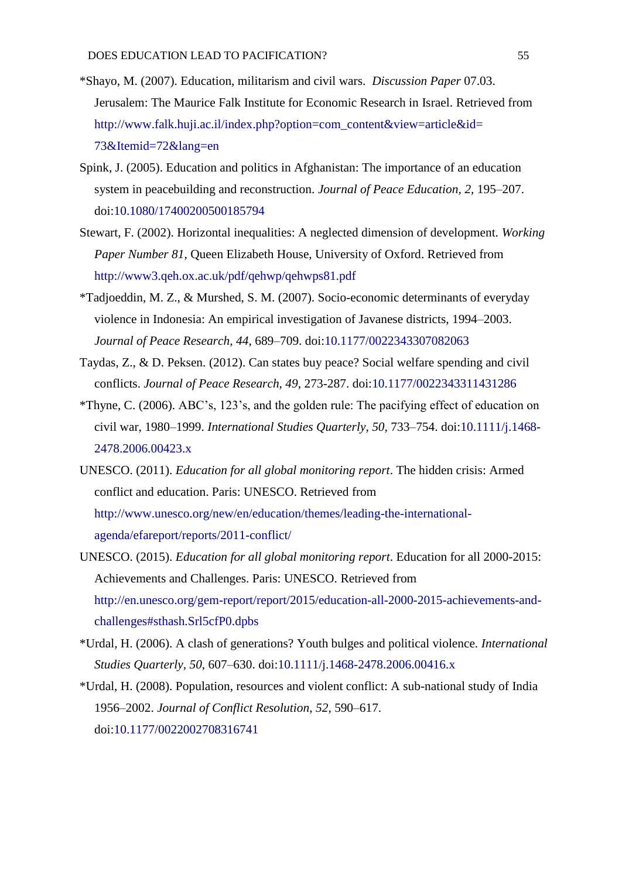- \*Shayo, M. (2007). Education, militarism and civil wars. *Discussion Paper* 07.03. Jerusalem: The Maurice Falk Institute for Economic Research in Israel. Retrieved from [http://www.falk.huji.ac.il/index.php?option=com\\_content&view=article&id=](http://www.falk.huji.ac.il/index.php?option=com_content&view=article&id=%2073&Itemid=72&lang=en) [73&Itemid=72&lang=en](http://www.falk.huji.ac.il/index.php?option=com_content&view=article&id=%2073&Itemid=72&lang=en)
- Spink, J. (2005). Education and politics in Afghanistan: The importance of an education system in peacebuilding and reconstruction. *Journal of Peace Education, 2*, 195–207. doi[:10.1080/17400200500185794](https://doi.org/10.1080/17400200500185794)
- Stewart, F. (2002). Horizontal inequalities: A neglected dimension of development. *Working Paper Number 81*, Queen Elizabeth House, University of Oxford. Retrieved from <http://www3.qeh.ox.ac.uk/pdf/qehwp/qehwps81.pdf>
- \*Tadjoeddin, M. Z., & Murshed, S. M. (2007). Socio-economic determinants of everyday violence in Indonesia: An empirical investigation of Javanese districts, 1994–2003. *Journal of Peace Research, 44*, 689–709. doi[:10.1177/0022343307082063](https://doi.org/10.1177/0022343307082063)
- Taydas, Z., & D. Peksen. (2012). Can states buy peace? Social welfare spending and civil conflicts. *Journal of Peace Research, 49*, 273-287. doi[:10.1177/0022343311431286](https://doi.org/10.1177/0022343311431286)
- \*Thyne, C. (2006). ABC's, 123's, and the golden rule: The pacifying effect of education on civil war, 1980–1999. *International Studies Quarterly, 50*, 733–754. doi[:10.1111/j.1468-](https://doi.org/10.1111/j.1468-2478.2006.00423.x) [2478.2006.00423.x](https://doi.org/10.1111/j.1468-2478.2006.00423.x)
- UNESCO. (2011). *Education for all global monitoring report*. The hidden crisis: Armed conflict and education. Paris: UNESCO. Retrieved from [http://www.unesco.org/new/en/education/themes/leading-the-international](http://www.unesco.org/new/en/education/themes/leading-the-international-agenda/efareport/reports/2011-conflict/)[agenda/efareport/reports/2011-conflict/](http://www.unesco.org/new/en/education/themes/leading-the-international-agenda/efareport/reports/2011-conflict/)
- UNESCO. (2015). *Education for all global monitoring report*. Education for all 2000-2015: Achievements and Challenges. Paris: UNESCO. Retrieved from [http://en.unesco.org/gem-report/report/2015/education-all-2000-2015-achievements-and](http://en.unesco.org/gem-report/report/2015/education-all-2000-2015-achievements-and-challenges#sthash.Srl5cfP0.dpbs)[challenges#sthash.Srl5cfP0.dpbs](http://en.unesco.org/gem-report/report/2015/education-all-2000-2015-achievements-and-challenges#sthash.Srl5cfP0.dpbs)
- \*Urdal, H. (2006). A clash of generations? Youth bulges and political violence. *International Studies Quarterly, 50*, 607–630. doi[:10.1111/j.1468-2478.2006.00416.x](https://doi.org/10.1111/j.1468-2478.2006.00416.x)
- \*Urdal, H. (2008). Population, resources and violent conflict: A sub-national study of India 1956–2002. *Journal of Conflict Resolution*, *52*, 590–617. doi[:10.1177/0022002708316741](https://doi.org/10.1177/0022002708316741)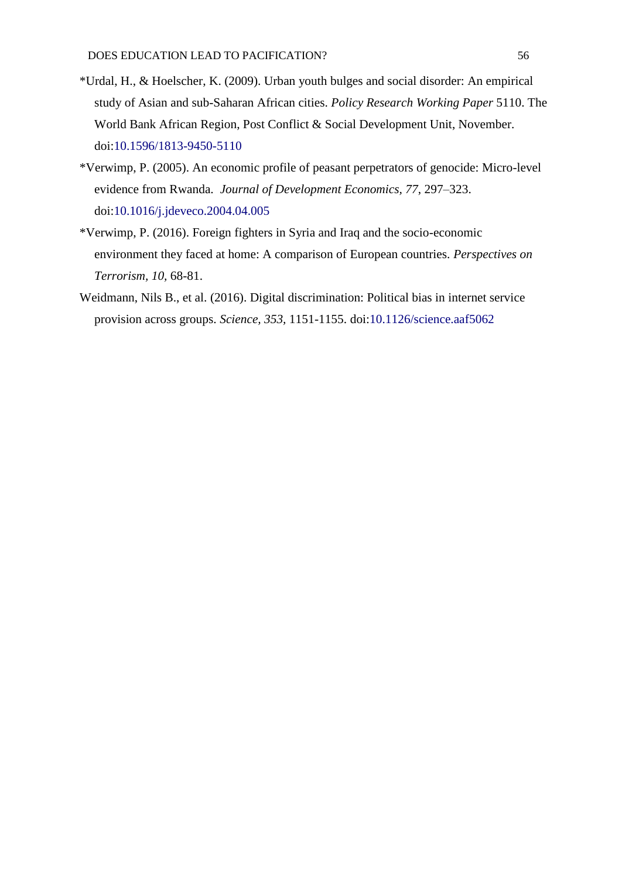- \*Urdal, H., & Hoelscher, K. (2009). Urban youth bulges and social disorder: An empirical study of Asian and sub-Saharan African cities. *Policy Research Working Paper* 5110. The World Bank African Region, Post Conflict & Social Development Unit, November. doi[:10.1596/1813-9450-5110](https://doi.org/10.1596/1813-9450-5110)
- \*Verwimp, P. (2005). An economic profile of peasant perpetrators of genocide: Micro-level evidence from Rwanda. *Journal of Development Economics, 77*, 297–323. doi[:10.1016/j.jdeveco.2004.04.005](https://doi.org/10.1016/j.jdeveco.2004.04.005)
- \*Verwimp, P. (2016). Foreign fighters in Syria and Iraq and the socio-economic environment they faced at home: A comparison of European countries. *Perspectives on Terrorism, 10,* 68-81.
- Weidmann, Nils B., et al. (2016). Digital discrimination: Political bias in internet service provision across groups. *Science, 353,* 1151-1155. doi[:10.1126/science.aaf5062](https://doi.org/10.1126/science.aaf5062)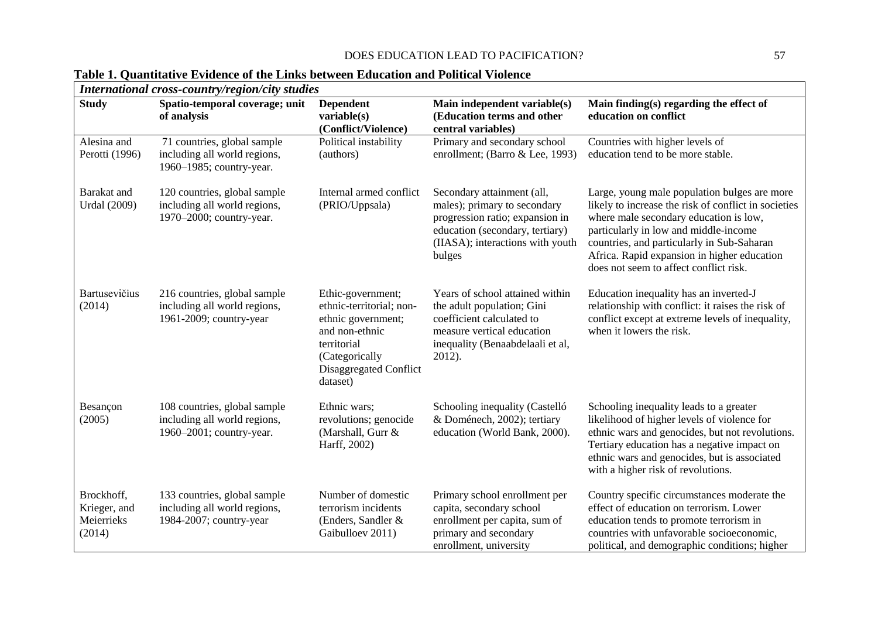| <b>Study</b>                                       | Spatio-temporal coverage; unit<br>of analysis                                            | <b>Dependent</b><br>variable(s)<br>(Conflict/Violence)                                                                                                       | Main independent variable(s)<br>(Education terms and other<br>central variables)                                                                                               | Main finding(s) regarding the effect of<br>education on conflict                                                                                                                                                                                                                                                               |
|----------------------------------------------------|------------------------------------------------------------------------------------------|--------------------------------------------------------------------------------------------------------------------------------------------------------------|--------------------------------------------------------------------------------------------------------------------------------------------------------------------------------|--------------------------------------------------------------------------------------------------------------------------------------------------------------------------------------------------------------------------------------------------------------------------------------------------------------------------------|
| Alesina and<br>Perotti (1996)                      | 71 countries, global sample<br>including all world regions,<br>1960–1985; country-year.  | Political instability<br>(authors)                                                                                                                           | Primary and secondary school<br>enrollment; (Barro & Lee, 1993)                                                                                                                | Countries with higher levels of<br>education tend to be more stable.                                                                                                                                                                                                                                                           |
| Barakat and<br><b>Urdal</b> (2009)                 | 120 countries, global sample<br>including all world regions,<br>1970–2000; country-year. | Internal armed conflict<br>(PRIO/Uppsala)                                                                                                                    | Secondary attainment (all,<br>males); primary to secondary<br>progression ratio; expansion in<br>education (secondary, tertiary)<br>(IIASA); interactions with youth<br>bulges | Large, young male population bulges are more<br>likely to increase the risk of conflict in societies<br>where male secondary education is low,<br>particularly in low and middle-income<br>countries, and particularly in Sub-Saharan<br>Africa. Rapid expansion in higher education<br>does not seem to affect conflict risk. |
| Bartusevičius<br>(2014)                            | 216 countries, global sample<br>including all world regions,<br>1961-2009; country-year  | Ethic-government;<br>ethnic-territorial; non-<br>ethnic government;<br>and non-ethnic<br>territorial<br>(Categorically<br>Disaggregated Conflict<br>dataset) | Years of school attained within<br>the adult population; Gini<br>coefficient calculated to<br>measure vertical education<br>inequality (Benaabdelaali et al,<br>2012).         | Education inequality has an inverted-J<br>relationship with conflict: it raises the risk of<br>conflict except at extreme levels of inequality,<br>when it lowers the risk.                                                                                                                                                    |
| Besançon<br>(2005)                                 | 108 countries, global sample<br>including all world regions,<br>1960–2001; country-year. | Ethnic wars;<br>revolutions; genocide<br>(Marshall, Gurr &<br>Harff, 2002)                                                                                   | Schooling inequality (Castelló<br>& Doménech, 2002); tertiary<br>education (World Bank, 2000).                                                                                 | Schooling inequality leads to a greater<br>likelihood of higher levels of violence for<br>ethnic wars and genocides, but not revolutions.<br>Tertiary education has a negative impact on<br>ethnic wars and genocides, but is associated<br>with a higher risk of revolutions.                                                 |
| Brockhoff,<br>Krieger, and<br>Meierrieks<br>(2014) | 133 countries, global sample<br>including all world regions,<br>1984-2007; country-year  | Number of domestic<br>terrorism incidents<br>(Enders, Sandler &<br>Gaibulloev 2011)                                                                          | Primary school enrollment per<br>capita, secondary school<br>enrollment per capita, sum of<br>primary and secondary<br>enrollment, university                                  | Country specific circumstances moderate the<br>effect of education on terrorism. Lower<br>education tends to promote terrorism in<br>countries with unfavorable socioeconomic,<br>political, and demographic conditions; higher                                                                                                |

# **Table 1. Quantitative Evidence of the Links between Education and Political Violence**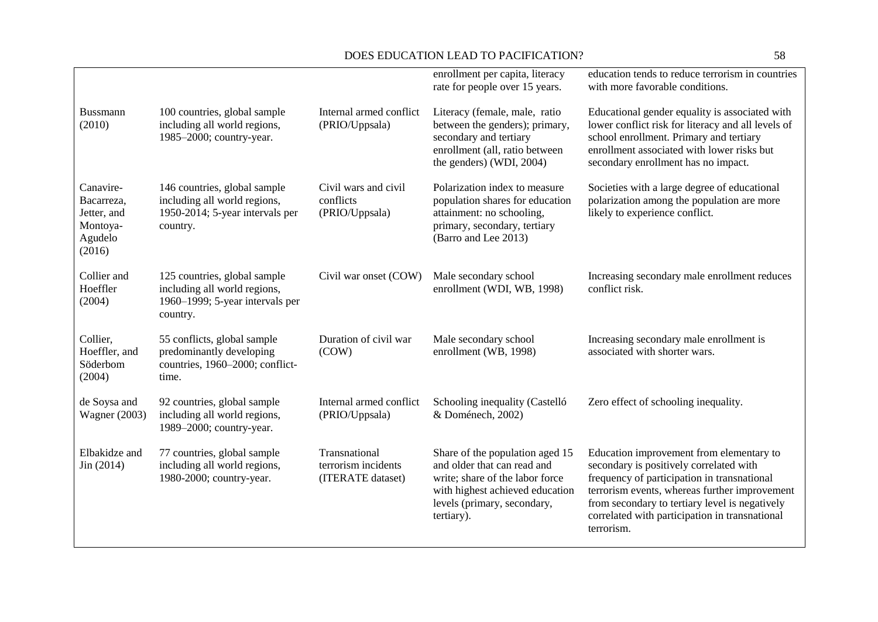|                                                                         |                                                                                                             |                                                           | enrollment per capita, literacy<br>rate for people over 15 years.                                                                                                                 | education tends to reduce terrorism in countries<br>with more favorable conditions.                                                                                                                                                                                                                   |
|-------------------------------------------------------------------------|-------------------------------------------------------------------------------------------------------------|-----------------------------------------------------------|-----------------------------------------------------------------------------------------------------------------------------------------------------------------------------------|-------------------------------------------------------------------------------------------------------------------------------------------------------------------------------------------------------------------------------------------------------------------------------------------------------|
| Bussmann<br>(2010)                                                      | 100 countries, global sample<br>including all world regions,<br>1985-2000; country-year.                    | Internal armed conflict<br>(PRIO/Uppsala)                 | Literacy (female, male, ratio<br>between the genders); primary,<br>secondary and tertiary<br>enrollment (all, ratio between<br>the genders) (WDI, 2004)                           | Educational gender equality is associated with<br>lower conflict risk for literacy and all levels of<br>school enrollment. Primary and tertiary<br>enrollment associated with lower risks but<br>secondary enrollment has no impact.                                                                  |
| Canavire-<br>Bacarreza,<br>Jetter, and<br>Montoya-<br>Agudelo<br>(2016) | 146 countries, global sample<br>including all world regions,<br>1950-2014; 5-year intervals per<br>country. | Civil wars and civil<br>conflicts<br>(PRIO/Uppsala)       | Polarization index to measure<br>population shares for education<br>attainment: no schooling,<br>primary, secondary, tertiary<br>(Barro and Lee 2013)                             | Societies with a large degree of educational<br>polarization among the population are more<br>likely to experience conflict.                                                                                                                                                                          |
| Collier and<br>Hoeffler<br>(2004)                                       | 125 countries, global sample<br>including all world regions,<br>1960–1999; 5-year intervals per<br>country. | Civil war onset (COW)                                     | Male secondary school<br>enrollment (WDI, WB, 1998)                                                                                                                               | Increasing secondary male enrollment reduces<br>conflict risk.                                                                                                                                                                                                                                        |
| Collier,<br>Hoeffler, and<br>Söderbom<br>(2004)                         | 55 conflicts, global sample<br>predominantly developing<br>countries, 1960-2000; conflict-<br>time.         | Duration of civil war<br>(COW)                            | Male secondary school<br>enrollment (WB, 1998)                                                                                                                                    | Increasing secondary male enrollment is<br>associated with shorter wars.                                                                                                                                                                                                                              |
| de Soysa and<br><b>Wagner</b> (2003)                                    | 92 countries, global sample<br>including all world regions,<br>1989–2000; country-year.                     | Internal armed conflict<br>(PRIO/Uppsala)                 | Schooling inequality (Castelló<br>& Doménech, 2002)                                                                                                                               | Zero effect of schooling inequality.                                                                                                                                                                                                                                                                  |
| Elbakidze and<br>Jin (2014)                                             | 77 countries, global sample<br>including all world regions,<br>1980-2000; country-year.                     | Transnational<br>terrorism incidents<br>(ITERATE dataset) | Share of the population aged 15<br>and older that can read and<br>write; share of the labor force<br>with highest achieved education<br>levels (primary, secondary,<br>tertiary). | Education improvement from elementary to<br>secondary is positively correlated with<br>frequency of participation in transnational<br>terrorism events, whereas further improvement<br>from secondary to tertiary level is negatively<br>correlated with participation in transnational<br>terrorism. |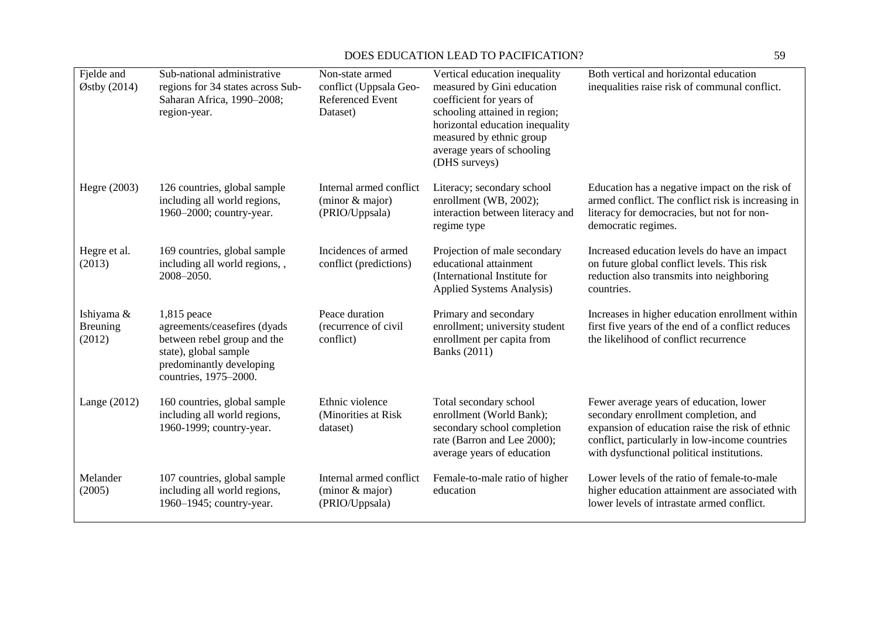| Fjelde and<br>$\varnothing$ stby (2014) | Sub-national administrative<br>regions for 34 states across Sub-<br>Saharan Africa, 1990-2008;<br>region-year.                                             | Non-state armed<br>conflict (Uppsala Geo-<br><b>Referenced Event</b><br>Dataset) | Vertical education inequality<br>measured by Gini education<br>coefficient for years of<br>schooling attained in region;<br>horizontal education inequality<br>measured by ethnic group<br>average years of schooling<br>(DHS surveys) | Both vertical and horizontal education<br>inequalities raise risk of communal conflict.                                                                                                                                            |
|-----------------------------------------|------------------------------------------------------------------------------------------------------------------------------------------------------------|----------------------------------------------------------------------------------|----------------------------------------------------------------------------------------------------------------------------------------------------------------------------------------------------------------------------------------|------------------------------------------------------------------------------------------------------------------------------------------------------------------------------------------------------------------------------------|
| Hegre (2003)                            | 126 countries, global sample<br>including all world regions,<br>1960–2000; country-year.                                                                   | Internal armed conflict<br>$(minor \& major)$<br>(PRIO/Uppsala)                  | Literacy; secondary school<br>enrollment (WB, 2002);<br>interaction between literacy and<br>regime type                                                                                                                                | Education has a negative impact on the risk of<br>armed conflict. The conflict risk is increasing in<br>literacy for democracies, but not for non-<br>democratic regimes.                                                          |
| Hegre et al.<br>(2013)                  | 169 countries, global sample<br>including all world regions,,<br>2008-2050.                                                                                | Incidences of armed<br>conflict (predictions)                                    | Projection of male secondary<br>educational attainment<br>(International Institute for<br><b>Applied Systems Analysis)</b>                                                                                                             | Increased education levels do have an impact<br>on future global conflict levels. This risk<br>reduction also transmits into neighboring<br>countries.                                                                             |
| Ishiyama &<br><b>Breuning</b><br>(2012) | $1,815$ peace<br>agreements/ceasefires (dyads<br>between rebel group and the<br>state), global sample<br>predominantly developing<br>countries, 1975-2000. | Peace duration<br>(recurrence of civil<br>conflict)                              | Primary and secondary<br>enrollment; university student<br>enrollment per capita from<br><b>Banks</b> (2011)                                                                                                                           | Increases in higher education enrollment within<br>first five years of the end of a conflict reduces<br>the likelihood of conflict recurrence                                                                                      |
| Lange $(2012)$                          | 160 countries, global sample<br>including all world regions,<br>1960-1999; country-year.                                                                   | Ethnic violence<br>(Minorities at Risk<br>dataset)                               | Total secondary school<br>enrollment (World Bank);<br>secondary school completion<br>rate (Barron and Lee 2000);<br>average years of education                                                                                         | Fewer average years of education, lower<br>secondary enrollment completion, and<br>expansion of education raise the risk of ethnic<br>conflict, particularly in low-income countries<br>with dysfunctional political institutions. |
| Melander<br>(2005)                      | 107 countries, global sample<br>including all world regions,<br>1960–1945; country-year.                                                                   | Internal armed conflict<br>(minor & major)<br>(PRIO/Uppsala)                     | Female-to-male ratio of higher<br>education                                                                                                                                                                                            | Lower levels of the ratio of female-to-male<br>higher education attainment are associated with<br>lower levels of intrastate armed conflict.                                                                                       |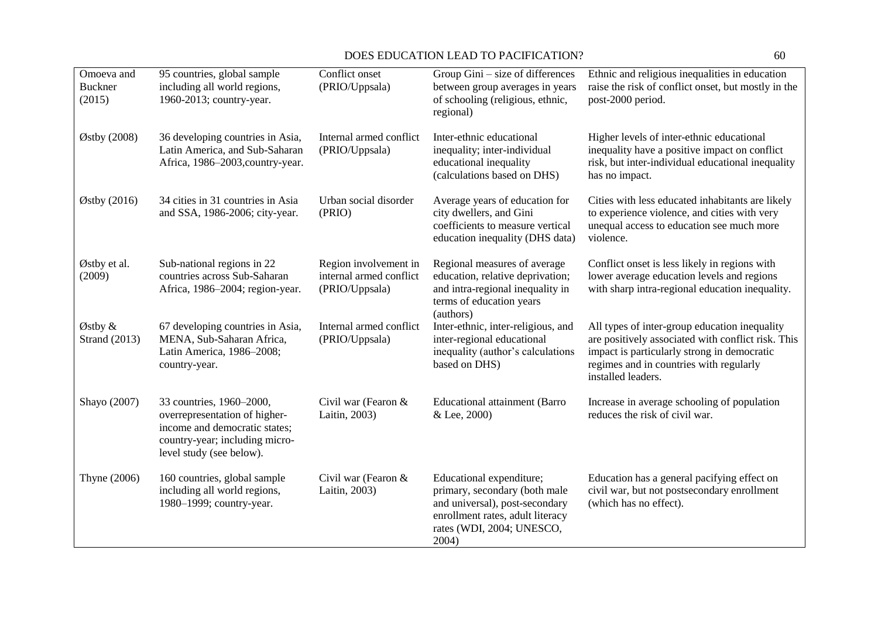| Omoeva and<br><b>Buckner</b><br>(2015) | 95 countries, global sample<br>including all world regions,<br>1960-2013; country-year.                                                                  | Conflict onset<br>(PRIO/Uppsala)                                   | Group Gini – size of differences<br>between group averages in years<br>of schooling (religious, ethnic,<br>regional)                                                  | Ethnic and religious inequalities in education<br>raise the risk of conflict onset, but mostly in the<br>post-2000 period.                                                                                          |
|----------------------------------------|----------------------------------------------------------------------------------------------------------------------------------------------------------|--------------------------------------------------------------------|-----------------------------------------------------------------------------------------------------------------------------------------------------------------------|---------------------------------------------------------------------------------------------------------------------------------------------------------------------------------------------------------------------|
| Østby (2008)                           | 36 developing countries in Asia,<br>Latin America, and Sub-Saharan<br>Africa, 1986-2003, country-year.                                                   | Internal armed conflict<br>(PRIO/Uppsala)                          | Inter-ethnic educational<br>inequality; inter-individual<br>educational inequality<br>(calculations based on DHS)                                                     | Higher levels of inter-ethnic educational<br>inequality have a positive impact on conflict<br>risk, but inter-individual educational inequality<br>has no impact.                                                   |
| $\varnothing$ stby (2016)              | 34 cities in 31 countries in Asia<br>and SSA, 1986-2006; city-year.                                                                                      | Urban social disorder<br>(PRIO)                                    | Average years of education for<br>city dwellers, and Gini<br>coefficients to measure vertical<br>education inequality (DHS data)                                      | Cities with less educated inhabitants are likely<br>to experience violence, and cities with very<br>unequal access to education see much more<br>violence.                                                          |
| Østby et al.<br>(2009)                 | Sub-national regions in 22<br>countries across Sub-Saharan<br>Africa, 1986-2004; region-year.                                                            | Region involvement in<br>internal armed conflict<br>(PRIO/Uppsala) | Regional measures of average<br>education, relative deprivation;<br>and intra-regional inequality in<br>terms of education years<br>(authors)                         | Conflict onset is less likely in regions with<br>lower average education levels and regions<br>with sharp intra-regional education inequality.                                                                      |
| Østby &<br><b>Strand</b> (2013)        | 67 developing countries in Asia,<br>MENA, Sub-Saharan Africa,<br>Latin America, 1986-2008;<br>country-year.                                              | Internal armed conflict<br>(PRIO/Uppsala)                          | Inter-ethnic, inter-religious, and<br>inter-regional educational<br>inequality (author's calculations<br>based on DHS)                                                | All types of inter-group education inequality<br>are positively associated with conflict risk. This<br>impact is particularly strong in democratic<br>regimes and in countries with regularly<br>installed leaders. |
| Shayo (2007)                           | 33 countries, 1960-2000,<br>overrepresentation of higher-<br>income and democratic states;<br>country-year; including micro-<br>level study (see below). | Civil war (Fearon &<br>Laitin, 2003)                               | <b>Educational attainment (Barro</b><br>& Lee, 2000)                                                                                                                  | Increase in average schooling of population<br>reduces the risk of civil war.                                                                                                                                       |
| Thyne (2006)                           | 160 countries, global sample<br>including all world regions,<br>1980-1999; country-year.                                                                 | Civil war (Fearon &<br>Laitin, 2003)                               | Educational expenditure;<br>primary, secondary (both male<br>and universal), post-secondary<br>enrollment rates, adult literacy<br>rates (WDI, 2004; UNESCO,<br>2004) | Education has a general pacifying effect on<br>civil war, but not postsecondary enrollment<br>(which has no effect).                                                                                                |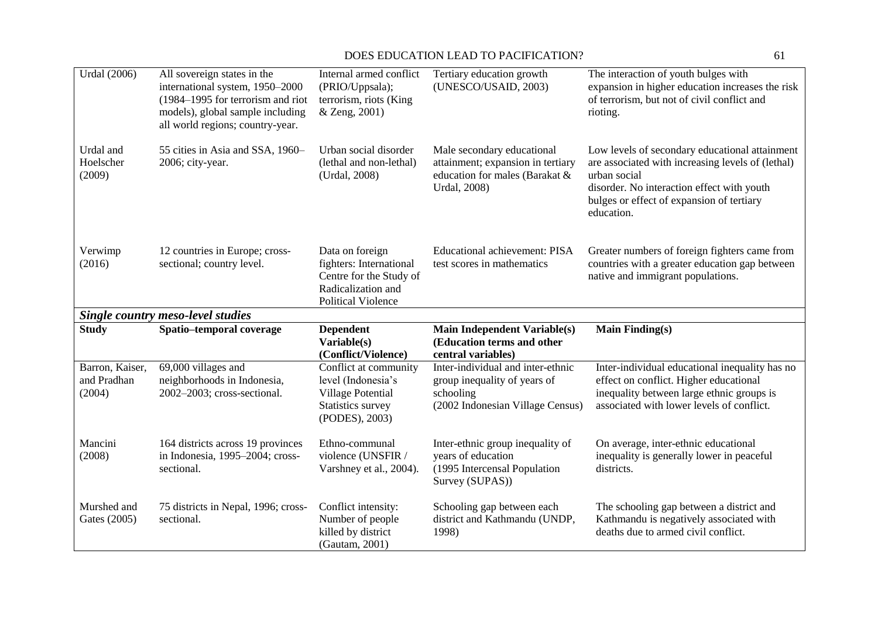| <b>Urdal</b> (2006)                      | All sovereign states in the<br>international system, 1950-2000<br>(1984–1995 for terrorism and riot<br>models), global sample including<br>all world regions; country-year. | Internal armed conflict<br>(PRIO/Uppsala);<br>terrorism, riots (King<br>& Zeng, 2001)                                    | Tertiary education growth<br>(UNESCO/USAID, 2003)                                                                  | The interaction of youth bulges with<br>expansion in higher education increases the risk<br>of terrorism, but not of civil conflict and<br>rioting.                                                                          |
|------------------------------------------|-----------------------------------------------------------------------------------------------------------------------------------------------------------------------------|--------------------------------------------------------------------------------------------------------------------------|--------------------------------------------------------------------------------------------------------------------|------------------------------------------------------------------------------------------------------------------------------------------------------------------------------------------------------------------------------|
| Urdal and<br>Hoelscher<br>(2009)         | 55 cities in Asia and SSA, 1960-<br>2006; city-year.                                                                                                                        | Urban social disorder<br>(lethal and non-lethal)<br>(Urdal, 2008)                                                        | Male secondary educational<br>attainment; expansion in tertiary<br>education for males (Barakat &<br>Urdal, 2008)  | Low levels of secondary educational attainment<br>are associated with increasing levels of (lethal)<br>urban social<br>disorder. No interaction effect with youth<br>bulges or effect of expansion of tertiary<br>education. |
| Verwimp<br>(2016)                        | 12 countries in Europe; cross-<br>sectional; country level.                                                                                                                 | Data on foreign<br>fighters: International<br>Centre for the Study of<br>Radicalization and<br><b>Political Violence</b> | <b>Educational achievement: PISA</b><br>test scores in mathematics                                                 | Greater numbers of foreign fighters came from<br>countries with a greater education gap between<br>native and immigrant populations.                                                                                         |
|                                          | <b>Single country meso-level studies</b>                                                                                                                                    |                                                                                                                          |                                                                                                                    |                                                                                                                                                                                                                              |
|                                          |                                                                                                                                                                             |                                                                                                                          |                                                                                                                    |                                                                                                                                                                                                                              |
| <b>Study</b>                             | Spatio-temporal coverage                                                                                                                                                    | <b>Dependent</b><br>Variable(s)<br>(Conflict/Violence)                                                                   | <b>Main Independent Variable(s)</b><br>(Education terms and other<br>central variables)                            | <b>Main Finding(s)</b>                                                                                                                                                                                                       |
| Barron, Kaiser,<br>and Pradhan<br>(2004) | 69,000 villages and<br>neighborhoods in Indonesia,<br>2002-2003; cross-sectional.                                                                                           | Conflict at community<br>level (Indonesia's<br>Village Potential<br>Statistics survey<br>(PODES), 2003)                  | Inter-individual and inter-ethnic<br>group inequality of years of<br>schooling<br>(2002 Indonesian Village Census) | Inter-individual educational inequality has no<br>effect on conflict. Higher educational<br>inequality between large ethnic groups is<br>associated with lower levels of conflict.                                           |
| Mancini<br>(2008)                        | 164 districts across 19 provinces<br>in Indonesia, 1995-2004; cross-<br>sectional.                                                                                          | Ethno-communal<br>violence (UNSFIR /<br>Varshney et al., 2004).                                                          | Inter-ethnic group inequality of<br>years of education<br>(1995 Intercensal Population<br>Survey (SUPAS))          | On average, inter-ethnic educational<br>inequality is generally lower in peaceful<br>districts.                                                                                                                              |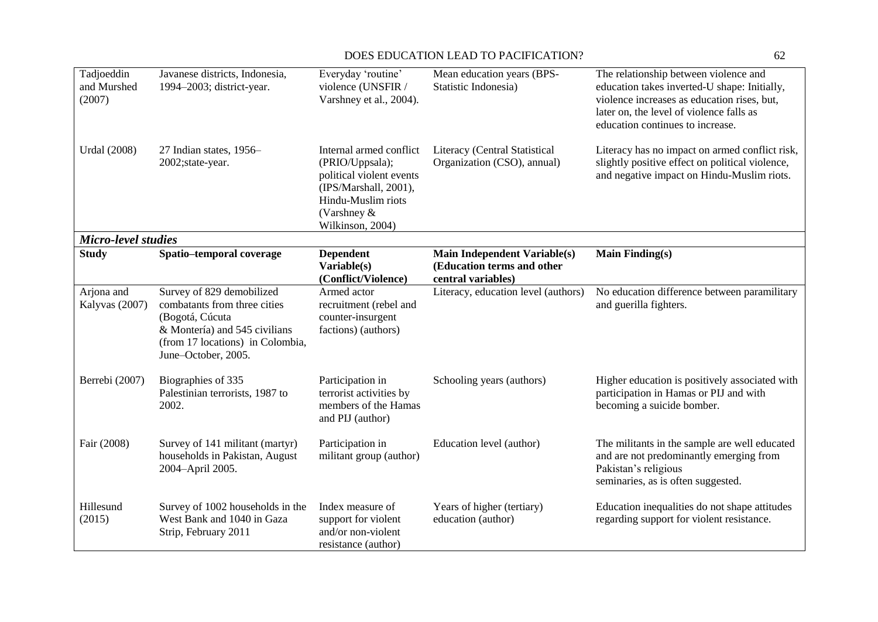| Tadjoeddin<br>and Murshed<br>(2007) | Javanese districts, Indonesia,<br>1994-2003; district-year.                                                                                                              | Everyday 'routine'<br>violence (UNSFIR /<br>Varshney et al., 2004).                                                                                         | Mean education years (BPS-<br>Statistic Indonesia)                                      | The relationship between violence and<br>education takes inverted-U shape: Initially,<br>violence increases as education rises, but,<br>later on, the level of violence falls as<br>education continues to increase. |
|-------------------------------------|--------------------------------------------------------------------------------------------------------------------------------------------------------------------------|-------------------------------------------------------------------------------------------------------------------------------------------------------------|-----------------------------------------------------------------------------------------|----------------------------------------------------------------------------------------------------------------------------------------------------------------------------------------------------------------------|
| <b>Urdal</b> (2008)                 | 27 Indian states, 1956–<br>2002;state-year.                                                                                                                              | Internal armed conflict<br>(PRIO/Uppsala);<br>political violent events<br>(IPS/Marshall, 2001),<br>Hindu-Muslim riots<br>(Varshney $\&$<br>Wilkinson, 2004) | Literacy (Central Statistical<br>Organization (CSO), annual)                            | Literacy has no impact on armed conflict risk,<br>slightly positive effect on political violence,<br>and negative impact on Hindu-Muslim riots.                                                                      |
| <b>Micro-level studies</b>          |                                                                                                                                                                          |                                                                                                                                                             |                                                                                         |                                                                                                                                                                                                                      |
| <b>Study</b>                        | Spatio-temporal coverage                                                                                                                                                 | <b>Dependent</b><br>Variable(s)<br>(Conflict/Violence)                                                                                                      | <b>Main Independent Variable(s)</b><br>(Education terms and other<br>central variables) | <b>Main Finding(s)</b>                                                                                                                                                                                               |
| Arjona and<br>Kalyvas (2007)        | Survey of 829 demobilized<br>combatants from three cities<br>(Bogotá, Cúcuta<br>& Montería) and 545 civilians<br>(from 17 locations) in Colombia,<br>June-October, 2005. | Armed actor<br>recruitment (rebel and<br>counter-insurgent<br>factions) (authors)                                                                           | Literacy, education level (authors)                                                     | No education difference between paramilitary<br>and guerilla fighters.                                                                                                                                               |
| Berrebi (2007)                      | Biographies of 335<br>Palestinian terrorists, 1987 to<br>2002.                                                                                                           | Participation in<br>terrorist activities by<br>members of the Hamas<br>and PIJ (author)                                                                     | Schooling years (authors)                                                               | Higher education is positively associated with<br>participation in Hamas or PIJ and with<br>becoming a suicide bomber.                                                                                               |
| Fair (2008)                         | Survey of 141 militant (martyr)<br>households in Pakistan, August<br>2004-April 2005.                                                                                    | Participation in<br>militant group (author)                                                                                                                 | Education level (author)                                                                | The militants in the sample are well educated<br>and are not predominantly emerging from<br>Pakistan's religious<br>seminaries, as is often suggested.                                                               |
| Hillesund<br>(2015)                 | Survey of 1002 households in the<br>West Bank and 1040 in Gaza<br>Strip, February 2011                                                                                   | Index measure of<br>support for violent<br>and/or non-violent<br>resistance (author)                                                                        | Years of higher (tertiary)<br>education (author)                                        | Education inequalities do not shape attitudes<br>regarding support for violent resistance.                                                                                                                           |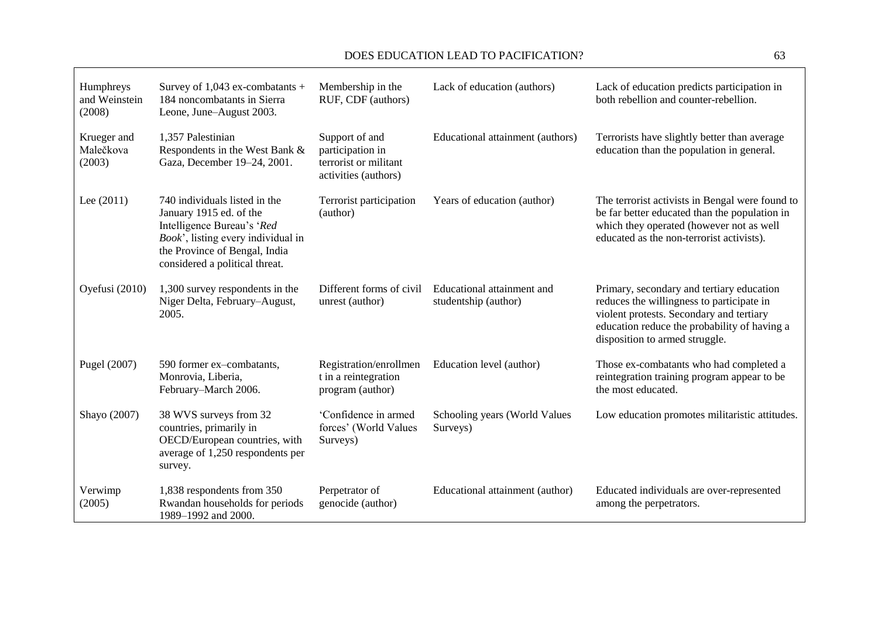ा

| Humphreys<br>and Weinstein<br>(2008) | Survey of $1,043$ ex-combatants +<br>184 noncombatants in Sierra<br>Leone, June-August 2003.                                                                                                    | Membership in the<br>RUF, CDF (authors)                                             | Lack of education (authors)                        | Lack of education predicts participation in<br>both rebellion and counter-rebellion.                                                                                                                                 |
|--------------------------------------|-------------------------------------------------------------------------------------------------------------------------------------------------------------------------------------------------|-------------------------------------------------------------------------------------|----------------------------------------------------|----------------------------------------------------------------------------------------------------------------------------------------------------------------------------------------------------------------------|
| Krueger and<br>Malečkova<br>(2003)   | 1,357 Palestinian<br>Respondents in the West Bank &<br>Gaza, December 19-24, 2001.                                                                                                              | Support of and<br>participation in<br>terrorist or militant<br>activities (authors) | Educational attainment (authors)                   | Terrorists have slightly better than average<br>education than the population in general.                                                                                                                            |
| Lee $(2011)$                         | 740 individuals listed in the<br>January 1915 ed. of the<br>Intelligence Bureau's 'Red<br>Book', listing every individual in<br>the Province of Bengal, India<br>considered a political threat. | Terrorist participation<br>(author)                                                 | Years of education (author)                        | The terrorist activists in Bengal were found to<br>be far better educated than the population in<br>which they operated (however not as well<br>educated as the non-terrorist activists).                            |
| Oyefusi (2010)                       | 1,300 survey respondents in the<br>Niger Delta, February-August,<br>2005.                                                                                                                       | Different forms of civil<br>unrest (author)                                         | Educational attainment and<br>studentship (author) | Primary, secondary and tertiary education<br>reduces the willingness to participate in<br>violent protests. Secondary and tertiary<br>education reduce the probability of having a<br>disposition to armed struggle. |
| Pugel (2007)                         | 590 former ex-combatants,<br>Monrovia, Liberia,<br>February-March 2006.                                                                                                                         | Registration/enrollmen<br>t in a reintegration<br>program (author)                  | Education level (author)                           | Those ex-combatants who had completed a<br>reintegration training program appear to be<br>the most educated.                                                                                                         |
| Shayo (2007)                         | 38 WVS surveys from 32<br>countries, primarily in<br>OECD/European countries, with<br>average of 1,250 respondents per<br>survey.                                                               | 'Confidence in armed<br>forces' (World Values<br>Surveys)                           | Schooling years (World Values<br>Surveys)          | Low education promotes militaristic attitudes.                                                                                                                                                                       |
| Verwimp<br>(2005)                    | 1,838 respondents from 350<br>Rwandan households for periods<br>1989-1992 and 2000.                                                                                                             | Perpetrator of<br>genocide (author)                                                 | Educational attainment (author)                    | Educated individuals are over-represented<br>among the perpetrators.                                                                                                                                                 |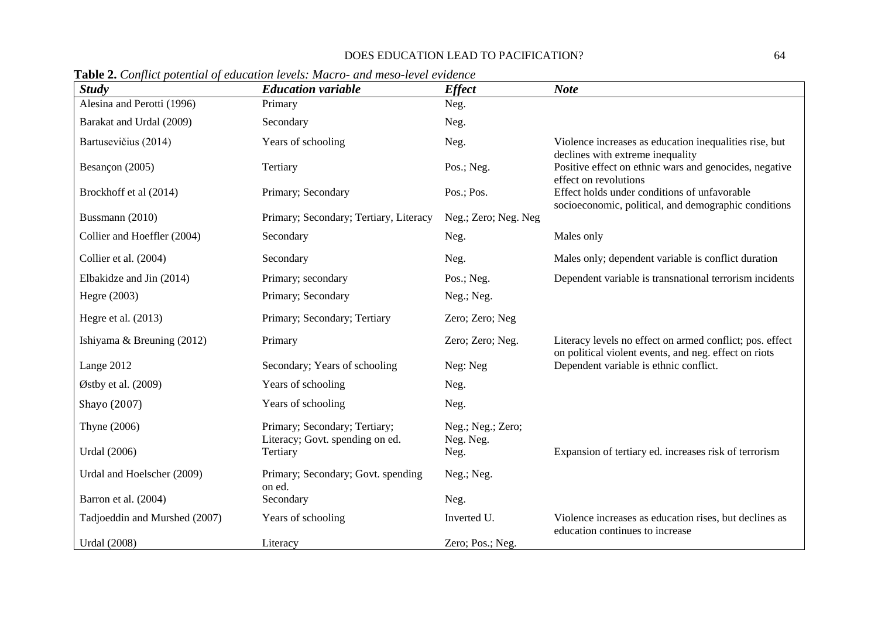| <b>Study</b>                  | <b>Education variable</b>                                        | <b>Effect</b>                  | <b>Note</b>                                                                                                         |
|-------------------------------|------------------------------------------------------------------|--------------------------------|---------------------------------------------------------------------------------------------------------------------|
| Alesina and Perotti (1996)    | Primary                                                          | Neg.                           |                                                                                                                     |
| Barakat and Urdal (2009)      | Secondary                                                        | Neg.                           |                                                                                                                     |
| Bartusevičius (2014)          | Years of schooling                                               | Neg.                           | Violence increases as education inequalities rise, but                                                              |
| Besançon (2005)               | Tertiary                                                         | Pos.; Neg.                     | declines with extreme inequality<br>Positive effect on ethnic wars and genocides, negative<br>effect on revolutions |
| Brockhoff et al (2014)        | Primary; Secondary                                               | Pos.; Pos.                     | Effect holds under conditions of unfavorable<br>socioeconomic, political, and demographic conditions                |
| Bussmann (2010)               | Primary; Secondary; Tertiary, Literacy                           | Neg.; Zero; Neg. Neg           |                                                                                                                     |
| Collier and Hoeffler (2004)   | Secondary                                                        | Neg.                           | Males only                                                                                                          |
| Collier et al. (2004)         | Secondary                                                        | Neg.                           | Males only; dependent variable is conflict duration                                                                 |
| Elbakidze and Jin (2014)      | Primary; secondary                                               | Pos.; Neg.                     | Dependent variable is transnational terrorism incidents                                                             |
| Hegre (2003)                  | Primary; Secondary                                               | Neg.; Neg.                     |                                                                                                                     |
| Hegre et al. (2013)           | Primary; Secondary; Tertiary                                     | Zero; Zero; Neg                |                                                                                                                     |
| Ishiyama & Breuning (2012)    | Primary                                                          | Zero; Zero; Neg.               | Literacy levels no effect on armed conflict; pos. effect                                                            |
| Lange 2012                    | Secondary; Years of schooling                                    | Neg: Neg                       | on political violent events, and neg. effect on riots<br>Dependent variable is ethnic conflict.                     |
| Østby et al. (2009)           | Years of schooling                                               | Neg.                           |                                                                                                                     |
| Shayo (2007)                  | Years of schooling                                               | Neg.                           |                                                                                                                     |
| Thyne (2006)                  | Primary; Secondary; Tertiary;<br>Literacy; Govt. spending on ed. | Neg.; Neg.; Zero;<br>Neg. Neg. |                                                                                                                     |
| <b>Urdal</b> (2006)           | Tertiary                                                         | Neg.                           | Expansion of tertiary ed. increases risk of terrorism                                                               |
| Urdal and Hoelscher (2009)    | Primary; Secondary; Govt. spending<br>on ed.                     | Neg.; Neg.                     |                                                                                                                     |
| Barron et al. (2004)          | Secondary                                                        | Neg.                           |                                                                                                                     |
| Tadjoeddin and Murshed (2007) | Years of schooling                                               | Inverted U.                    | Violence increases as education rises, but declines as<br>education continues to increase                           |
| <b>Urdal</b> (2008)           | Literacy                                                         | Zero; Pos.; Neg.               |                                                                                                                     |

**Table 2.** *Conflict potential of education levels: Macro- and meso-level evidence*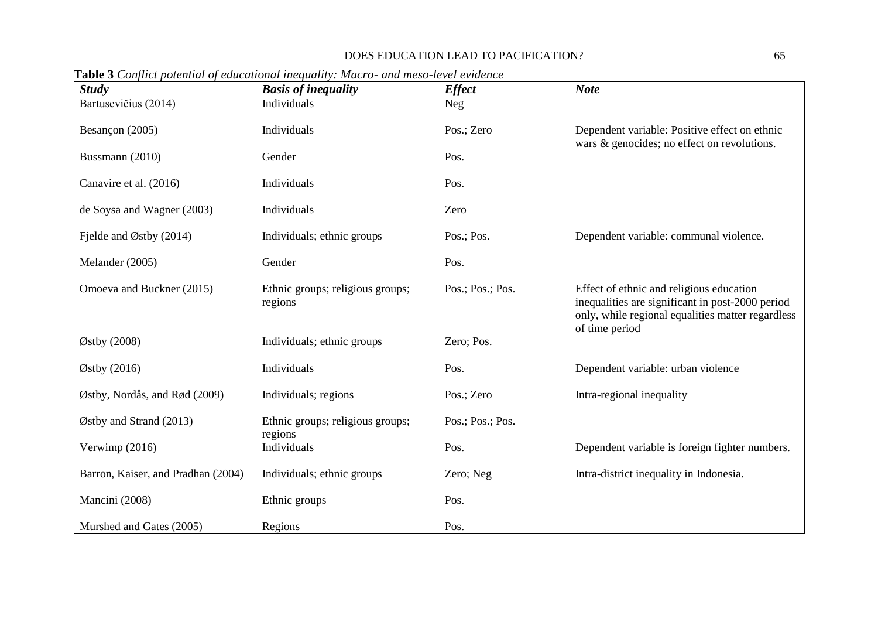| <b>Study</b>                       | $\bf{1}$ авто э сопраст ротения ор синститени тедициту. тикло лиш темо тетет стаетсе<br><b>Basis of inequality</b> | <b>Effect</b>    | <b>Note</b>                                                                                                                                                         |
|------------------------------------|--------------------------------------------------------------------------------------------------------------------|------------------|---------------------------------------------------------------------------------------------------------------------------------------------------------------------|
| Bartusevičius (2014)               | Individuals                                                                                                        | <b>Neg</b>       |                                                                                                                                                                     |
| Besançon (2005)                    | Individuals                                                                                                        | Pos.; Zero       | Dependent variable: Positive effect on ethnic<br>wars & genocides; no effect on revolutions.                                                                        |
| Bussmann (2010)                    | Gender                                                                                                             | Pos.             |                                                                                                                                                                     |
| Canavire et al. (2016)             | Individuals                                                                                                        | Pos.             |                                                                                                                                                                     |
| de Soysa and Wagner (2003)         | Individuals                                                                                                        | Zero             |                                                                                                                                                                     |
| Fielde and Østby $(2014)$          | Individuals; ethnic groups                                                                                         | Pos.; Pos.       | Dependent variable: communal violence.                                                                                                                              |
| Melander (2005)                    | Gender                                                                                                             | Pos.             |                                                                                                                                                                     |
| Omoeva and Buckner (2015)          | Ethnic groups; religious groups;<br>regions                                                                        | Pos.; Pos.; Pos. | Effect of ethnic and religious education<br>inequalities are significant in post-2000 period<br>only, while regional equalities matter regardless<br>of time period |
| Østby (2008)                       | Individuals; ethnic groups                                                                                         | Zero; Pos.       |                                                                                                                                                                     |
| Østby (2016)                       | Individuals                                                                                                        | Pos.             | Dependent variable: urban violence                                                                                                                                  |
| Østby, Nordås, and Rød (2009)      | Individuals; regions                                                                                               | Pos.; Zero       | Intra-regional inequality                                                                                                                                           |
| Østby and Strand $(2013)$          | Ethnic groups; religious groups;                                                                                   | Pos.; Pos.; Pos. |                                                                                                                                                                     |
| Verwimp (2016)                     | regions<br>Individuals                                                                                             | Pos.             | Dependent variable is foreign fighter numbers.                                                                                                                      |
| Barron, Kaiser, and Pradhan (2004) | Individuals; ethnic groups                                                                                         | Zero; Neg        | Intra-district inequality in Indonesia.                                                                                                                             |
| Mancini (2008)                     | Ethnic groups                                                                                                      | Pos.             |                                                                                                                                                                     |
| Murshed and Gates (2005)           | Regions                                                                                                            | Pos.             |                                                                                                                                                                     |

**Table 3** *Conflict potential of educational inequality: Macro- and meso-level evidence*